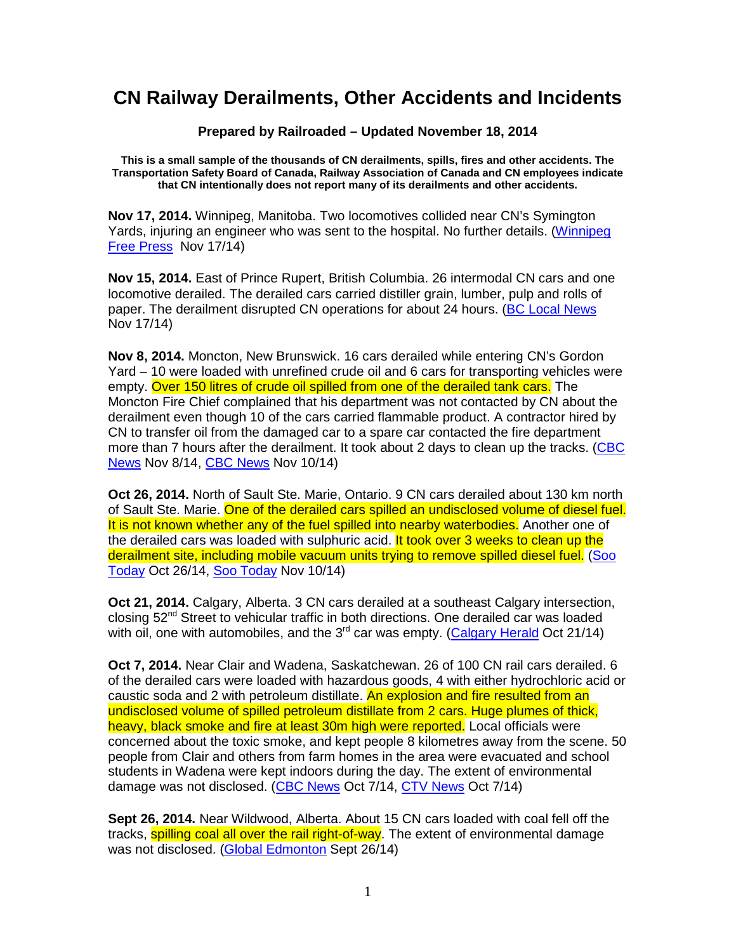## **CN Railway Derailments, Other Accidents and Incidents**

**Prepared by Railroaded – Updated November 18, 2014** 

**This is a small sample of the thousands of CN derailments, spills, fires and other accidents. The Transportation Safety Board of Canada, Railway Association of Canada and CN employees indicate that CN intentionally does not report many of its derailments and other accidents.** 

**Nov 17, 2014.** Winnipeg, Manitoba. Two locomotives collided near CN's Symington Yards, injuring an engineer who was sent to the hospital. No further details. (Winnipeg Free Press Nov 17/14)

**Nov 15, 2014.** East of Prince Rupert, British Columbia. 26 intermodal CN cars and one locomotive derailed. The derailed cars carried distiller grain, lumber, pulp and rolls of paper. The derailment disrupted CN operations for about 24 hours. (BC Local News Nov 17/14)

**Nov 8, 2014.** Moncton, New Brunswick. 16 cars derailed while entering CN's Gordon Yard – 10 were loaded with unrefined crude oil and 6 cars for transporting vehicles were empty. Over 150 litres of crude oil spilled from one of the derailed tank cars. The Moncton Fire Chief complained that his department was not contacted by CN about the derailment even though 10 of the cars carried flammable product. A contractor hired by CN to transfer oil from the damaged car to a spare car contacted the fire department more than 7 hours after the derailment. It took about 2 days to clean up the tracks. (CBC News Nov 8/14, CBC News Nov 10/14)

**Oct 26, 2014.** North of Sault Ste. Marie, Ontario. 9 CN cars derailed about 130 km north of Sault Ste. Marie. One of the derailed cars spilled an undisclosed volume of diesel fuel. It is not known whether any of the fuel spilled into nearby waterbodies. Another one of the derailed cars was loaded with sulphuric acid. It took over 3 weeks to clean up the derailment site, including mobile vacuum units trying to remove spilled diesel fuel. (Soo Today Oct 26/14, Soo Today Nov 10/14)

**Oct 21, 2014.** Calgary, Alberta. 3 CN cars derailed at a southeast Calgary intersection, closing 52<sup>nd</sup> Street to vehicular traffic in both directions. One derailed car was loaded with oil, one with automobiles, and the  $3<sup>rd</sup>$  car was empty. (Calgary Herald Oct 21/14)

**Oct 7, 2014.** Near Clair and Wadena, Saskatchewan. 26 of 100 CN rail cars derailed. 6 of the derailed cars were loaded with hazardous goods, 4 with either hydrochloric acid or caustic soda and 2 with petroleum distillate. An explosion and fire resulted from an undisclosed volume of spilled petroleum distillate from 2 cars. Huge plumes of thick, heavy, black smoke and fire at least 30m high were reported. Local officials were concerned about the toxic smoke, and kept people 8 kilometres away from the scene. 50 people from Clair and others from farm homes in the area were evacuated and school students in Wadena were kept indoors during the day. The extent of environmental damage was not disclosed. (CBC News Oct 7/14, CTV News Oct 7/14)

**Sept 26, 2014.** Near Wildwood, Alberta. About 15 CN cars loaded with coal fell off the tracks, **spilling coal all over the rail right-of-way**. The extent of environmental damage was not disclosed. (Global Edmonton Sept 26/14)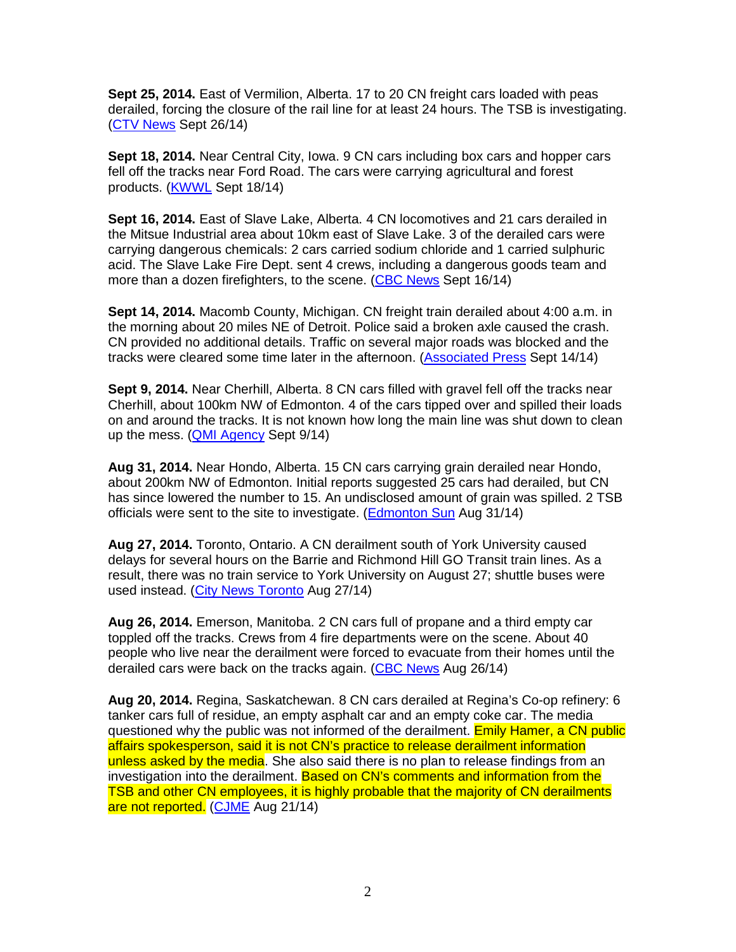**Sept 25, 2014.** East of Vermilion, Alberta. 17 to 20 CN freight cars loaded with peas derailed, forcing the closure of the rail line for at least 24 hours. The TSB is investigating. (CTV News Sept 26/14)

**Sept 18, 2014.** Near Central City, Iowa. 9 CN cars including box cars and hopper cars fell off the tracks near Ford Road. The cars were carrying agricultural and forest products. (KWWL Sept 18/14)

**Sept 16, 2014.** East of Slave Lake, Alberta. 4 CN locomotives and 21 cars derailed in the Mitsue Industrial area about 10km east of Slave Lake. 3 of the derailed cars were carrying dangerous chemicals: 2 cars carried sodium chloride and 1 carried sulphuric acid. The Slave Lake Fire Dept. sent 4 crews, including a dangerous goods team and more than a dozen firefighters, to the scene. (CBC News Sept 16/14)

**Sept 14, 2014.** Macomb County, Michigan. CN freight train derailed about 4:00 a.m. in the morning about 20 miles NE of Detroit. Police said a broken axle caused the crash. CN provided no additional details. Traffic on several major roads was blocked and the tracks were cleared some time later in the afternoon. (Associated Press Sept 14/14)

**Sept 9, 2014.** Near Cherhill, Alberta. 8 CN cars filled with gravel fell off the tracks near Cherhill, about 100km NW of Edmonton. 4 of the cars tipped over and spilled their loads on and around the tracks. It is not known how long the main line was shut down to clean up the mess. (QMI Agency Sept 9/14)

**Aug 31, 2014.** Near Hondo, Alberta. 15 CN cars carrying grain derailed near Hondo, about 200km NW of Edmonton. Initial reports suggested 25 cars had derailed, but CN has since lowered the number to 15. An undisclosed amount of grain was spilled. 2 TSB officials were sent to the site to investigate. (Edmonton Sun Aug 31/14)

**Aug 27, 2014.** Toronto, Ontario. A CN derailment south of York University caused delays for several hours on the Barrie and Richmond Hill GO Transit train lines. As a result, there was no train service to York University on August 27; shuttle buses were used instead. (City News Toronto Aug 27/14)

**Aug 26, 2014.** Emerson, Manitoba. 2 CN cars full of propane and a third empty car toppled off the tracks. Crews from 4 fire departments were on the scene. About 40 people who live near the derailment were forced to evacuate from their homes until the derailed cars were back on the tracks again. (CBC News Aug 26/14)

**Aug 20, 2014.** Regina, Saskatchewan. 8 CN cars derailed at Regina's Co-op refinery: 6 tanker cars full of residue, an empty asphalt car and an empty coke car. The media questioned why the public was not informed of the derailment. Emily Hamer, a CN public affairs spokesperson, said it is not CN's practice to release derailment information unless asked by the media. She also said there is no plan to release findings from an investigation into the derailment. Based on CN's comments and information from the TSB and other CN employees, it is highly probable that the majority of CN derailments are not reported. (CJME Aug 21/14)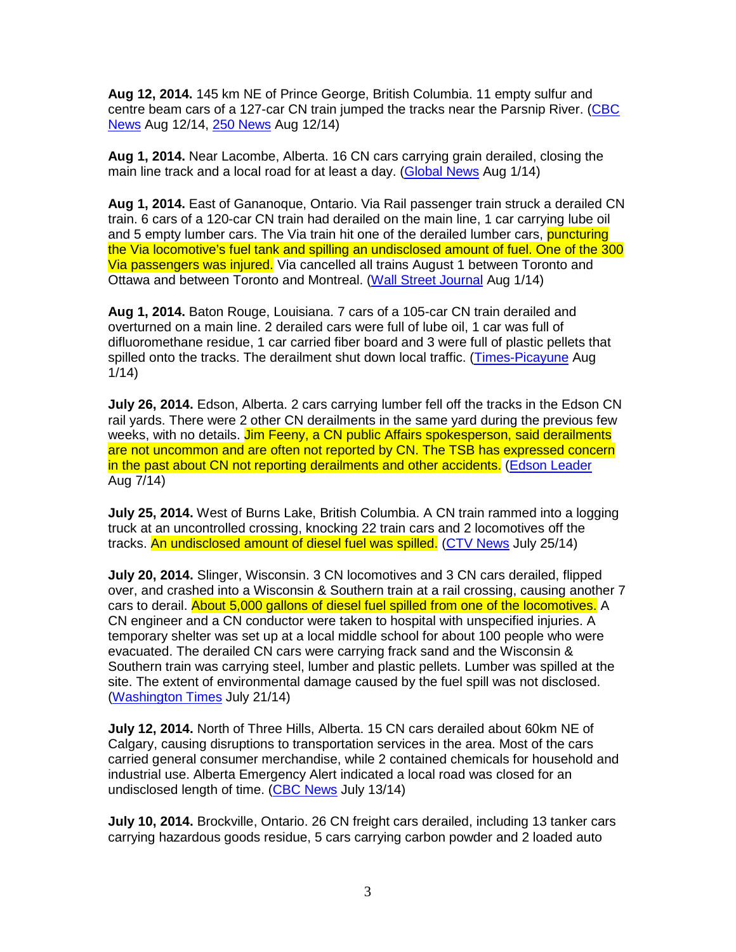**Aug 12, 2014.** 145 km NE of Prince George, British Columbia. 11 empty sulfur and centre beam cars of a 127-car CN train jumped the tracks near the Parsnip River. (CBC News Aug 12/14, 250 News Aug 12/14)

**Aug 1, 2014.** Near Lacombe, Alberta. 16 CN cars carrying grain derailed, closing the main line track and a local road for at least a day. (Global News Aug 1/14)

**Aug 1, 2014.** East of Gananoque, Ontario. Via Rail passenger train struck a derailed CN train. 6 cars of a 120-car CN train had derailed on the main line, 1 car carrying lube oil and 5 empty lumber cars. The Via train hit one of the derailed lumber cars, **puncturing** the Via locomotive's fuel tank and spilling an undisclosed amount of fuel. One of the 300 Via passengers was injured. Via cancelled all trains August 1 between Toronto and Ottawa and between Toronto and Montreal. (Wall Street Journal Aug 1/14)

**Aug 1, 2014.** Baton Rouge, Louisiana. 7 cars of a 105-car CN train derailed and overturned on a main line. 2 derailed cars were full of lube oil, 1 car was full of difluoromethane residue, 1 car carried fiber board and 3 were full of plastic pellets that spilled onto the tracks. The derailment shut down local traffic. (Times-Picayune Aug 1/14)

**July 26, 2014.** Edson, Alberta. 2 cars carrying lumber fell off the tracks in the Edson CN rail yards. There were 2 other CN derailments in the same yard during the previous few weeks, with no details. Jim Feeny, a CN public Affairs spokesperson, said derailments are not uncommon and are often not reported by CN. The TSB has expressed concern in the past about CN not reporting derailments and other accidents. (Edson Leader Aug 7/14)

**July 25, 2014.** West of Burns Lake, British Columbia. A CN train rammed into a logging truck at an uncontrolled crossing, knocking 22 train cars and 2 locomotives off the tracks. An undisclosed amount of diesel fuel was spilled. (CTV News July 25/14)

**July 20, 2014.** Slinger, Wisconsin. 3 CN locomotives and 3 CN cars derailed, flipped over, and crashed into a Wisconsin & Southern train at a rail crossing, causing another 7 cars to derail. About 5,000 gallons of diesel fuel spilled from one of the locomotives. A CN engineer and a CN conductor were taken to hospital with unspecified injuries. A temporary shelter was set up at a local middle school for about 100 people who were evacuated. The derailed CN cars were carrying frack sand and the Wisconsin & Southern train was carrying steel, lumber and plastic pellets. Lumber was spilled at the site. The extent of environmental damage caused by the fuel spill was not disclosed. (Washington Times July 21/14)

**July 12, 2014.** North of Three Hills, Alberta. 15 CN cars derailed about 60km NE of Calgary, causing disruptions to transportation services in the area. Most of the cars carried general consumer merchandise, while 2 contained chemicals for household and industrial use. Alberta Emergency Alert indicated a local road was closed for an undisclosed length of time. (CBC News July 13/14)

**July 10, 2014.** Brockville, Ontario. 26 CN freight cars derailed, including 13 tanker cars carrying hazardous goods residue, 5 cars carrying carbon powder and 2 loaded auto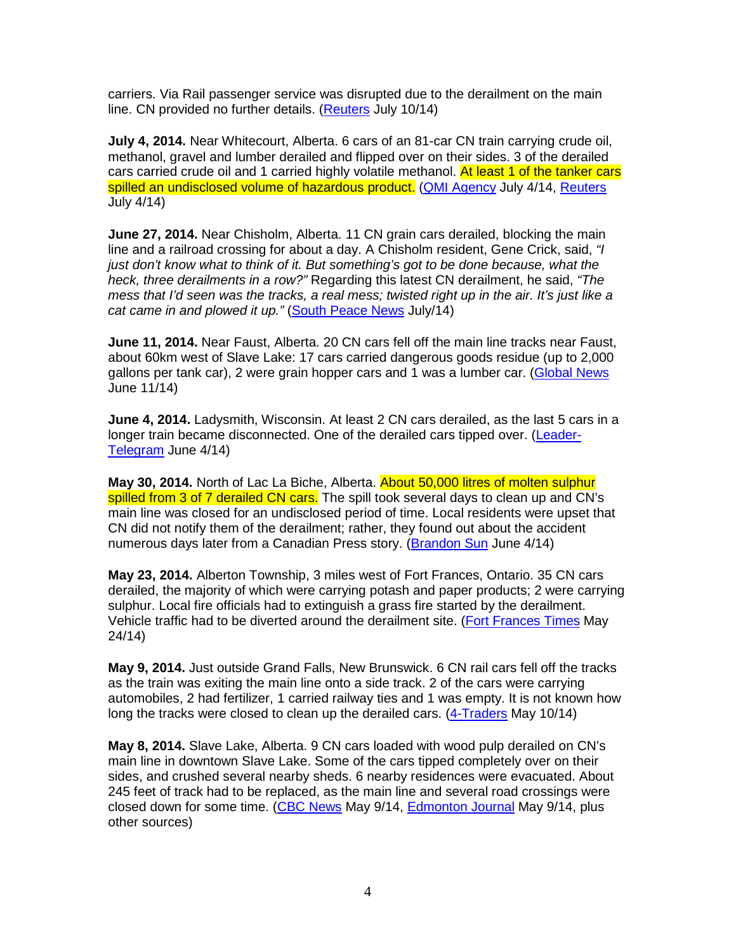carriers. Via Rail passenger service was disrupted due to the derailment on the main line. CN provided no further details. (Reuters July 10/14)

**July 4, 2014.** Near Whitecourt, Alberta. 6 cars of an 81-car CN train carrying crude oil, methanol, gravel and lumber derailed and flipped over on their sides. 3 of the derailed cars carried crude oil and 1 carried highly volatile methanol. At least 1 of the tanker cars spilled an undisclosed volume of hazardous product. (QMI Agency July 4/14, Reuters July 4/14)

**June 27, 2014.** Near Chisholm, Alberta. 11 CN grain cars derailed, blocking the main line and a railroad crossing for about a day. A Chisholm resident, Gene Crick, said, "I just don't know what to think of it. But something's got to be done because, what the heck, three derailments in a row?" Regarding this latest CN derailment, he said, "The mess that I'd seen was the tracks, a real mess; twisted right up in the air. It's just like a cat came in and plowed it up." (South Peace News July/14)

**June 11, 2014.** Near Faust, Alberta. 20 CN cars fell off the main line tracks near Faust, about 60km west of Slave Lake: 17 cars carried dangerous goods residue (up to 2,000 gallons per tank car), 2 were grain hopper cars and 1 was a lumber car. (Global News June 11/14)

**June 4, 2014.** Ladysmith, Wisconsin. At least 2 CN cars derailed, as the last 5 cars in a longer train became disconnected. One of the derailed cars tipped over. (Leader-Telegram June 4/14)

**May 30, 2014.** North of Lac La Biche, Alberta. About 50,000 litres of molten sulphur spilled from 3 of 7 derailed CN cars. The spill took several days to clean up and CN's main line was closed for an undisclosed period of time. Local residents were upset that CN did not notify them of the derailment; rather, they found out about the accident numerous days later from a Canadian Press story. (Brandon Sun June 4/14)

**May 23, 2014.** Alberton Township, 3 miles west of Fort Frances, Ontario. 35 CN cars derailed, the majority of which were carrying potash and paper products; 2 were carrying sulphur. Local fire officials had to extinguish a grass fire started by the derailment. Vehicle traffic had to be diverted around the derailment site. (Fort Frances Times May 24/14)

**May 9, 2014.** Just outside Grand Falls, New Brunswick. 6 CN rail cars fell off the tracks as the train was exiting the main line onto a side track. 2 of the cars were carrying automobiles, 2 had fertilizer, 1 carried railway ties and 1 was empty. It is not known how long the tracks were closed to clean up the derailed cars. (4-Traders May 10/14)

**May 8, 2014.** Slave Lake, Alberta. 9 CN cars loaded with wood pulp derailed on CN's main line in downtown Slave Lake. Some of the cars tipped completely over on their sides, and crushed several nearby sheds. 6 nearby residences were evacuated. About 245 feet of track had to be replaced, as the main line and several road crossings were closed down for some time. (CBC News May 9/14, Edmonton Journal May 9/14, plus other sources)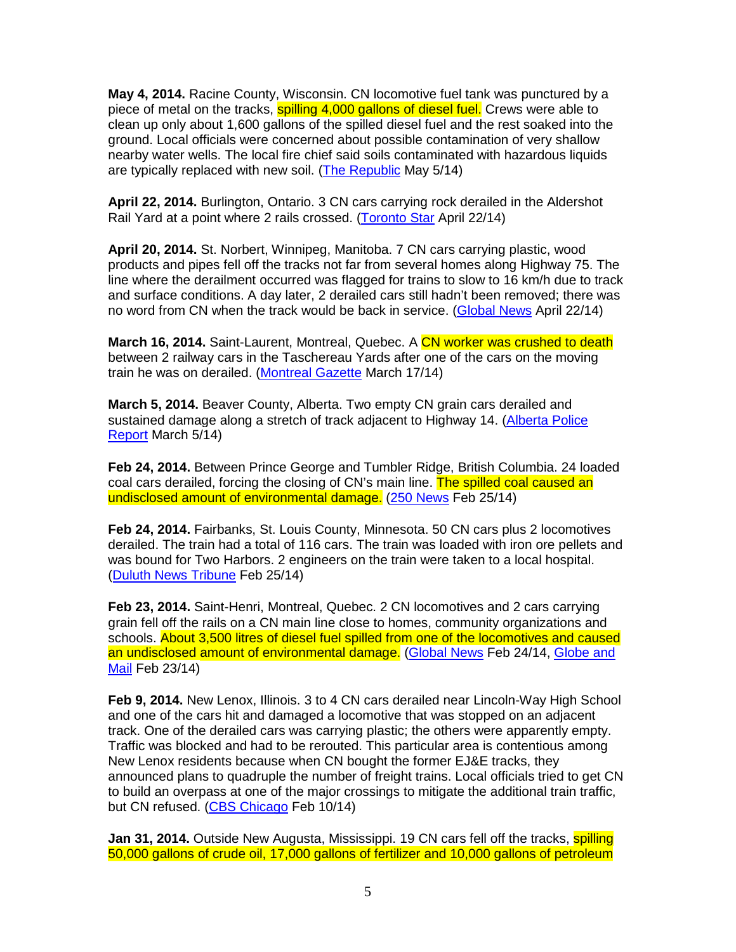**May 4, 2014.** Racine County, Wisconsin. CN locomotive fuel tank was punctured by a piece of metal on the tracks, spilling 4,000 gallons of diesel fuel. Crews were able to clean up only about 1,600 gallons of the spilled diesel fuel and the rest soaked into the ground. Local officials were concerned about possible contamination of very shallow nearby water wells. The local fire chief said soils contaminated with hazardous liquids are typically replaced with new soil. (The Republic May 5/14)

**April 22, 2014.** Burlington, Ontario. 3 CN cars carrying rock derailed in the Aldershot Rail Yard at a point where 2 rails crossed. (Toronto Star April 22/14)

**April 20, 2014.** St. Norbert, Winnipeg, Manitoba. 7 CN cars carrying plastic, wood products and pipes fell off the tracks not far from several homes along Highway 75. The line where the derailment occurred was flagged for trains to slow to 16 km/h due to track and surface conditions. A day later, 2 derailed cars still hadn't been removed; there was no word from CN when the track would be back in service. (Global News April 22/14)

**March 16, 2014.** Saint-Laurent, Montreal, Quebec. A CN worker was crushed to death between 2 railway cars in the Taschereau Yards after one of the cars on the moving train he was on derailed. (Montreal Gazette March 17/14)

**March 5, 2014.** Beaver County, Alberta. Two empty CN grain cars derailed and sustained damage along a stretch of track adjacent to Highway 14. (Alberta Police Report March 5/14)

**Feb 24, 2014.** Between Prince George and Tumbler Ridge, British Columbia. 24 loaded coal cars derailed, forcing the closing of CN's main line. The spilled coal caused an undisclosed amount of environmental damage. (250 News Feb 25/14)

**Feb 24, 2014.** Fairbanks, St. Louis County, Minnesota. 50 CN cars plus 2 locomotives derailed. The train had a total of 116 cars. The train was loaded with iron ore pellets and was bound for Two Harbors. 2 engineers on the train were taken to a local hospital. (Duluth News Tribune Feb 25/14)

**Feb 23, 2014.** Saint-Henri, Montreal, Quebec. 2 CN locomotives and 2 cars carrying grain fell off the rails on a CN main line close to homes, community organizations and schools. About 3,500 litres of diesel fuel spilled from one of the locomotives and caused an undisclosed amount of environmental damage. (Global News Feb 24/14, Globe and Mail Feb 23/14)

**Feb 9, 2014.** New Lenox, Illinois. 3 to 4 CN cars derailed near Lincoln-Way High School and one of the cars hit and damaged a locomotive that was stopped on an adjacent track. One of the derailed cars was carrying plastic; the others were apparently empty. Traffic was blocked and had to be rerouted. This particular area is contentious among New Lenox residents because when CN bought the former EJ&E tracks, they announced plans to quadruple the number of freight trains. Local officials tried to get CN to build an overpass at one of the major crossings to mitigate the additional train traffic, but CN refused. (CBS Chicago Feb 10/14)

**Jan 31, 2014.** Outside New Augusta, Mississippi. 19 CN cars fell off the tracks, **spilling** 50,000 gallons of crude oil, 17,000 gallons of fertilizer and 10,000 gallons of petroleum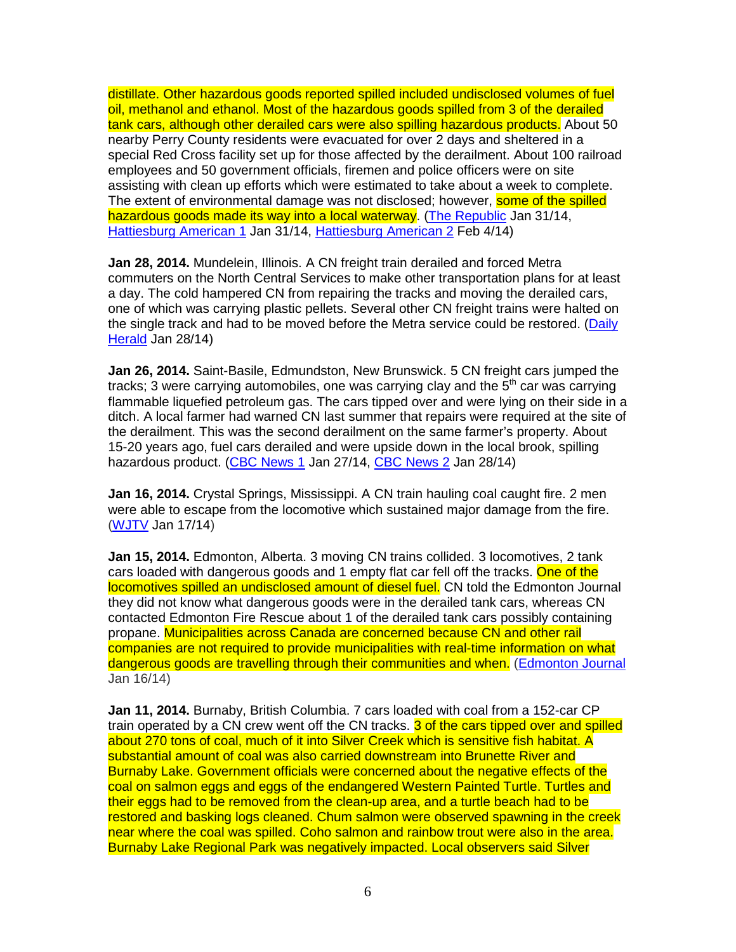distillate. Other hazardous goods reported spilled included undisclosed volumes of fuel oil, methanol and ethanol. Most of the hazardous goods spilled from 3 of the derailed tank cars, although other derailed cars were also spilling hazardous products. About 50 nearby Perry County residents were evacuated for over 2 days and sheltered in a special Red Cross facility set up for those affected by the derailment. About 100 railroad employees and 50 government officials, firemen and police officers were on site assisting with clean up efforts which were estimated to take about a week to complete. The extent of environmental damage was not disclosed; however, **some of the spilled** hazardous goods made its way into a local waterway. (The Republic Jan 31/14, Hattiesburg American 1 Jan 31/14, Hattiesburg American 2 Feb 4/14)

**Jan 28, 2014.** Mundelein, Illinois. A CN freight train derailed and forced Metra commuters on the North Central Services to make other transportation plans for at least a day. The cold hampered CN from repairing the tracks and moving the derailed cars, one of which was carrying plastic pellets. Several other CN freight trains were halted on the single track and had to be moved before the Metra service could be restored. (Daily Herald Jan 28/14)

**Jan 26, 2014.** Saint-Basile, Edmundston, New Brunswick. 5 CN freight cars jumped the tracks; 3 were carrying automobiles, one was carrying clay and the  $5<sup>th</sup>$  car was carrying flammable liquefied petroleum gas. The cars tipped over and were lying on their side in a ditch. A local farmer had warned CN last summer that repairs were required at the site of the derailment. This was the second derailment on the same farmer's property. About 15-20 years ago, fuel cars derailed and were upside down in the local brook, spilling hazardous product. (CBC News 1 Jan 27/14, CBC News 2 Jan 28/14)

**Jan 16, 2014.** Crystal Springs, Mississippi. A CN train hauling coal caught fire. 2 men were able to escape from the locomotive which sustained major damage from the fire. (WJTV Jan 17/14)

**Jan 15, 2014.** Edmonton, Alberta. 3 moving CN trains collided. 3 locomotives, 2 tank cars loaded with dangerous goods and 1 empty flat car fell off the tracks. One of the locomotives spilled an undisclosed amount of diesel fuel. CN told the Edmonton Journal they did not know what dangerous goods were in the derailed tank cars, whereas CN contacted Edmonton Fire Rescue about 1 of the derailed tank cars possibly containing propane. Municipalities across Canada are concerned because CN and other rail companies are not required to provide municipalities with real-time information on what dangerous goods are travelling through their communities and when. (Edmonton Journal Jan 16/14)

**Jan 11, 2014.** Burnaby, British Columbia. 7 cars loaded with coal from a 152-car CP train operated by a CN crew went off the CN tracks. 3 of the cars tipped over and spilled about 270 tons of coal, much of it into Silver Creek which is sensitive fish habitat. A substantial amount of coal was also carried downstream into Brunette River and Burnaby Lake. Government officials were concerned about the negative effects of the coal on salmon eggs and eggs of the endangered Western Painted Turtle. Turtles and their eggs had to be removed from the clean-up area, and a turtle beach had to be restored and basking logs cleaned. Chum salmon were observed spawning in the creek near where the coal was spilled. Coho salmon and rainbow trout were also in the area. Burnaby Lake Regional Park was negatively impacted. Local observers said Silver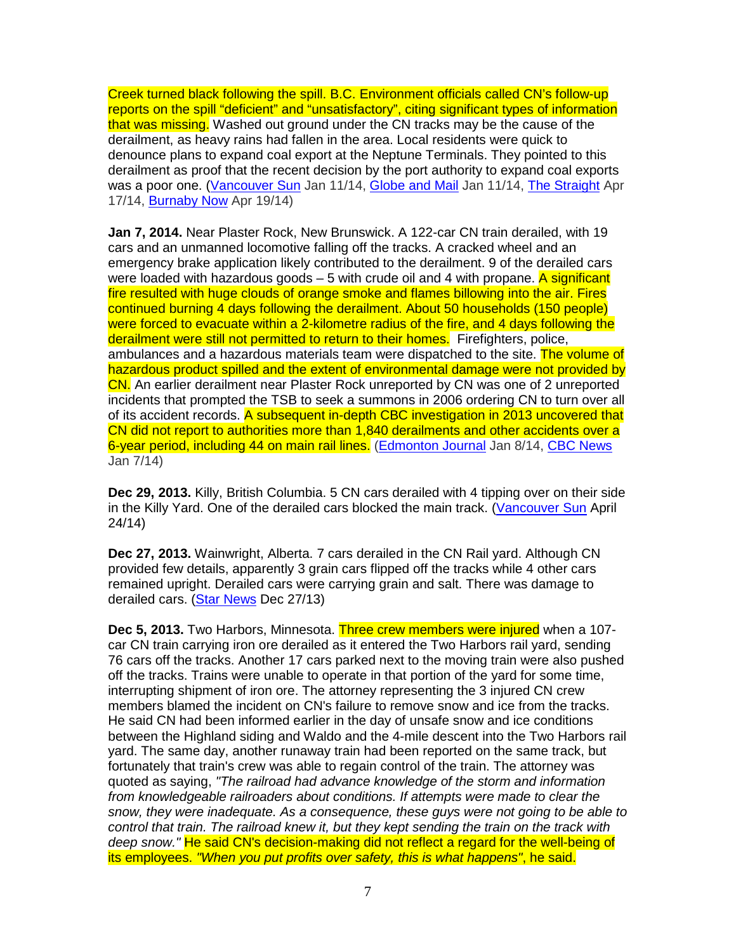Creek turned black following the spill. B.C. Environment officials called CN's follow-up reports on the spill "deficient" and "unsatisfactory", citing significant types of information that was missing. Washed out ground under the CN tracks may be the cause of the derailment, as heavy rains had fallen in the area. Local residents were quick to denounce plans to expand coal export at the Neptune Terminals. They pointed to this derailment as proof that the recent decision by the port authority to expand coal exports was a poor one. (Vancouver Sun Jan 11/14, Globe and Mail Jan 11/14, The Straight Apr 17/14, Burnaby Now Apr 19/14)

**Jan 7, 2014.** Near Plaster Rock, New Brunswick. A 122-car CN train derailed, with 19 cars and an unmanned locomotive falling off the tracks. A cracked wheel and an emergency brake application likely contributed to the derailment. 9 of the derailed cars were loaded with hazardous goods  $-5$  with crude oil and 4 with propane. A significant fire resulted with huge clouds of orange smoke and flames billowing into the air. Fires continued burning 4 days following the derailment. About 50 households (150 people) were forced to evacuate within a 2-kilometre radius of the fire, and 4 days following the derailment were still not permitted to return to their homes. Firefighters, police, ambulances and a hazardous materials team were dispatched to the site. The volume of hazardous product spilled and the extent of environmental damage were not provided by CN. An earlier derailment near Plaster Rock unreported by CN was one of 2 unreported incidents that prompted the TSB to seek a summons in 2006 ordering CN to turn over all of its accident records. A subsequent in-depth CBC investigation in 2013 uncovered that CN did not report to authorities more than 1,840 derailments and other accidents over a 6-year period, including 44 on main rail lines. (Edmonton Journal Jan 8/14, CBC News Jan 7/14)

**Dec 29, 2013.** Killy, British Columbia. 5 CN cars derailed with 4 tipping over on their side in the Killy Yard. One of the derailed cars blocked the main track. (Vancouver Sun April 24/14)

**Dec 27, 2013.** Wainwright, Alberta. 7 cars derailed in the CN Rail yard. Although CN provided few details, apparently 3 grain cars flipped off the tracks while 4 other cars remained upright. Derailed cars were carrying grain and salt. There was damage to derailed cars. (Star News Dec 27/13)

**Dec 5, 2013.** Two Harbors, Minnesota. Three crew members were injured when a 107 car CN train carrying iron ore derailed as it entered the Two Harbors rail yard, sending 76 cars off the tracks. Another 17 cars parked next to the moving train were also pushed off the tracks. Trains were unable to operate in that portion of the yard for some time, interrupting shipment of iron ore. The attorney representing the 3 injured CN crew members blamed the incident on CN's failure to remove snow and ice from the tracks. He said CN had been informed earlier in the day of unsafe snow and ice conditions between the Highland siding and Waldo and the 4-mile descent into the Two Harbors rail yard. The same day, another runaway train had been reported on the same track, but fortunately that train's crew was able to regain control of the train. The attorney was quoted as saying, "The railroad had advance knowledge of the storm and information from knowledgeable railroaders about conditions. If attempts were made to clear the snow, they were inadequate. As a consequence, these guys were not going to be able to control that train. The railroad knew it, but they kept sending the train on the track with deep snow." He said CN's decision-making did not reflect a regard for the well-being of its employees. "When you put profits over safety, this is what happens", he said.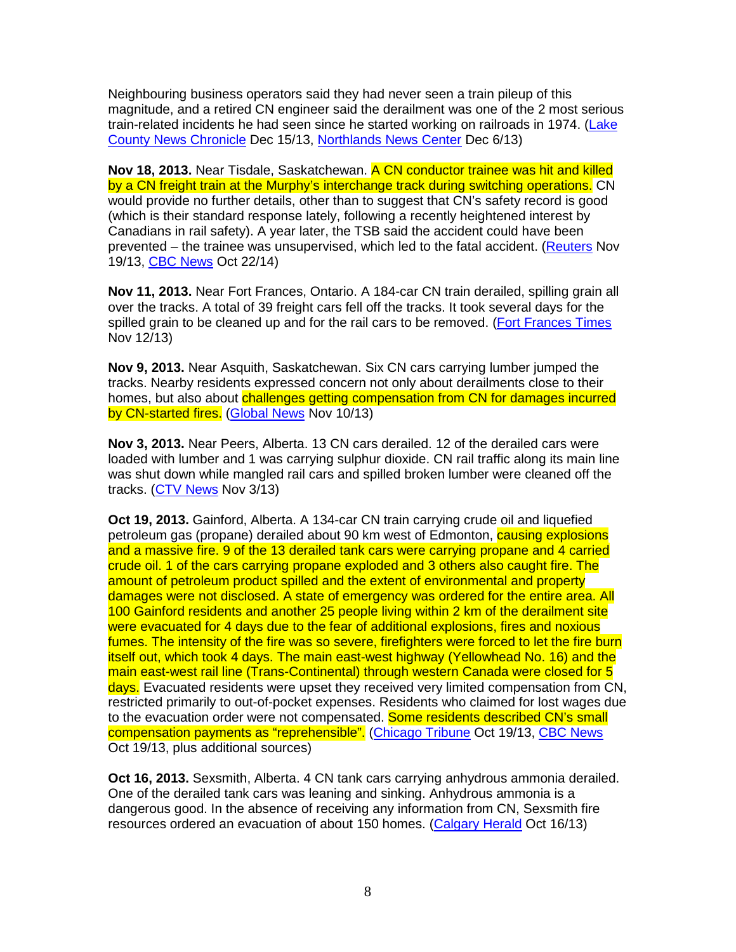Neighbouring business operators said they had never seen a train pileup of this magnitude, and a retired CN engineer said the derailment was one of the 2 most serious train-related incidents he had seen since he started working on railroads in 1974. (Lake County News Chronicle Dec 15/13, Northlands News Center Dec 6/13)

**Nov 18, 2013.** Near Tisdale, Saskatchewan. A CN conductor trainee was hit and killed by a CN freight train at the Murphy's interchange track during switching operations. CN would provide no further details, other than to suggest that CN's safety record is good (which is their standard response lately, following a recently heightened interest by Canadians in rail safety). A year later, the TSB said the accident could have been prevented – the trainee was unsupervised, which led to the fatal accident. (Reuters Nov 19/13, CBC News Oct 22/14)

**Nov 11, 2013.** Near Fort Frances, Ontario. A 184-car CN train derailed, spilling grain all over the tracks. A total of 39 freight cars fell off the tracks. It took several days for the spilled grain to be cleaned up and for the rail cars to be removed. (Fort Frances Times Nov 12/13)

**Nov 9, 2013.** Near Asquith, Saskatchewan. Six CN cars carrying lumber jumped the tracks. Nearby residents expressed concern not only about derailments close to their homes, but also about challenges getting compensation from CN for damages incurred by CN-started fires. (Global News Nov 10/13)

**Nov 3, 2013.** Near Peers, Alberta. 13 CN cars derailed. 12 of the derailed cars were loaded with lumber and 1 was carrying sulphur dioxide. CN rail traffic along its main line was shut down while mangled rail cars and spilled broken lumber were cleaned off the tracks. (CTV News Nov 3/13)

**Oct 19, 2013.** Gainford, Alberta. A 134-car CN train carrying crude oil and liquefied petroleum gas (propane) derailed about 90 km west of Edmonton, **causing explosions** and a massive fire. 9 of the 13 derailed tank cars were carrying propane and 4 carried crude oil. 1 of the cars carrying propane exploded and 3 others also caught fire. The amount of petroleum product spilled and the extent of environmental and property damages were not disclosed. A state of emergency was ordered for the entire area. All 100 Gainford residents and another 25 people living within 2 km of the derailment site were evacuated for 4 days due to the fear of additional explosions, fires and noxious fumes. The intensity of the fire was so severe, firefighters were forced to let the fire burn itself out, which took 4 days. The main east-west highway (Yellowhead No. 16) and the main east-west rail line (Trans-Continental) through western Canada were closed for 5 days. Evacuated residents were upset they received very limited compensation from CN, restricted primarily to out-of-pocket expenses. Residents who claimed for lost wages due to the evacuation order were not compensated. Some residents described CN's small compensation payments as "reprehensible". (Chicago Tribune Oct 19/13, CBC News Oct 19/13, plus additional sources)

**Oct 16, 2013.** Sexsmith, Alberta. 4 CN tank cars carrying anhydrous ammonia derailed. One of the derailed tank cars was leaning and sinking. Anhydrous ammonia is a dangerous good. In the absence of receiving any information from CN, Sexsmith fire resources ordered an evacuation of about 150 homes. (Calgary Herald Oct 16/13)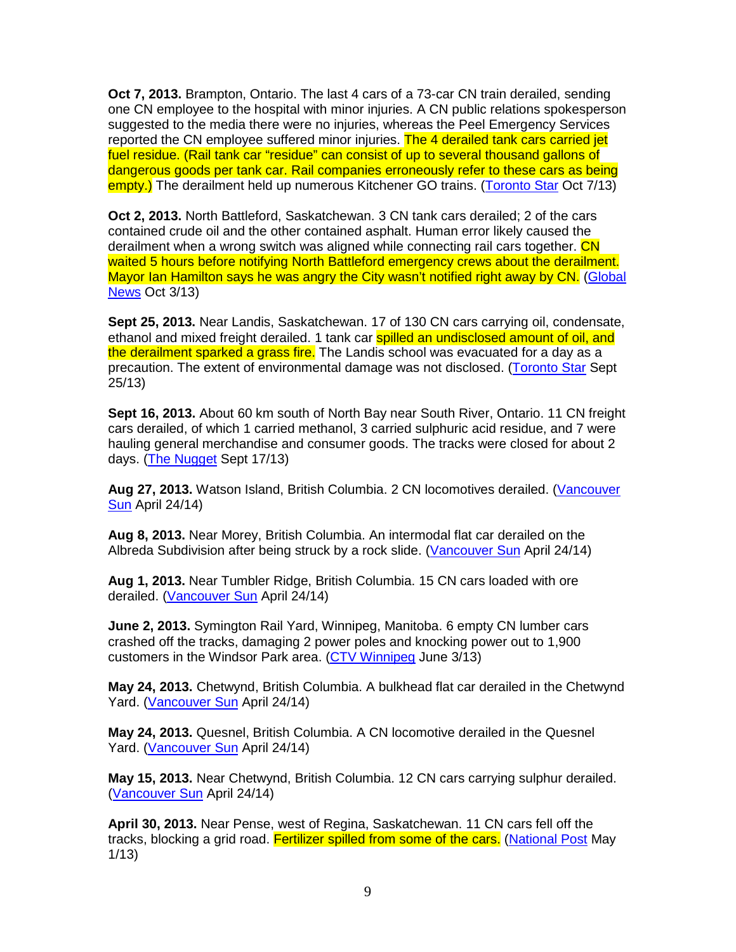**Oct 7, 2013.** Brampton, Ontario. The last 4 cars of a 73-car CN train derailed, sending one CN employee to the hospital with minor injuries. A CN public relations spokesperson suggested to the media there were no injuries, whereas the Peel Emergency Services reported the CN employee suffered minor injuries. The 4 derailed tank cars carried jet fuel residue. (Rail tank car "residue" can consist of up to several thousand gallons of dangerous goods per tank car. Rail companies erroneously refer to these cars as being empty.) The derailment held up numerous Kitchener GO trains. (Toronto Star Oct 7/13)

**Oct 2, 2013.** North Battleford, Saskatchewan. 3 CN tank cars derailed; 2 of the cars contained crude oil and the other contained asphalt. Human error likely caused the derailment when a wrong switch was aligned while connecting rail cars together. CN waited 5 hours before notifying North Battleford emergency crews about the derailment. Mayor Ian Hamilton says he was angry the City wasn't notified right away by CN. (Global News Oct 3/13)

**Sept 25, 2013.** Near Landis, Saskatchewan. 17 of 130 CN cars carrying oil, condensate, ethanol and mixed freight derailed. 1 tank car **spilled an undisclosed amount of oil, and** the derailment sparked a grass fire. The Landis school was evacuated for a day as a precaution. The extent of environmental damage was not disclosed. (Toronto Star Sept 25/13)

**Sept 16, 2013.** About 60 km south of North Bay near South River, Ontario. 11 CN freight cars derailed, of which 1 carried methanol, 3 carried sulphuric acid residue, and 7 were hauling general merchandise and consumer goods. The tracks were closed for about 2 days. (The Nugget Sept 17/13)

**Aug 27, 2013.** Watson Island, British Columbia. 2 CN locomotives derailed. (Vancouver Sun April 24/14)

**Aug 8, 2013.** Near Morey, British Columbia. An intermodal flat car derailed on the Albreda Subdivision after being struck by a rock slide. (Vancouver Sun April 24/14)

**Aug 1, 2013.** Near Tumbler Ridge, British Columbia. 15 CN cars loaded with ore derailed. (Vancouver Sun April 24/14)

**June 2, 2013.** Symington Rail Yard, Winnipeg, Manitoba. 6 empty CN lumber cars crashed off the tracks, damaging 2 power poles and knocking power out to 1,900 customers in the Windsor Park area. (CTV Winnipeg June 3/13)

**May 24, 2013.** Chetwynd, British Columbia. A bulkhead flat car derailed in the Chetwynd Yard. (Vancouver Sun April 24/14)

**May 24, 2013.** Quesnel, British Columbia. A CN locomotive derailed in the Quesnel Yard. (Vancouver Sun April 24/14)

**May 15, 2013.** Near Chetwynd, British Columbia. 12 CN cars carrying sulphur derailed. (Vancouver Sun April 24/14)

**April 30, 2013.** Near Pense, west of Regina, Saskatchewan. 11 CN cars fell off the tracks, blocking a grid road. Fertilizer spilled from some of the cars. (National Post May 1/13)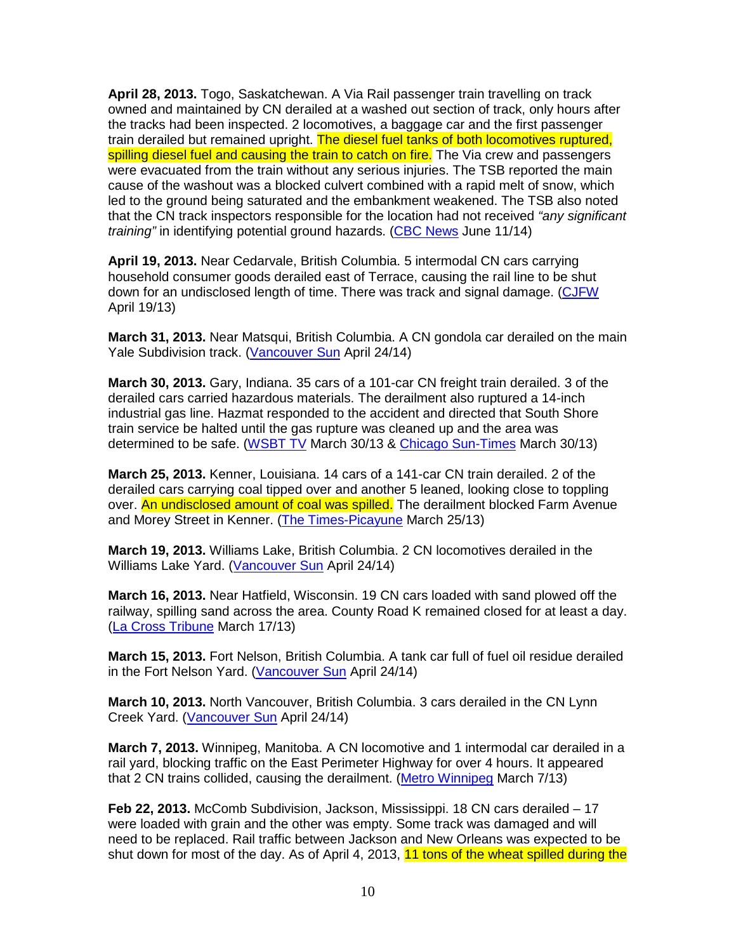**April 28, 2013.** Togo, Saskatchewan. A Via Rail passenger train travelling on track owned and maintained by CN derailed at a washed out section of track, only hours after the tracks had been inspected. 2 locomotives, a baggage car and the first passenger train derailed but remained upright. The diesel fuel tanks of both locomotives ruptured, spilling diesel fuel and causing the train to catch on fire. The Via crew and passengers were evacuated from the train without any serious injuries. The TSB reported the main cause of the washout was a blocked culvert combined with a rapid melt of snow, which led to the ground being saturated and the embankment weakened. The TSB also noted that the CN track inspectors responsible for the location had not received "any significant" training" in identifying potential ground hazards. (CBC News June 11/14)

**April 19, 2013.** Near Cedarvale, British Columbia. 5 intermodal CN cars carrying household consumer goods derailed east of Terrace, causing the rail line to be shut down for an undisclosed length of time. There was track and signal damage. (CJFW April 19/13)

**March 31, 2013.** Near Matsqui, British Columbia. A CN gondola car derailed on the main Yale Subdivision track. (Vancouver Sun April 24/14)

**March 30, 2013.** Gary, Indiana. 35 cars of a 101-car CN freight train derailed. 3 of the derailed cars carried hazardous materials. The derailment also ruptured a 14-inch industrial gas line. Hazmat responded to the accident and directed that South Shore train service be halted until the gas rupture was cleaned up and the area was determined to be safe. (WSBT TV March 30/13 & Chicago Sun-Times March 30/13)

**March 25, 2013.** Kenner, Louisiana. 14 cars of a 141-car CN train derailed. 2 of the derailed cars carrying coal tipped over and another 5 leaned, looking close to toppling over. An undisclosed amount of coal was spilled. The derailment blocked Farm Avenue and Morey Street in Kenner. (The Times-Picayune March 25/13)

**March 19, 2013.** Williams Lake, British Columbia. 2 CN locomotives derailed in the Williams Lake Yard. (Vancouver Sun April 24/14)

**March 16, 2013.** Near Hatfield, Wisconsin. 19 CN cars loaded with sand plowed off the railway, spilling sand across the area. County Road K remained closed for at least a day. (La Cross Tribune March 17/13)

**March 15, 2013.** Fort Nelson, British Columbia. A tank car full of fuel oil residue derailed in the Fort Nelson Yard. (Vancouver Sun April 24/14)

**March 10, 2013.** North Vancouver, British Columbia. 3 cars derailed in the CN Lynn Creek Yard. (Vancouver Sun April 24/14)

**March 7, 2013.** Winnipeg, Manitoba. A CN locomotive and 1 intermodal car derailed in a rail yard, blocking traffic on the East Perimeter Highway for over 4 hours. It appeared that 2 CN trains collided, causing the derailment. (Metro Winnipeg March 7/13)

**Feb 22, 2013.** McComb Subdivision, Jackson, Mississippi. 18 CN cars derailed – 17 were loaded with grain and the other was empty. Some track was damaged and will need to be replaced. Rail traffic between Jackson and New Orleans was expected to be shut down for most of the day. As of April 4, 2013, 11 tons of the wheat spilled during the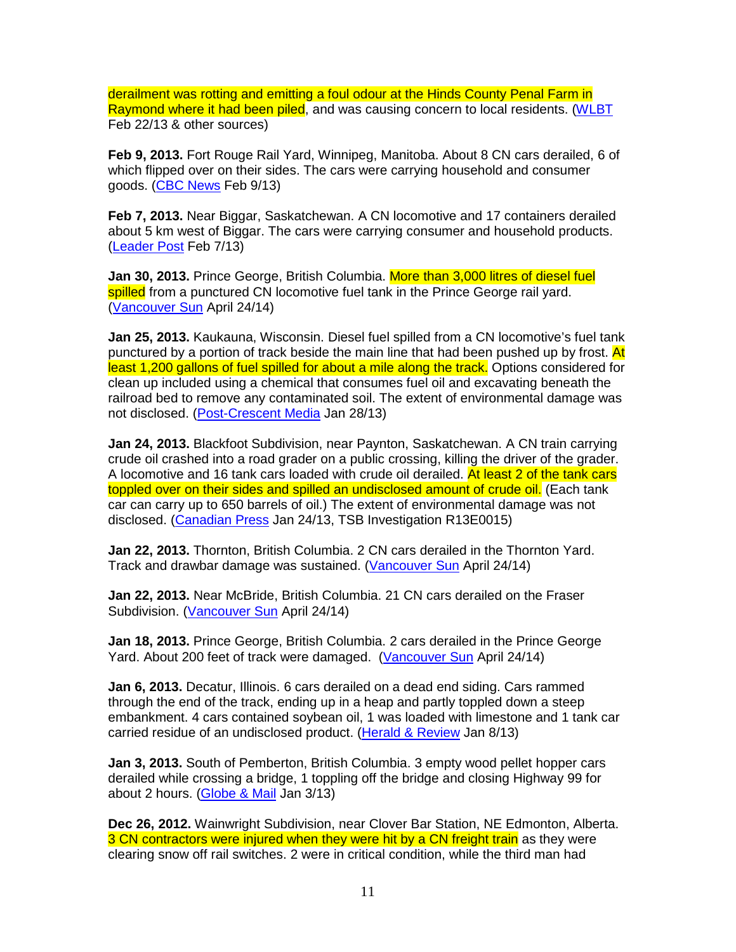derailment was rotting and emitting a foul odour at the Hinds County Penal Farm in Raymond where it had been piled, and was causing concern to local residents. (WLBT Feb 22/13 & other sources)

**Feb 9, 2013.** Fort Rouge Rail Yard, Winnipeg, Manitoba. About 8 CN cars derailed, 6 of which flipped over on their sides. The cars were carrying household and consumer goods. (CBC News Feb 9/13)

**Feb 7, 2013.** Near Biggar, Saskatchewan. A CN locomotive and 17 containers derailed about 5 km west of Biggar. The cars were carrying consumer and household products. (Leader Post Feb 7/13)

Jan 30, 2013. Prince George, British Columbia. More than 3,000 litres of diesel fuel spilled from a punctured CN locomotive fuel tank in the Prince George rail yard. (Vancouver Sun April 24/14)

**Jan 25, 2013.** Kaukauna, Wisconsin. Diesel fuel spilled from a CN locomotive's fuel tank punctured by a portion of track beside the main line that had been pushed up by frost. At least 1,200 gallons of fuel spilled for about a mile along the track. Options considered for clean up included using a chemical that consumes fuel oil and excavating beneath the railroad bed to remove any contaminated soil. The extent of environmental damage was not disclosed. (Post-Crescent Media Jan 28/13)

**Jan 24, 2013.** Blackfoot Subdivision, near Paynton, Saskatchewan. A CN train carrying crude oil crashed into a road grader on a public crossing, killing the driver of the grader. A locomotive and 16 tank cars loaded with crude oil derailed. At least 2 of the tank cars toppled over on their sides and spilled an undisclosed amount of crude oil. (Each tank car can carry up to 650 barrels of oil.) The extent of environmental damage was not disclosed. (Canadian Press Jan 24/13, TSB Investigation R13E0015)

**Jan 22, 2013.** Thornton, British Columbia. 2 CN cars derailed in the Thornton Yard. Track and drawbar damage was sustained. (Vancouver Sun April 24/14)

**Jan 22, 2013.** Near McBride, British Columbia. 21 CN cars derailed on the Fraser Subdivision. (Vancouver Sun April 24/14)

**Jan 18, 2013.** Prince George, British Columbia. 2 cars derailed in the Prince George Yard. About 200 feet of track were damaged. (Vancouver Sun April 24/14)

**Jan 6, 2013.** Decatur, Illinois. 6 cars derailed on a dead end siding. Cars rammed through the end of the track, ending up in a heap and partly toppled down a steep embankment. 4 cars contained soybean oil, 1 was loaded with limestone and 1 tank car carried residue of an undisclosed product. (Herald & Review Jan 8/13)

**Jan 3, 2013.** South of Pemberton, British Columbia. 3 empty wood pellet hopper cars derailed while crossing a bridge, 1 toppling off the bridge and closing Highway 99 for about 2 hours. (Globe & Mail Jan 3/13)

**Dec 26, 2012.** Wainwright Subdivision, near Clover Bar Station, NE Edmonton, Alberta. 3 CN contractors were injured when they were hit by a CN freight train as they were clearing snow off rail switches. 2 were in critical condition, while the third man had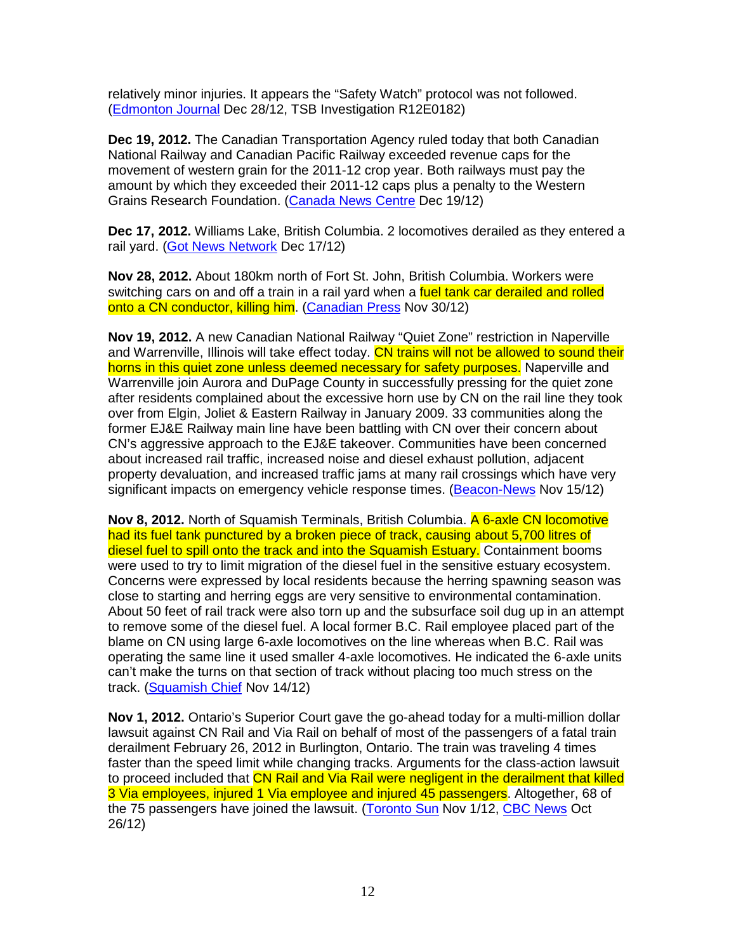relatively minor injuries. It appears the "Safety Watch" protocol was not followed. (Edmonton Journal Dec 28/12, TSB Investigation R12E0182)

**Dec 19, 2012.** The Canadian Transportation Agency ruled today that both Canadian National Railway and Canadian Pacific Railway exceeded revenue caps for the movement of western grain for the 2011-12 crop year. Both railways must pay the amount by which they exceeded their 2011-12 caps plus a penalty to the Western Grains Research Foundation. (Canada News Centre Dec 19/12)

**Dec 17, 2012.** Williams Lake, British Columbia. 2 locomotives derailed as they entered a rail vard. (Got News Network Dec 17/12)

**Nov 28, 2012.** About 180km north of Fort St. John, British Columbia. Workers were switching cars on and off a train in a rail yard when a fuel tank car derailed and rolled onto a CN conductor, killing him. (Canadian Press Nov 30/12)

**Nov 19, 2012.** A new Canadian National Railway "Quiet Zone" restriction in Naperville and Warrenville, Illinois will take effect today. CN trains will not be allowed to sound their horns in this quiet zone unless deemed necessary for safety purposes. Naperville and Warrenville join Aurora and DuPage County in successfully pressing for the quiet zone after residents complained about the excessive horn use by CN on the rail line they took over from Elgin, Joliet & Eastern Railway in January 2009. 33 communities along the former EJ&E Railway main line have been battling with CN over their concern about CN's aggressive approach to the EJ&E takeover. Communities have been concerned about increased rail traffic, increased noise and diesel exhaust pollution, adjacent property devaluation, and increased traffic jams at many rail crossings which have very significant impacts on emergency vehicle response times. (Beacon-News Nov 15/12)

**Nov 8, 2012.** North of Squamish Terminals, British Columbia. A 6-axle CN locomotive had its fuel tank punctured by a broken piece of track, causing about 5,700 litres of diesel fuel to spill onto the track and into the Squamish Estuary. Containment booms were used to try to limit migration of the diesel fuel in the sensitive estuary ecosystem. Concerns were expressed by local residents because the herring spawning season was close to starting and herring eggs are very sensitive to environmental contamination. About 50 feet of rail track were also torn up and the subsurface soil dug up in an attempt to remove some of the diesel fuel. A local former B.C. Rail employee placed part of the blame on CN using large 6-axle locomotives on the line whereas when B.C. Rail was operating the same line it used smaller 4-axle locomotives. He indicated the 6-axle units can't make the turns on that section of track without placing too much stress on the track. (Squamish Chief Nov 14/12)

**Nov 1, 2012.** Ontario's Superior Court gave the go-ahead today for a multi-million dollar lawsuit against CN Rail and Via Rail on behalf of most of the passengers of a fatal train derailment February 26, 2012 in Burlington, Ontario. The train was traveling 4 times faster than the speed limit while changing tracks. Arguments for the class-action lawsuit to proceed included that CN Rail and Via Rail were negligent in the derailment that killed 3 Via employees, injured 1 Via employee and injured 45 passengers. Altogether, 68 of the 75 passengers have joined the lawsuit. (Toronto Sun Nov 1/12, CBC News Oct 26/12)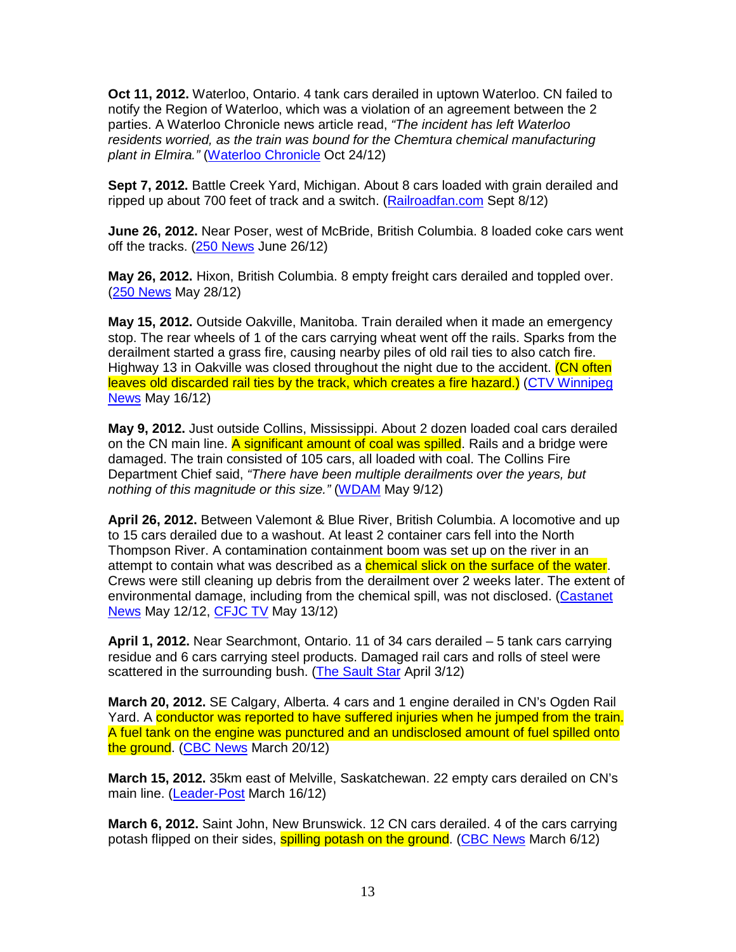**Oct 11, 2012.** Waterloo, Ontario. 4 tank cars derailed in uptown Waterloo. CN failed to notify the Region of Waterloo, which was a violation of an agreement between the 2 parties. A Waterloo Chronicle news article read, "The incident has left Waterloo residents worried, as the train was bound for the Chemtura chemical manufacturing plant in Elmira." (Waterloo Chronicle Oct 24/12)

**Sept 7, 2012.** Battle Creek Yard, Michigan. About 8 cars loaded with grain derailed and ripped up about 700 feet of track and a switch. (Railroadfan.com Sept 8/12)

**June 26, 2012.** Near Poser, west of McBride, British Columbia. 8 loaded coke cars went off the tracks. (250 News June 26/12)

**May 26, 2012.** Hixon, British Columbia. 8 empty freight cars derailed and toppled over. (250 News May 28/12)

**May 15, 2012.** Outside Oakville, Manitoba. Train derailed when it made an emergency stop. The rear wheels of 1 of the cars carrying wheat went off the rails. Sparks from the derailment started a grass fire, causing nearby piles of old rail ties to also catch fire. Highway 13 in Oakville was closed throughout the night due to the accident. (CN often leaves old discarded rail ties by the track, which creates a fire hazard.) (CTV Winnipeg News May 16/12)

**May 9, 2012.** Just outside Collins, Mississippi. About 2 dozen loaded coal cars derailed on the CN main line. A significant amount of coal was spilled. Rails and a bridge were damaged. The train consisted of 105 cars, all loaded with coal. The Collins Fire Department Chief said, "There have been multiple derailments over the years, but nothing of this magnitude or this size." (WDAM May 9/12)

**April 26, 2012.** Between Valemont & Blue River, British Columbia. A locomotive and up to 15 cars derailed due to a washout. At least 2 container cars fell into the North Thompson River. A contamination containment boom was set up on the river in an attempt to contain what was described as a **chemical slick on the surface of the water**. Crews were still cleaning up debris from the derailment over 2 weeks later. The extent of environmental damage, including from the chemical spill, was not disclosed. (Castanet News May 12/12, CFJC TV May 13/12)

**April 1, 2012.** Near Searchmont, Ontario. 11 of 34 cars derailed – 5 tank cars carrying residue and 6 cars carrying steel products. Damaged rail cars and rolls of steel were scattered in the surrounding bush. (The Sault Star April 3/12)

**March 20, 2012.** SE Calgary, Alberta. 4 cars and 1 engine derailed in CN's Ogden Rail Yard. A conductor was reported to have suffered injuries when he jumped from the train. A fuel tank on the engine was punctured and an undisclosed amount of fuel spilled onto the ground. (CBC News March 20/12)

**March 15, 2012.** 35km east of Melville, Saskatchewan. 22 empty cars derailed on CN's main line. (Leader-Post March 16/12)

**March 6, 2012.** Saint John, New Brunswick. 12 CN cars derailed. 4 of the cars carrying potash flipped on their sides, spilling potash on the ground. (CBC News March 6/12)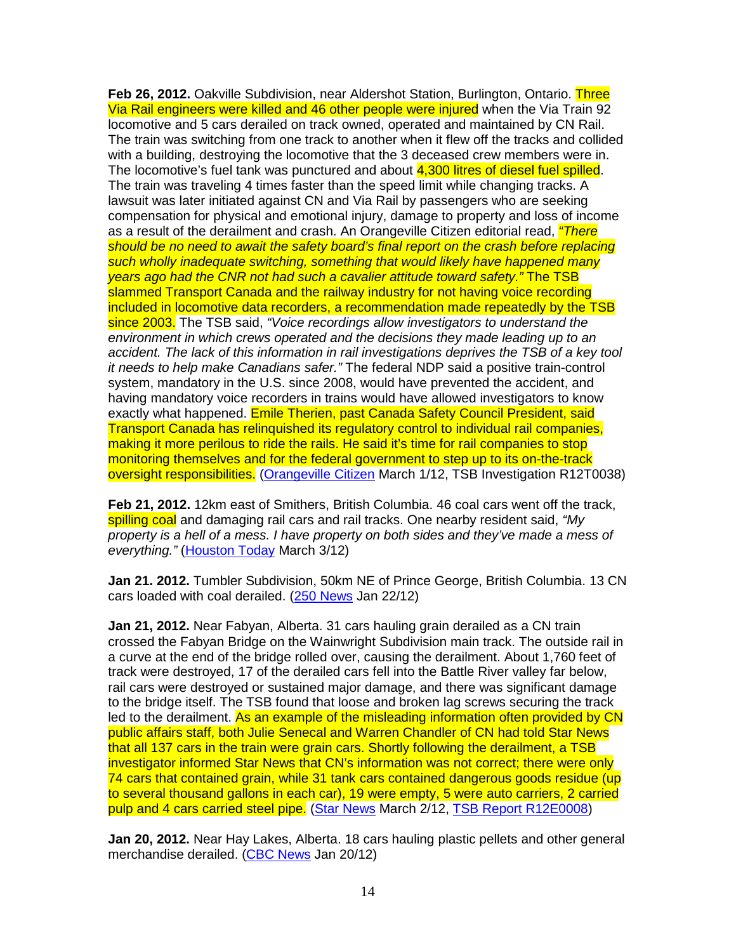**Feb 26, 2012.** Oakville Subdivision, near Aldershot Station, Burlington, Ontario. Three Via Rail engineers were killed and 46 other people were injured when the Via Train 92 locomotive and 5 cars derailed on track owned, operated and maintained by CN Rail. The train was switching from one track to another when it flew off the tracks and collided with a building, destroying the locomotive that the 3 deceased crew members were in. The locomotive's fuel tank was punctured and about 4,300 litres of diesel fuel spilled. The train was traveling 4 times faster than the speed limit while changing tracks. A lawsuit was later initiated against CN and Via Rail by passengers who are seeking compensation for physical and emotional injury, damage to property and loss of income as a result of the derailment and crash. An Orangeville Citizen editorial read, *"There* should be no need to await the safety board's final report on the crash before replacing such wholly inadequate switching, something that would likely have happened many years ago had the CNR not had such a cavalier attitude toward safety." The TSB slammed Transport Canada and the railway industry for not having voice recording included in locomotive data recorders, a recommendation made repeatedly by the TSB since 2003. The TSB said, "Voice recordings allow investigators to understand the environment in which crews operated and the decisions they made leading up to an accident. The lack of this information in rail investigations deprives the TSB of a key tool it needs to help make Canadians safer." The federal NDP said a positive train-control system, mandatory in the U.S. since 2008, would have prevented the accident, and having mandatory voice recorders in trains would have allowed investigators to know exactly what happened. Emile Therien, past Canada Safety Council President, said Transport Canada has relinquished its regulatory control to individual rail companies, making it more perilous to ride the rails. He said it's time for rail companies to stop monitoring themselves and for the federal government to step up to its on-the-track oversight responsibilities. (Orangeville Citizen March 1/12, TSB Investigation R12T0038)

**Feb 21, 2012.** 12km east of Smithers, British Columbia. 46 coal cars went off the track, spilling coal and damaging rail cars and rail tracks. One nearby resident said, "My property is a hell of a mess. I have property on both sides and they've made a mess of everything." (Houston Today March 3/12)

**Jan 21. 2012.** Tumbler Subdivision, 50km NE of Prince George, British Columbia. 13 CN cars loaded with coal derailed. (250 News Jan 22/12)

**Jan 21, 2012.** Near Fabyan, Alberta. 31 cars hauling grain derailed as a CN train crossed the Fabyan Bridge on the Wainwright Subdivision main track. The outside rail in a curve at the end of the bridge rolled over, causing the derailment. About 1,760 feet of track were destroyed, 17 of the derailed cars fell into the Battle River valley far below, rail cars were destroyed or sustained major damage, and there was significant damage to the bridge itself. The TSB found that loose and broken lag screws securing the track led to the derailment. As an example of the misleading information often provided by CN public affairs staff, both Julie Senecal and Warren Chandler of CN had told Star News that all 137 cars in the train were grain cars. Shortly following the derailment, a TSB investigator informed Star News that CN's information was not correct; there were only 74 cars that contained grain, while 31 tank cars contained dangerous goods residue (up to several thousand gallons in each car), 19 were empty, 5 were auto carriers, 2 carried pulp and 4 cars carried steel pipe. (Star News March 2/12, TSB Report R12E0008)

**Jan 20, 2012.** Near Hay Lakes, Alberta. 18 cars hauling plastic pellets and other general merchandise derailed. (CBC News Jan 20/12)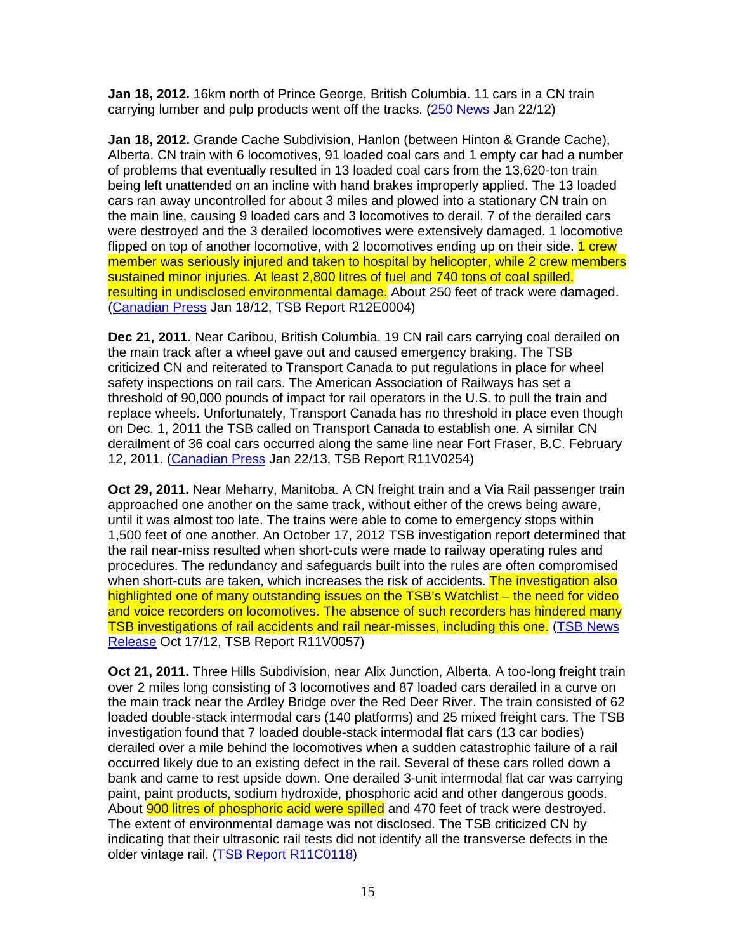**Jan 18, 2012.** 16km north of Prince George, British Columbia. 11 cars in a CN train carrying lumber and pulp products went off the tracks. (250 News Jan 22/12)

**Jan 18, 2012.** Grande Cache Subdivision, Hanlon (between Hinton & Grande Cache), Alberta. CN train with 6 locomotives, 91 loaded coal cars and 1 empty car had a number of problems that eventually resulted in 13 loaded coal cars from the 13,620-ton train being left unattended on an incline with hand brakes improperly applied. The 13 loaded cars ran away uncontrolled for about 3 miles and plowed into a stationary CN train on the main line, causing 9 loaded cars and 3 locomotives to derail. 7 of the derailed cars were destroyed and the 3 derailed locomotives were extensively damaged. 1 locomotive flipped on top of another locomotive, with 2 locomotives ending up on their side. 1 crew member was seriously injured and taken to hospital by helicopter, while 2 crew members sustained minor injuries. At least 2,800 litres of fuel and 740 tons of coal spilled, resulting in undisclosed environmental damage. About 250 feet of track were damaged. (Canadian Press Jan 18/12, TSB Report R12E0004)

**Dec 21, 2011.** Near Caribou, British Columbia. 19 CN rail cars carrying coal derailed on the main track after a wheel gave out and caused emergency braking. The TSB criticized CN and reiterated to Transport Canada to put regulations in place for wheel safety inspections on rail cars. The American Association of Railways has set a threshold of 90,000 pounds of impact for rail operators in the U.S. to pull the train and replace wheels. Unfortunately, Transport Canada has no threshold in place even though on Dec. 1, 2011 the TSB called on Transport Canada to establish one. A similar CN derailment of 36 coal cars occurred along the same line near Fort Fraser, B.C. February 12, 2011. (Canadian Press Jan 22/13, TSB Report R11V0254)

**Oct 29, 2011.** Near Meharry, Manitoba. A CN freight train and a Via Rail passenger train approached one another on the same track, without either of the crews being aware, until it was almost too late. The trains were able to come to emergency stops within 1,500 feet of one another. An October 17, 2012 TSB investigation report determined that the rail near-miss resulted when short-cuts were made to railway operating rules and procedures. The redundancy and safeguards built into the rules are often compromised when short-cuts are taken, which increases the risk of accidents. The investigation also highlighted one of many outstanding issues on the TSB's Watchlist – the need for video and voice recorders on locomotives. The absence of such recorders has hindered many TSB investigations of rail accidents and rail near-misses, including this one. (TSB News Release Oct 17/12, TSB Report R11V0057)

**Oct 21, 2011.** Three Hills Subdivision, near Alix Junction, Alberta. A too-long freight train over 2 miles long consisting of 3 locomotives and 87 loaded cars derailed in a curve on the main track near the Ardley Bridge over the Red Deer River. The train consisted of 62 loaded double-stack intermodal cars (140 platforms) and 25 mixed freight cars. The TSB investigation found that 7 loaded double-stack intermodal flat cars (13 car bodies) derailed over a mile behind the locomotives when a sudden catastrophic failure of a rail occurred likely due to an existing defect in the rail. Several of these cars rolled down a bank and came to rest upside down. One derailed 3-unit intermodal flat car was carrying paint, paint products, sodium hydroxide, phosphoric acid and other dangerous goods. About 900 litres of phosphoric acid were spilled and 470 feet of track were destroyed. The extent of environmental damage was not disclosed. The TSB criticized CN by indicating that their ultrasonic rail tests did not identify all the transverse defects in the older vintage rail. (TSB Report R11C0118)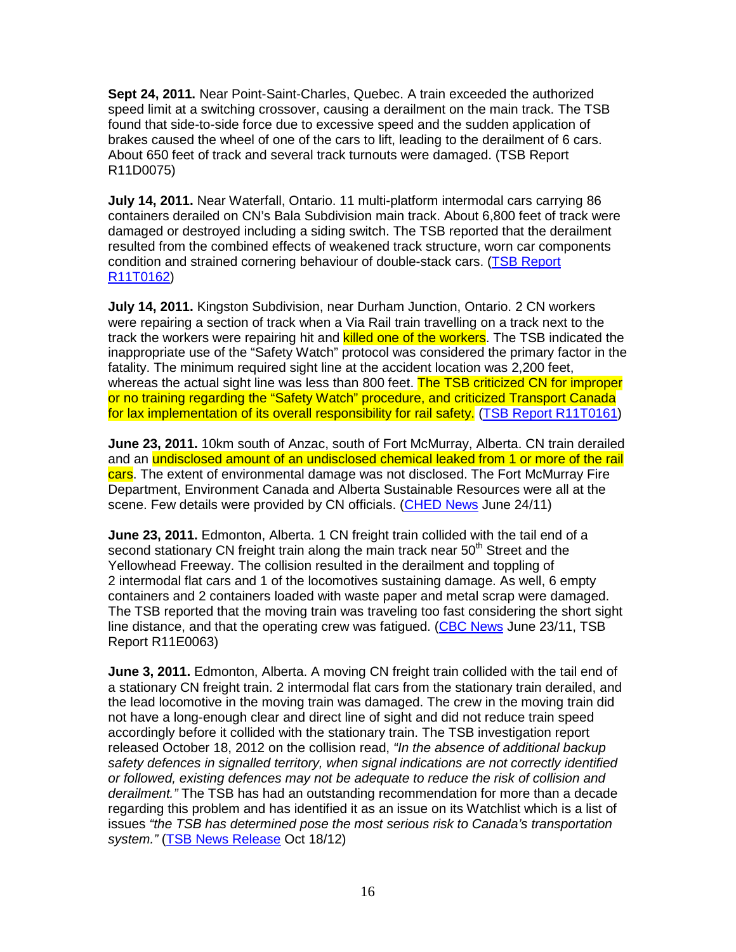**Sept 24, 2011.** Near Point-Saint-Charles, Quebec. A train exceeded the authorized speed limit at a switching crossover, causing a derailment on the main track. The TSB found that side-to-side force due to excessive speed and the sudden application of brakes caused the wheel of one of the cars to lift, leading to the derailment of 6 cars. About 650 feet of track and several track turnouts were damaged. (TSB Report R11D0075)

**July 14, 2011.** Near Waterfall, Ontario. 11 multi-platform intermodal cars carrying 86 containers derailed on CN's Bala Subdivision main track. About 6,800 feet of track were damaged or destroyed including a siding switch. The TSB reported that the derailment resulted from the combined effects of weakened track structure, worn car components condition and strained cornering behaviour of double-stack cars. (TSB Report R11T0162)

**July 14, 2011.** Kingston Subdivision, near Durham Junction, Ontario. 2 CN workers were repairing a section of track when a Via Rail train travelling on a track next to the track the workers were repairing hit and **killed one of the workers**. The TSB indicated the inappropriate use of the "Safety Watch" protocol was considered the primary factor in the fatality. The minimum required sight line at the accident location was 2,200 feet, whereas the actual sight line was less than 800 feet. The TSB criticized CN for improper or no training regarding the "Safety Watch" procedure, and criticized Transport Canada for lax implementation of its overall responsibility for rail safety. (TSB Report R11T0161)

**June 23, 2011.** 10km south of Anzac, south of Fort McMurray, Alberta. CN train derailed and an undisclosed amount of an undisclosed chemical leaked from 1 or more of the rail cars. The extent of environmental damage was not disclosed. The Fort McMurray Fire Department, Environment Canada and Alberta Sustainable Resources were all at the scene. Few details were provided by CN officials. (CHED News June 24/11)

**June 23, 2011.** Edmonton, Alberta. 1 CN freight train collided with the tail end of a second stationary CN freight train along the main track near 50<sup>th</sup> Street and the Yellowhead Freeway. The collision resulted in the derailment and toppling of 2 intermodal flat cars and 1 of the locomotives sustaining damage. As well, 6 empty containers and 2 containers loaded with waste paper and metal scrap were damaged. The TSB reported that the moving train was traveling too fast considering the short sight line distance, and that the operating crew was fatigued. (CBC News June 23/11, TSB Report R11E0063)

**June 3, 2011.** Edmonton, Alberta. A moving CN freight train collided with the tail end of a stationary CN freight train. 2 intermodal flat cars from the stationary train derailed, and the lead locomotive in the moving train was damaged. The crew in the moving train did not have a long-enough clear and direct line of sight and did not reduce train speed accordingly before it collided with the stationary train. The TSB investigation report released October 18, 2012 on the collision read, "In the absence of additional backup safety defences in signalled territory, when signal indications are not correctly identified or followed, existing defences may not be adequate to reduce the risk of collision and derailment." The TSB has had an outstanding recommendation for more than a decade regarding this problem and has identified it as an issue on its Watchlist which is a list of issues "the TSB has determined pose the most serious risk to Canada's transportation system." (TSB News Release Oct 18/12)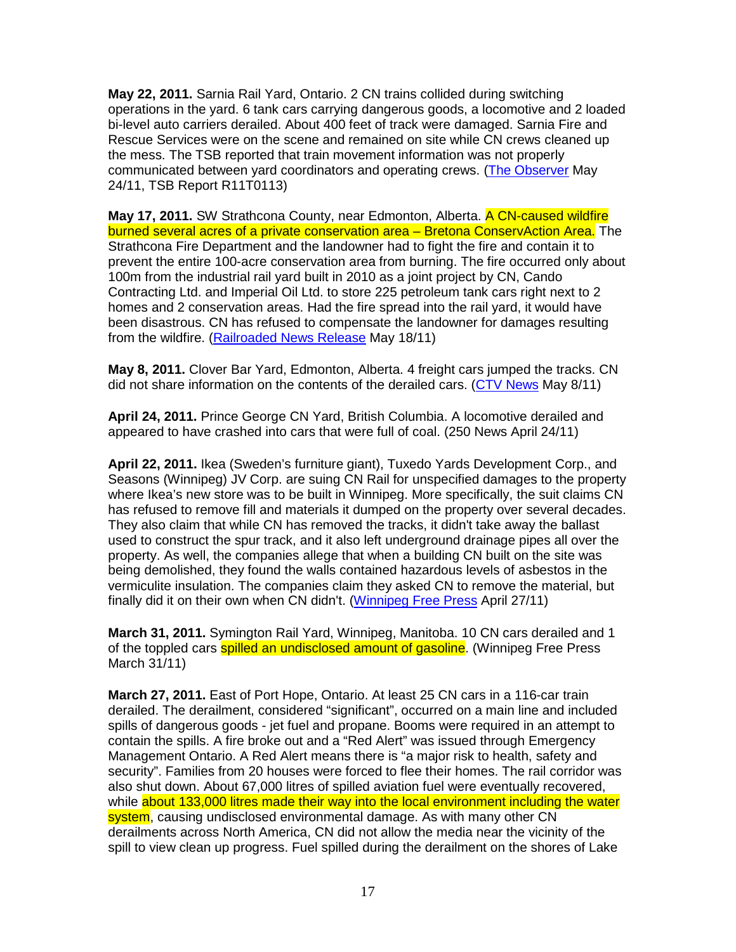**May 22, 2011.** Sarnia Rail Yard, Ontario. 2 CN trains collided during switching operations in the yard. 6 tank cars carrying dangerous goods, a locomotive and 2 loaded bi-level auto carriers derailed. About 400 feet of track were damaged. Sarnia Fire and Rescue Services were on the scene and remained on site while CN crews cleaned up the mess. The TSB reported that train movement information was not properly communicated between yard coordinators and operating crews. (The Observer May 24/11, TSB Report R11T0113)

**May 17, 2011.** SW Strathcona County, near Edmonton, Alberta. A CN-caused wildfire burned several acres of a private conservation area – Bretona ConservAction Area. The Strathcona Fire Department and the landowner had to fight the fire and contain it to prevent the entire 100-acre conservation area from burning. The fire occurred only about 100m from the industrial rail yard built in 2010 as a joint project by CN, Cando Contracting Ltd. and Imperial Oil Ltd. to store 225 petroleum tank cars right next to 2 homes and 2 conservation areas. Had the fire spread into the rail yard, it would have been disastrous. CN has refused to compensate the landowner for damages resulting from the wildfire. (Railroaded News Release May 18/11)

**May 8, 2011.** Clover Bar Yard, Edmonton, Alberta. 4 freight cars jumped the tracks. CN did not share information on the contents of the derailed cars. (CTV News May 8/11)

**April 24, 2011.** Prince George CN Yard, British Columbia. A locomotive derailed and appeared to have crashed into cars that were full of coal. (250 News April 24/11)

**April 22, 2011.** Ikea (Sweden's furniture giant), Tuxedo Yards Development Corp., and Seasons (Winnipeg) JV Corp. are suing CN Rail for unspecified damages to the property where Ikea's new store was to be built in Winnipeg. More specifically, the suit claims CN has refused to remove fill and materials it dumped on the property over several decades. They also claim that while CN has removed the tracks, it didn't take away the ballast used to construct the spur track, and it also left underground drainage pipes all over the property. As well, the companies allege that when a building CN built on the site was being demolished, they found the walls contained hazardous levels of asbestos in the vermiculite insulation. The companies claim they asked CN to remove the material, but finally did it on their own when CN didn't. (Winnipeg Free Press April 27/11)

**March 31, 2011.** Symington Rail Yard, Winnipeg, Manitoba. 10 CN cars derailed and 1 of the toppled cars **spilled an undisclosed amount of gasoline**. (Winnipeg Free Press March 31/11)

**March 27, 2011.** East of Port Hope, Ontario. At least 25 CN cars in a 116-car train derailed. The derailment, considered "significant", occurred on a main line and included spills of dangerous goods - jet fuel and propane. Booms were required in an attempt to contain the spills. A fire broke out and a "Red Alert" was issued through Emergency Management Ontario. A Red Alert means there is "a major risk to health, safety and security". Families from 20 houses were forced to flee their homes. The rail corridor was also shut down. About 67,000 litres of spilled aviation fuel were eventually recovered, while about 133,000 litres made their way into the local environment including the water system, causing undisclosed environmental damage. As with many other CN derailments across North America, CN did not allow the media near the vicinity of the spill to view clean up progress. Fuel spilled during the derailment on the shores of Lake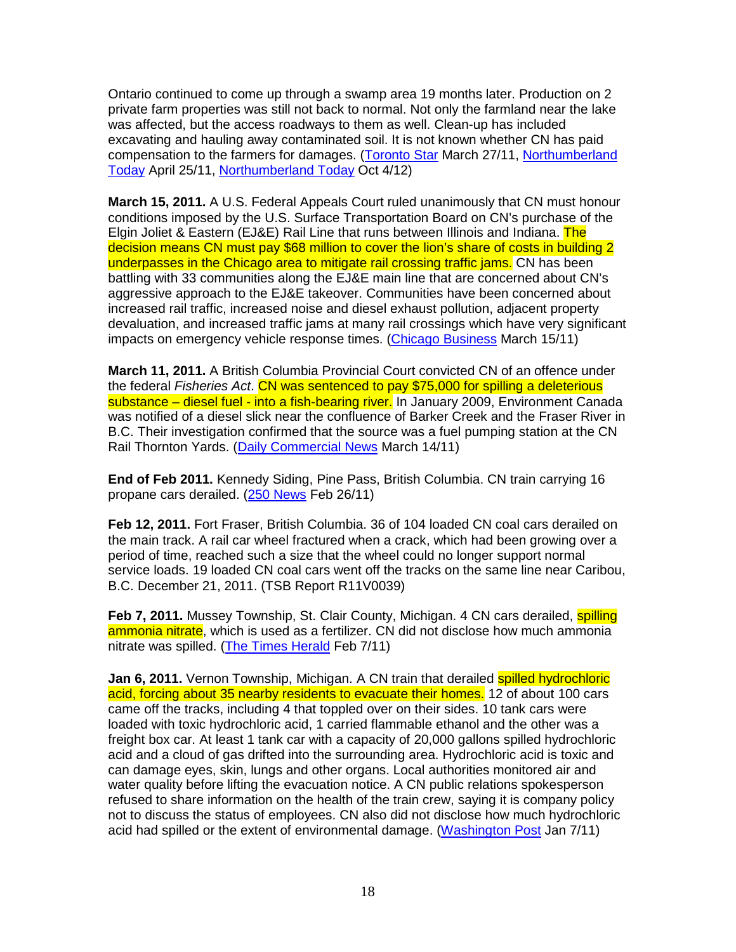Ontario continued to come up through a swamp area 19 months later. Production on 2 private farm properties was still not back to normal. Not only the farmland near the lake was affected, but the access roadways to them as well. Clean-up has included excavating and hauling away contaminated soil. It is not known whether CN has paid compensation to the farmers for damages. (Toronto Star March 27/11, Northumberland Today April 25/11, Northumberland Today Oct 4/12)

**March 15, 2011.** A U.S. Federal Appeals Court ruled unanimously that CN must honour conditions imposed by the U.S. Surface Transportation Board on CN's purchase of the Elgin Joliet & Eastern (EJ&E) Rail Line that runs between Illinois and Indiana. The decision means CN must pay \$68 million to cover the lion's share of costs in building 2 underpasses in the Chicago area to mitigate rail crossing traffic jams. CN has been battling with 33 communities along the EJ&E main line that are concerned about CN's aggressive approach to the EJ&E takeover. Communities have been concerned about increased rail traffic, increased noise and diesel exhaust pollution, adjacent property devaluation, and increased traffic jams at many rail crossings which have very significant impacts on emergency vehicle response times. (Chicago Business March 15/11)

**March 11, 2011.** A British Columbia Provincial Court convicted CN of an offence under the federal Fisheries Act. CN was sentenced to pay \$75,000 for spilling a deleterious substance – diesel fuel - into a fish-bearing river. In January 2009, Environment Canada was notified of a diesel slick near the confluence of Barker Creek and the Fraser River in B.C. Their investigation confirmed that the source was a fuel pumping station at the CN Rail Thornton Yards. (Daily Commercial News March 14/11)

**End of Feb 2011.** Kennedy Siding, Pine Pass, British Columbia. CN train carrying 16 propane cars derailed. (250 News Feb 26/11)

**Feb 12, 2011.** Fort Fraser, British Columbia. 36 of 104 loaded CN coal cars derailed on the main track. A rail car wheel fractured when a crack, which had been growing over a period of time, reached such a size that the wheel could no longer support normal service loads. 19 loaded CN coal cars went off the tracks on the same line near Caribou, B.C. December 21, 2011. (TSB Report R11V0039)

**Feb 7, 2011.** Mussey Township, St. Clair County, Michigan. 4 CN cars derailed, **spilling** ammonia nitrate, which is used as a fertilizer. CN did not disclose how much ammonia nitrate was spilled. (The Times Herald Feb 7/11)

**Jan 6, 2011.** Vernon Township, Michigan. A CN train that derailed **spilled hydrochloric** acid, forcing about 35 nearby residents to evacuate their homes. 12 of about 100 cars came off the tracks, including 4 that toppled over on their sides. 10 tank cars were loaded with toxic hydrochloric acid, 1 carried flammable ethanol and the other was a freight box car. At least 1 tank car with a capacity of 20,000 gallons spilled hydrochloric acid and a cloud of gas drifted into the surrounding area. Hydrochloric acid is toxic and can damage eyes, skin, lungs and other organs. Local authorities monitored air and water quality before lifting the evacuation notice. A CN public relations spokesperson refused to share information on the health of the train crew, saying it is company policy not to discuss the status of employees. CN also did not disclose how much hydrochloric acid had spilled or the extent of environmental damage. (Washington Post Jan 7/11)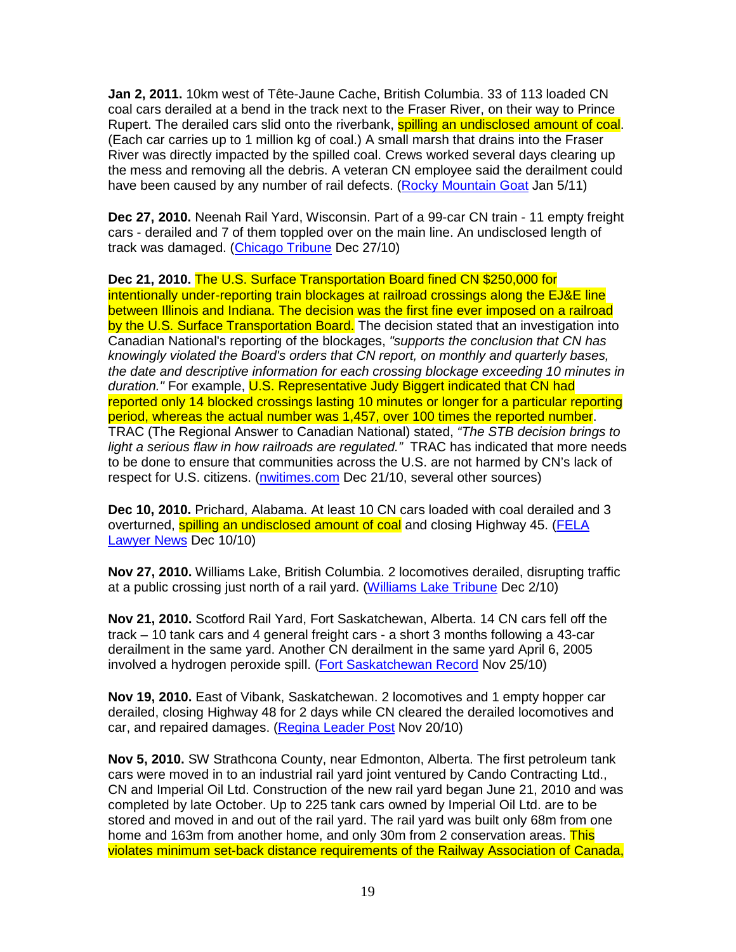**Jan 2, 2011.** 10km west of Tête-Jaune Cache, British Columbia. 33 of 113 loaded CN coal cars derailed at a bend in the track next to the Fraser River, on their way to Prince Rupert. The derailed cars slid onto the riverbank, **spilling an undisclosed amount of coal**. (Each car carries up to 1 million kg of coal.) A small marsh that drains into the Fraser River was directly impacted by the spilled coal. Crews worked several days clearing up the mess and removing all the debris. A veteran CN employee said the derailment could have been caused by any number of rail defects. (Rocky Mountain Goat Jan 5/11)

**Dec 27, 2010.** Neenah Rail Yard, Wisconsin. Part of a 99-car CN train - 11 empty freight cars - derailed and 7 of them toppled over on the main line. An undisclosed length of track was damaged. (Chicago Tribune Dec 27/10)

**Dec 21, 2010.** The U.S. Surface Transportation Board fined CN \$250,000 for intentionally under-reporting train blockages at railroad crossings along the EJ&E line between Illinois and Indiana. The decision was the first fine ever imposed on a railroad by the U.S. Surface Transportation Board. The decision stated that an investigation into Canadian National's reporting of the blockages, "supports the conclusion that CN has knowingly violated the Board's orders that CN report, on monthly and quarterly bases, the date and descriptive information for each crossing blockage exceeding 10 minutes in duration." For example, U.S. Representative Judy Biggert indicated that CN had reported only 14 blocked crossings lasting 10 minutes or longer for a particular reporting period, whereas the actual number was 1,457, over 100 times the reported number. TRAC (The Regional Answer to Canadian National) stated, "The STB decision brings to light a serious flaw in how railroads are regulated." TRAC has indicated that more needs to be done to ensure that communities across the U.S. are not harmed by CN's lack of respect for U.S. citizens. (nwitimes.com Dec 21/10, several other sources)

**Dec 10, 2010.** Prichard, Alabama. At least 10 CN cars loaded with coal derailed and 3 overturned, spilling an undisclosed amount of coal and closing Highway 45. (FELA Lawyer News Dec 10/10)

**Nov 27, 2010.** Williams Lake, British Columbia. 2 locomotives derailed, disrupting traffic at a public crossing just north of a rail yard. (Williams Lake Tribune Dec 2/10)

**Nov 21, 2010.** Scotford Rail Yard, Fort Saskatchewan, Alberta. 14 CN cars fell off the track – 10 tank cars and 4 general freight cars - a short 3 months following a 43-car derailment in the same yard. Another CN derailment in the same yard April 6, 2005 involved a hydrogen peroxide spill. (Fort Saskatchewan Record Nov 25/10)

**Nov 19, 2010.** East of Vibank, Saskatchewan. 2 locomotives and 1 empty hopper car derailed, closing Highway 48 for 2 days while CN cleared the derailed locomotives and car, and repaired damages. (Regina Leader Post Nov 20/10)

**Nov 5, 2010.** SW Strathcona County, near Edmonton, Alberta. The first petroleum tank cars were moved in to an industrial rail yard joint ventured by Cando Contracting Ltd., CN and Imperial Oil Ltd. Construction of the new rail yard began June 21, 2010 and was completed by late October. Up to 225 tank cars owned by Imperial Oil Ltd. are to be stored and moved in and out of the rail yard. The rail yard was built only 68m from one home and 163m from another home, and only 30m from 2 conservation areas. This violates minimum set-back distance requirements of the Railway Association of Canada,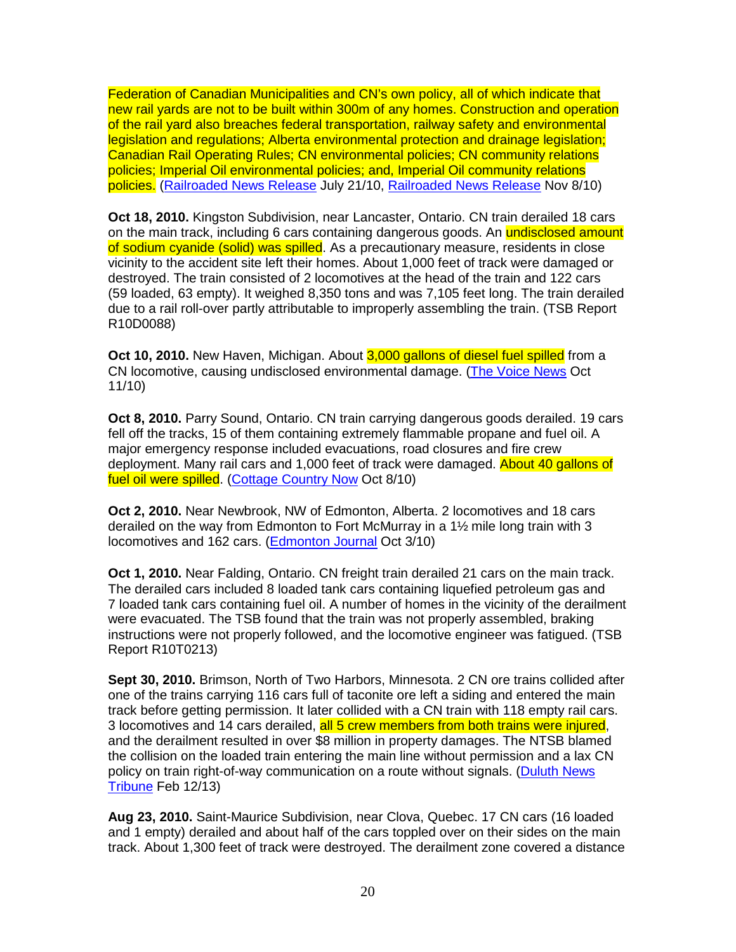Federation of Canadian Municipalities and CN's own policy, all of which indicate that new rail yards are not to be built within 300m of any homes. Construction and operation of the rail yard also breaches federal transportation, railway safety and environmental legislation and regulations; Alberta environmental protection and drainage legislation; Canadian Rail Operating Rules; CN environmental policies; CN community relations policies; Imperial Oil environmental policies; and, Imperial Oil community relations policies. (Railroaded News Release July 21/10, Railroaded News Release Nov 8/10)

**Oct 18, 2010.** Kingston Subdivision, near Lancaster, Ontario. CN train derailed 18 cars on the main track, including 6 cars containing dangerous goods. An undisclosed amount of sodium cyanide (solid) was spilled. As a precautionary measure, residents in close vicinity to the accident site left their homes. About 1,000 feet of track were damaged or destroyed. The train consisted of 2 locomotives at the head of the train and 122 cars (59 loaded, 63 empty). It weighed 8,350 tons and was 7,105 feet long. The train derailed due to a rail roll-over partly attributable to improperly assembling the train. (TSB Report R10D0088)

**Oct 10, 2010.** New Haven, Michigan. About 3,000 gallons of diesel fuel spilled from a CN locomotive, causing undisclosed environmental damage. (The Voice News Oct 11/10)

**Oct 8, 2010.** Parry Sound, Ontario. CN train carrying dangerous goods derailed. 19 cars fell off the tracks, 15 of them containing extremely flammable propane and fuel oil. A major emergency response included evacuations, road closures and fire crew deployment. Many rail cars and 1,000 feet of track were damaged. About 40 gallons of fuel oil were spilled. (Cottage Country Now Oct 8/10)

**Oct 2, 2010.** Near Newbrook, NW of Edmonton, Alberta. 2 locomotives and 18 cars derailed on the way from Edmonton to Fort McMurray in a 1½ mile long train with 3 locomotives and 162 cars. (Edmonton Journal Oct 3/10)

**Oct 1, 2010.** Near Falding, Ontario. CN freight train derailed 21 cars on the main track. The derailed cars included 8 loaded tank cars containing liquefied petroleum gas and 7 loaded tank cars containing fuel oil. A number of homes in the vicinity of the derailment were evacuated. The TSB found that the train was not properly assembled, braking instructions were not properly followed, and the locomotive engineer was fatigued. (TSB Report R10T0213)

**Sept 30, 2010.** Brimson, North of Two Harbors, Minnesota. 2 CN ore trains collided after one of the trains carrying 116 cars full of taconite ore left a siding and entered the main track before getting permission. It later collided with a CN train with 118 empty rail cars. 3 locomotives and 14 cars derailed, all 5 crew members from both trains were injured, and the derailment resulted in over \$8 million in property damages. The NTSB blamed the collision on the loaded train entering the main line without permission and a lax CN policy on train right-of-way communication on a route without signals. (Duluth News Tribune Feb 12/13)

**Aug 23, 2010.** Saint-Maurice Subdivision, near Clova, Quebec. 17 CN cars (16 loaded and 1 empty) derailed and about half of the cars toppled over on their sides on the main track. About 1,300 feet of track were destroyed. The derailment zone covered a distance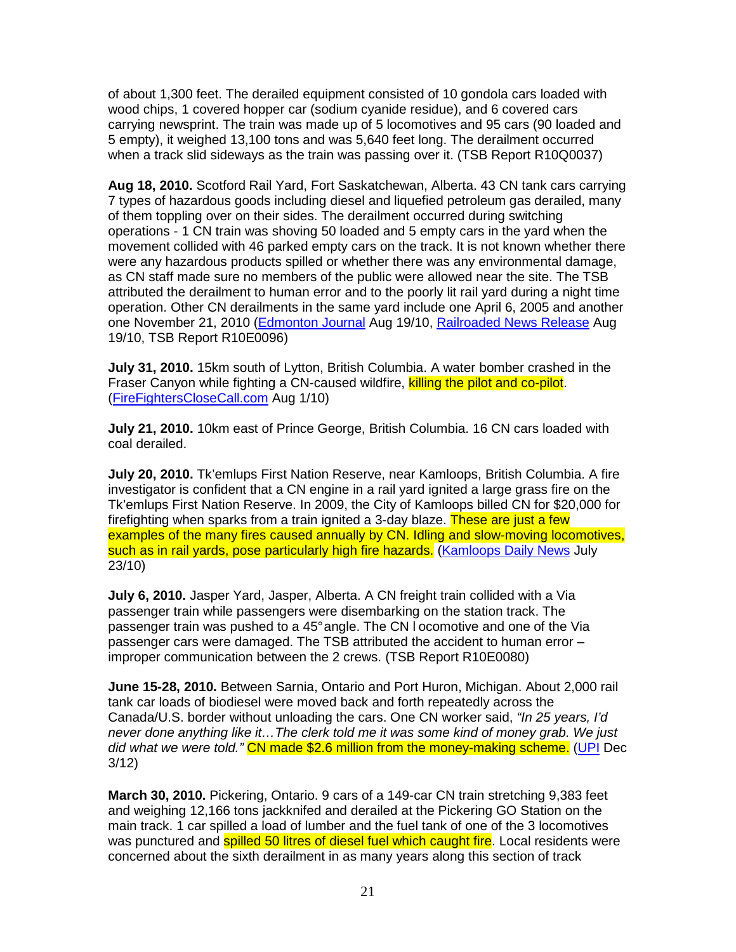of about 1,300 feet. The derailed equipment consisted of 10 gondola cars loaded with wood chips, 1 covered hopper car (sodium cyanide residue), and 6 covered cars carrying newsprint. The train was made up of 5 locomotives and 95 cars (90 loaded and 5 empty), it weighed 13,100 tons and was 5,640 feet long. The derailment occurred when a track slid sideways as the train was passing over it. (TSB Report R10Q0037)

**Aug 18, 2010.** Scotford Rail Yard, Fort Saskatchewan, Alberta. 43 CN tank cars carrying 7 types of hazardous goods including diesel and liquefied petroleum gas derailed, many of them toppling over on their sides. The derailment occurred during switching operations - 1 CN train was shoving 50 loaded and 5 empty cars in the yard when the movement collided with 46 parked empty cars on the track. It is not known whether there were any hazardous products spilled or whether there was any environmental damage, as CN staff made sure no members of the public were allowed near the site. The TSB attributed the derailment to human error and to the poorly lit rail yard during a night time operation. Other CN derailments in the same yard include one April 6, 2005 and another one November 21, 2010 (Edmonton Journal Aug 19/10, Railroaded News Release Aug 19/10, TSB Report R10E0096)

**July 31, 2010.** 15km south of Lytton, British Columbia. A water bomber crashed in the Fraser Canyon while fighting a CN-caused wildfire, killing the pilot and co-pilot. (FireFightersCloseCall.com Aug 1/10)

**July 21, 2010.** 10km east of Prince George, British Columbia. 16 CN cars loaded with coal derailed.

**July 20, 2010.** Tk'emlups First Nation Reserve, near Kamloops, British Columbia. A fire investigator is confident that a CN engine in a rail yard ignited a large grass fire on the Tk'emlups First Nation Reserve. In 2009, the City of Kamloops billed CN for \$20,000 for firefighting when sparks from a train ignited a 3-day blaze. These are just a few examples of the many fires caused annually by CN. Idling and slow-moving locomotives, such as in rail yards, pose particularly high fire hazards. (Kamloops Daily News July 23/10)

**July 6, 2010.** Jasper Yard, Jasper, Alberta. A CN freight train collided with a Via passenger train while passengers were disembarking on the station track. The passenger train was pushed to a 45° angle. The CN l ocomotive and one of the Via passenger cars were damaged. The TSB attributed the accident to human error – improper communication between the 2 crews. (TSB Report R10E0080)

**June 15-28, 2010.** Between Sarnia, Ontario and Port Huron, Michigan. About 2,000 rail tank car loads of biodiesel were moved back and forth repeatedly across the Canada/U.S. border without unloading the cars. One CN worker said, "In 25 years, I'd never done anything like it…The clerk told me it was some kind of money grab. We just did what we were told." CN made \$2.6 million from the money-making scheme. (UPI Dec 3/12)

**March 30, 2010.** Pickering, Ontario. 9 cars of a 149-car CN train stretching 9,383 feet and weighing 12,166 tons jackknifed and derailed at the Pickering GO Station on the main track. 1 car spilled a load of lumber and the fuel tank of one of the 3 locomotives was punctured and **spilled 50 litres of diesel fuel which caught fire**. Local residents were concerned about the sixth derailment in as many years along this section of track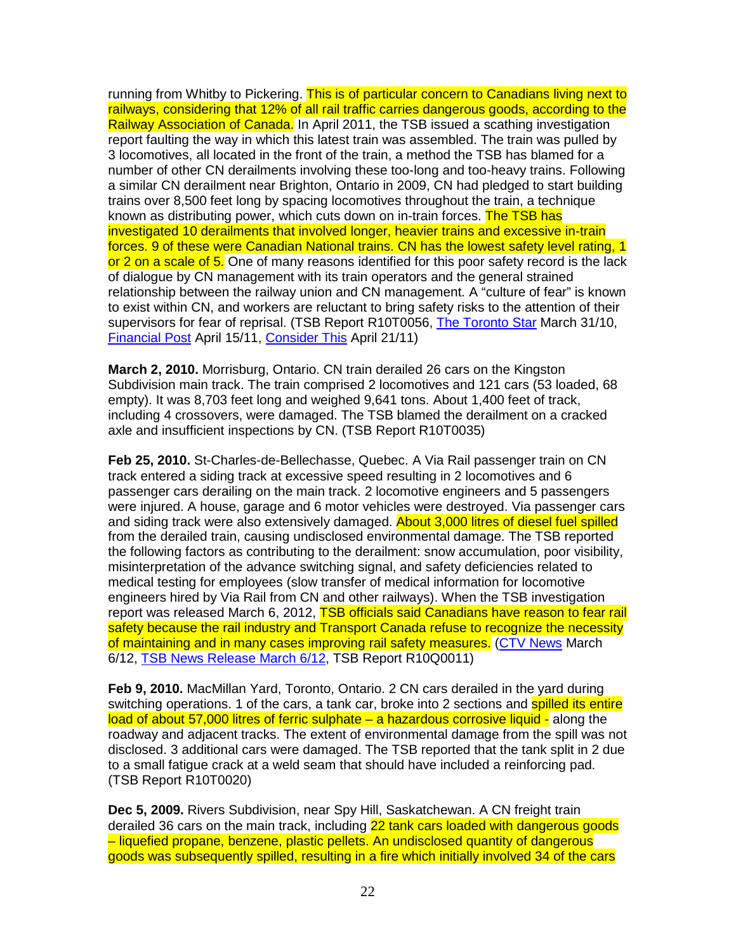running from Whitby to Pickering. This is of particular concern to Canadians living next to railways, considering that 12% of all rail traffic carries dangerous goods, according to the Railway Association of Canada. In April 2011, the TSB issued a scathing investigation report faulting the way in which this latest train was assembled. The train was pulled by 3 locomotives, all located in the front of the train, a method the TSB has blamed for a number of other CN derailments involving these too-long and too-heavy trains. Following a similar CN derailment near Brighton, Ontario in 2009, CN had pledged to start building trains over 8,500 feet long by spacing locomotives throughout the train, a technique known as distributing power, which cuts down on in-train forces. The TSB has investigated 10 derailments that involved longer, heavier trains and excessive in-train forces. 9 of these were Canadian National trains. CN has the lowest safety level rating, 1 or 2 on a scale of 5. One of many reasons identified for this poor safety record is the lack of dialogue by CN management with its train operators and the general strained relationship between the railway union and CN management. A "culture of fear" is known to exist within CN, and workers are reluctant to bring safety risks to the attention of their supervisors for fear of reprisal. (TSB Report R10T0056, The Toronto Star March 31/10, Financial Post April 15/11, Consider This April 21/11)

**March 2, 2010.** Morrisburg, Ontario. CN train derailed 26 cars on the Kingston Subdivision main track. The train comprised 2 locomotives and 121 cars (53 loaded, 68 empty). It was 8,703 feet long and weighed 9,641 tons. About 1,400 feet of track, including 4 crossovers, were damaged. The TSB blamed the derailment on a cracked axle and insufficient inspections by CN. (TSB Report R10T0035)

**Feb 25, 2010.** St-Charles-de-Bellechasse, Quebec. A Via Rail passenger train on CN track entered a siding track at excessive speed resulting in 2 locomotives and 6 passenger cars derailing on the main track. 2 locomotive engineers and 5 passengers were injured. A house, garage and 6 motor vehicles were destroyed. Via passenger cars and siding track were also extensively damaged. About 3,000 litres of diesel fuel spilled from the derailed train, causing undisclosed environmental damage. The TSB reported the following factors as contributing to the derailment: snow accumulation, poor visibility, misinterpretation of the advance switching signal, and safety deficiencies related to medical testing for employees (slow transfer of medical information for locomotive engineers hired by Via Rail from CN and other railways). When the TSB investigation report was released March 6, 2012, TSB officials said Canadians have reason to fear rail safety because the rail industry and Transport Canada refuse to recognize the necessity of maintaining and in many cases improving rail safety measures. (CTV News March 6/12, TSB News Release March 6/12, TSB Report R10Q0011)

**Feb 9, 2010.** MacMillan Yard, Toronto, Ontario. 2 CN cars derailed in the yard during switching operations. 1 of the cars, a tank car, broke into 2 sections and **spilled its entire** load of about 57,000 litres of ferric sulphate – a hazardous corrosive liquid - along the roadway and adjacent tracks. The extent of environmental damage from the spill was not disclosed. 3 additional cars were damaged. The TSB reported that the tank split in 2 due to a small fatigue crack at a weld seam that should have included a reinforcing pad. (TSB Report R10T0020)

**Dec 5, 2009.** Rivers Subdivision, near Spy Hill, Saskatchewan. A CN freight train derailed 36 cars on the main track, including 22 tank cars loaded with dangerous goods – liquefied propane, benzene, plastic pellets. An undisclosed quantity of dangerous goods was subsequently spilled, resulting in a fire which initially involved 34 of the cars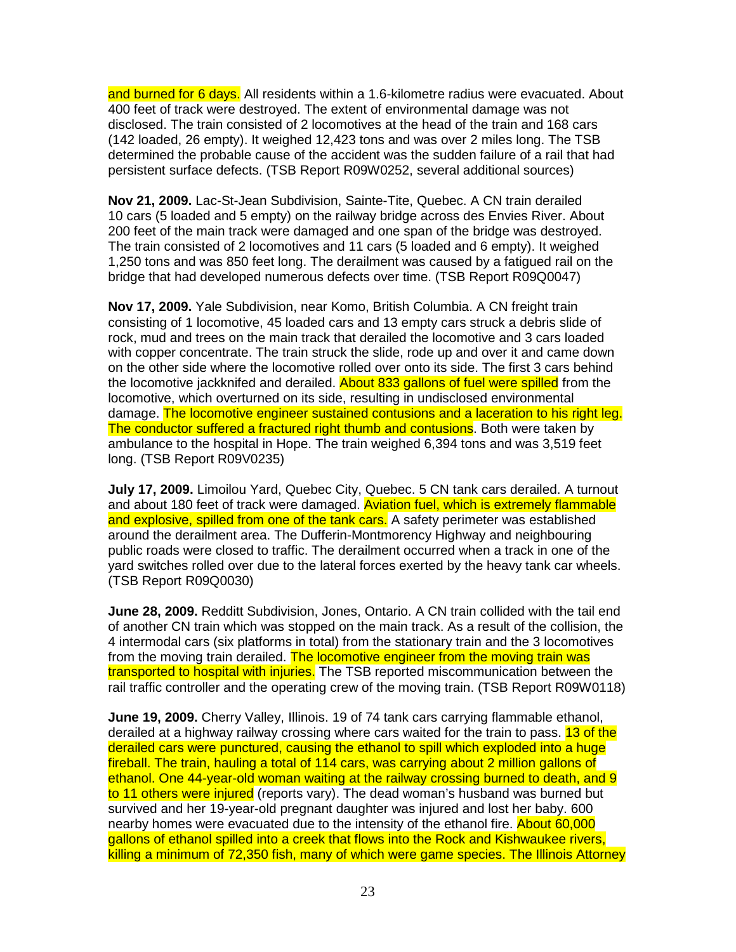and burned for 6 days. All residents within a 1.6-kilometre radius were evacuated. About 400 feet of track were destroyed. The extent of environmental damage was not disclosed. The train consisted of 2 locomotives at the head of the train and 168 cars (142 loaded, 26 empty). It weighed 12,423 tons and was over 2 miles long. The TSB determined the probable cause of the accident was the sudden failure of a rail that had persistent surface defects. (TSB Report R09W0252, several additional sources)

**Nov 21, 2009.** Lac-St-Jean Subdivision, Sainte-Tite, Quebec. A CN train derailed 10 cars (5 loaded and 5 empty) on the railway bridge across des Envies River. About 200 feet of the main track were damaged and one span of the bridge was destroyed. The train consisted of 2 locomotives and 11 cars (5 loaded and 6 empty). It weighed 1,250 tons and was 850 feet long. The derailment was caused by a fatigued rail on the bridge that had developed numerous defects over time. (TSB Report R09Q0047)

**Nov 17, 2009.** Yale Subdivision, near Komo, British Columbia. A CN freight train consisting of 1 locomotive, 45 loaded cars and 13 empty cars struck a debris slide of rock, mud and trees on the main track that derailed the locomotive and 3 cars loaded with copper concentrate. The train struck the slide, rode up and over it and came down on the other side where the locomotive rolled over onto its side. The first 3 cars behind the locomotive jackknifed and derailed. About 833 gallons of fuel were spilled from the locomotive, which overturned on its side, resulting in undisclosed environmental damage. The locomotive engineer sustained contusions and a laceration to his right leg. The conductor suffered a fractured right thumb and contusions. Both were taken by ambulance to the hospital in Hope. The train weighed 6,394 tons and was 3,519 feet long. (TSB Report R09V0235)

**July 17, 2009.** Limoilou Yard, Quebec City, Quebec. 5 CN tank cars derailed. A turnout and about 180 feet of track were damaged. Aviation fuel, which is extremely flammable and explosive, spilled from one of the tank cars. A safety perimeter was established around the derailment area. The Dufferin-Montmorency Highway and neighbouring public roads were closed to traffic. The derailment occurred when a track in one of the yard switches rolled over due to the lateral forces exerted by the heavy tank car wheels. (TSB Report R09Q0030)

**June 28, 2009.** Redditt Subdivision, Jones, Ontario. A CN train collided with the tail end of another CN train which was stopped on the main track. As a result of the collision, the 4 intermodal cars (six platforms in total) from the stationary train and the 3 locomotives from the moving train derailed. The locomotive engineer from the moving train was transported to hospital with injuries. The TSB reported miscommunication between the rail traffic controller and the operating crew of the moving train. (TSB Report R09W0118)

**June 19, 2009.** Cherry Valley, Illinois. 19 of 74 tank cars carrying flammable ethanol, derailed at a highway railway crossing where cars waited for the train to pass. 13 of the derailed cars were punctured, causing the ethanol to spill which exploded into a huge fireball. The train, hauling a total of 114 cars, was carrying about 2 million gallons of ethanol. One 44-year-old woman waiting at the railway crossing burned to death, and 9 to 11 others were injured (reports vary). The dead woman's husband was burned but survived and her 19-year-old pregnant daughter was injured and lost her baby. 600 nearby homes were evacuated due to the intensity of the ethanol fire. About 60,000 gallons of ethanol spilled into a creek that flows into the Rock and Kishwaukee rivers, killing a minimum of 72,350 fish, many of which were game species. The Illinois Attorney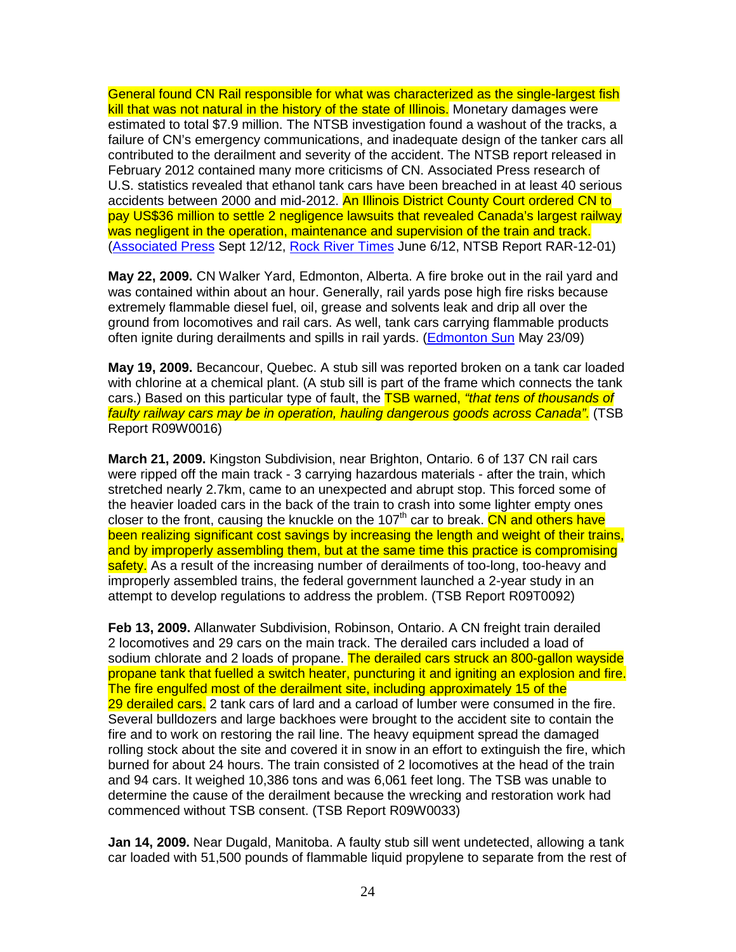General found CN Rail responsible for what was characterized as the single-largest fish kill that was not natural in the history of the state of Illinois. Monetary damages were estimated to total \$7.9 million. The NTSB investigation found a washout of the tracks, a failure of CN's emergency communications, and inadequate design of the tanker cars all contributed to the derailment and severity of the accident. The NTSB report released in February 2012 contained many more criticisms of CN. Associated Press research of U.S. statistics revealed that ethanol tank cars have been breached in at least 40 serious accidents between 2000 and mid-2012. An Illinois District County Court ordered CN to pay US\$36 million to settle 2 negligence lawsuits that revealed Canada's largest railway was negligent in the operation, maintenance and supervision of the train and track. (Associated Press Sept 12/12, Rock River Times June 6/12, NTSB Report RAR-12-01)

**May 22, 2009.** CN Walker Yard, Edmonton, Alberta. A fire broke out in the rail yard and was contained within about an hour. Generally, rail yards pose high fire risks because extremely flammable diesel fuel, oil, grease and solvents leak and drip all over the ground from locomotives and rail cars. As well, tank cars carrying flammable products often ignite during derailments and spills in rail yards. (Edmonton Sun May 23/09)

**May 19, 2009.** Becancour, Quebec. A stub sill was reported broken on a tank car loaded with chlorine at a chemical plant. (A stub sill is part of the frame which connects the tank cars.) Based on this particular type of fault, the **TSB warned, "that tens of thousands of** faulty railway cars may be in operation, hauling dangerous goods across Canada". (TSB Report R09W0016)

**March 21, 2009.** Kingston Subdivision, near Brighton, Ontario. 6 of 137 CN rail cars were ripped off the main track - 3 carrying hazardous materials - after the train, which stretched nearly 2.7km, came to an unexpected and abrupt stop. This forced some of the heavier loaded cars in the back of the train to crash into some lighter empty ones closer to the front, causing the knuckle on the 107<sup>th</sup> car to break. CN and others have been realizing significant cost savings by increasing the length and weight of their trains, and by improperly assembling them, but at the same time this practice is compromising safety. As a result of the increasing number of derailments of too-long, too-heavy and improperly assembled trains, the federal government launched a 2-year study in an attempt to develop regulations to address the problem. (TSB Report R09T0092)

**Feb 13, 2009.** Allanwater Subdivision, Robinson, Ontario. A CN freight train derailed 2 locomotives and 29 cars on the main track. The derailed cars included a load of sodium chlorate and 2 loads of propane. The derailed cars struck an 800-gallon wayside propane tank that fuelled a switch heater, puncturing it and igniting an explosion and fire. The fire engulfed most of the derailment site, including approximately 15 of the 29 derailed cars. 2 tank cars of lard and a carload of lumber were consumed in the fire. Several bulldozers and large backhoes were brought to the accident site to contain the fire and to work on restoring the rail line. The heavy equipment spread the damaged rolling stock about the site and covered it in snow in an effort to extinguish the fire, which burned for about 24 hours. The train consisted of 2 locomotives at the head of the train and 94 cars. It weighed 10,386 tons and was 6,061 feet long. The TSB was unable to determine the cause of the derailment because the wrecking and restoration work had commenced without TSB consent. (TSB Report R09W0033)

**Jan 14, 2009.** Near Dugald, Manitoba. A faulty stub sill went undetected, allowing a tank car loaded with 51,500 pounds of flammable liquid propylene to separate from the rest of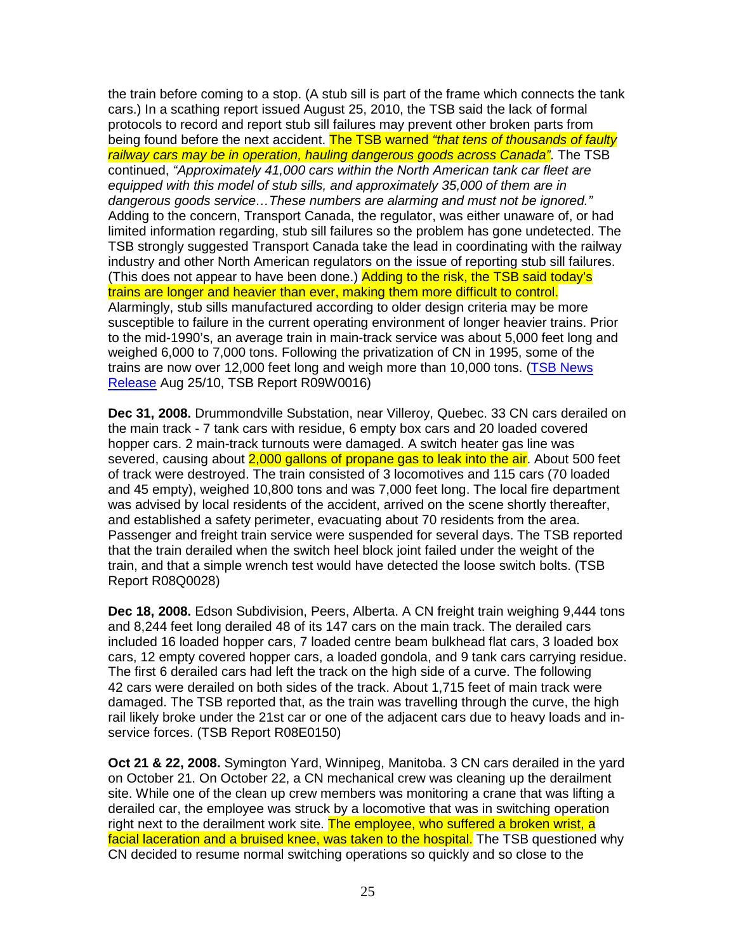the train before coming to a stop. (A stub sill is part of the frame which connects the tank cars.) In a scathing report issued August 25, 2010, the TSB said the lack of formal protocols to record and report stub sill failures may prevent other broken parts from being found before the next accident. The TSB warned "that tens of thousands of faulty railway cars may be in operation, hauling dangerous goods across Canada". The TSB continued, "Approximately 41,000 cars within the North American tank car fleet are equipped with this model of stub sills, and approximately 35,000 of them are in dangerous goods service…These numbers are alarming and must not be ignored." Adding to the concern, Transport Canada, the regulator, was either unaware of, or had limited information regarding, stub sill failures so the problem has gone undetected. The TSB strongly suggested Transport Canada take the lead in coordinating with the railway industry and other North American regulators on the issue of reporting stub sill failures. (This does not appear to have been done.) Adding to the risk, the TSB said today's trains are longer and heavier than ever, making them more difficult to control. Alarmingly, stub sills manufactured according to older design criteria may be more susceptible to failure in the current operating environment of longer heavier trains. Prior to the mid-1990's, an average train in main-track service was about 5,000 feet long and weighed 6,000 to 7,000 tons. Following the privatization of CN in 1995, some of the trains are now over 12,000 feet long and weigh more than 10,000 tons. (TSB News Release Aug 25/10, TSB Report R09W0016)

**Dec 31, 2008.** Drummondville Substation, near Villeroy, Quebec. 33 CN cars derailed on the main track - 7 tank cars with residue, 6 empty box cars and 20 loaded covered hopper cars. 2 main-track turnouts were damaged. A switch heater gas line was severed, causing about 2,000 gallons of propane gas to leak into the air. About 500 feet of track were destroyed. The train consisted of 3 locomotives and 115 cars (70 loaded and 45 empty), weighed 10,800 tons and was 7,000 feet long. The local fire department was advised by local residents of the accident, arrived on the scene shortly thereafter, and established a safety perimeter, evacuating about 70 residents from the area. Passenger and freight train service were suspended for several days. The TSB reported that the train derailed when the switch heel block joint failed under the weight of the train, and that a simple wrench test would have detected the loose switch bolts. (TSB Report R08Q0028)

**Dec 18, 2008.** Edson Subdivision, Peers, Alberta. A CN freight train weighing 9,444 tons and 8,244 feet long derailed 48 of its 147 cars on the main track. The derailed cars included 16 loaded hopper cars, 7 loaded centre beam bulkhead flat cars, 3 loaded box cars, 12 empty covered hopper cars, a loaded gondola, and 9 tank cars carrying residue. The first 6 derailed cars had left the track on the high side of a curve. The following 42 cars were derailed on both sides of the track. About 1,715 feet of main track were damaged. The TSB reported that, as the train was travelling through the curve, the high rail likely broke under the 21st car or one of the adjacent cars due to heavy loads and inservice forces. (TSB Report R08E0150)

**Oct 21 & 22, 2008.** Symington Yard, Winnipeg, Manitoba. 3 CN cars derailed in the yard on October 21. On October 22, a CN mechanical crew was cleaning up the derailment site. While one of the clean up crew members was monitoring a crane that was lifting a derailed car, the employee was struck by a locomotive that was in switching operation right next to the derailment work site. The employee, who suffered a broken wrist, a facial laceration and a bruised knee, was taken to the hospital. The TSB questioned why CN decided to resume normal switching operations so quickly and so close to the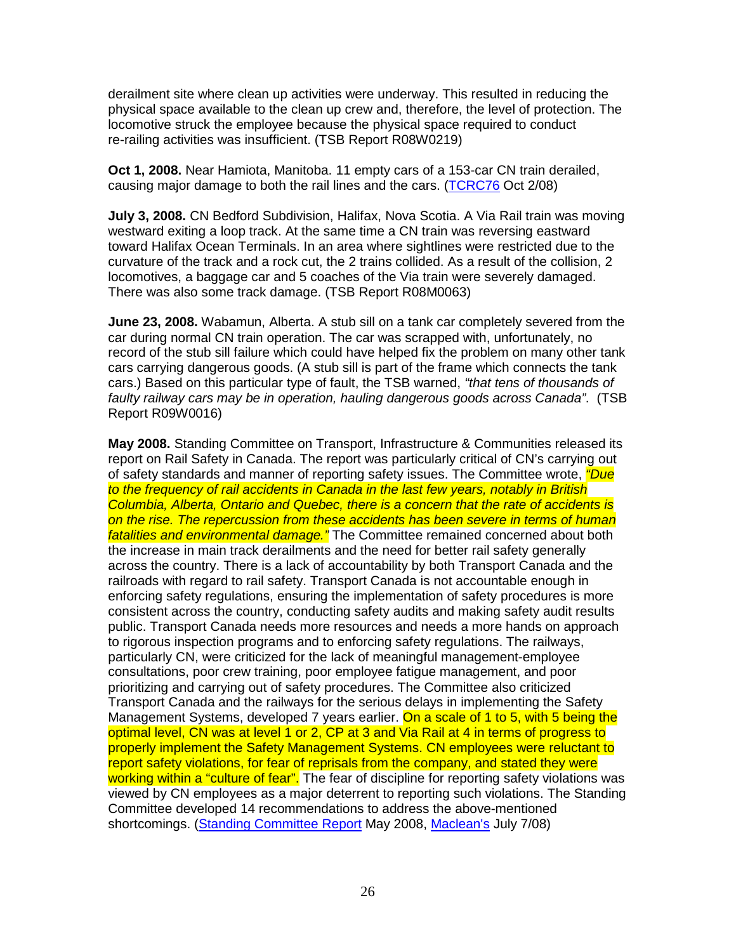derailment site where clean up activities were underway. This resulted in reducing the physical space available to the clean up crew and, therefore, the level of protection. The locomotive struck the employee because the physical space required to conduct re-railing activities was insufficient. (TSB Report R08W0219)

**Oct 1, 2008.** Near Hamiota, Manitoba. 11 empty cars of a 153-car CN train derailed, causing major damage to both the rail lines and the cars. (TCRC76 Oct 2/08)

**July 3, 2008.** CN Bedford Subdivision, Halifax, Nova Scotia. A Via Rail train was moving westward exiting a loop track. At the same time a CN train was reversing eastward toward Halifax Ocean Terminals. In an area where sightlines were restricted due to the curvature of the track and a rock cut, the 2 trains collided. As a result of the collision, 2 locomotives, a baggage car and 5 coaches of the Via train were severely damaged. There was also some track damage. (TSB Report R08M0063)

**June 23, 2008.** Wabamun, Alberta. A stub sill on a tank car completely severed from the car during normal CN train operation. The car was scrapped with, unfortunately, no record of the stub sill failure which could have helped fix the problem on many other tank cars carrying dangerous goods. (A stub sill is part of the frame which connects the tank cars.) Based on this particular type of fault, the TSB warned, "that tens of thousands of faulty railway cars may be in operation, hauling dangerous goods across Canada". (TSB Report R09W0016)

**May 2008.** Standing Committee on Transport, Infrastructure & Communities released its report on Rail Safety in Canada. The report was particularly critical of CN's carrying out of safety standards and manner of reporting safety issues. The Committee wrote, *"Due* to the frequency of rail accidents in Canada in the last few years, notably in British Columbia, Alberta, Ontario and Quebec, there is a concern that the rate of accidents is on the rise. The repercussion from these accidents has been severe in terms of human fatalities and environmental damage." The Committee remained concerned about both the increase in main track derailments and the need for better rail safety generally across the country. There is a lack of accountability by both Transport Canada and the railroads with regard to rail safety. Transport Canada is not accountable enough in enforcing safety regulations, ensuring the implementation of safety procedures is more consistent across the country, conducting safety audits and making safety audit results public. Transport Canada needs more resources and needs a more hands on approach to rigorous inspection programs and to enforcing safety regulations. The railways, particularly CN, were criticized for the lack of meaningful management-employee consultations, poor crew training, poor employee fatigue management, and poor prioritizing and carrying out of safety procedures. The Committee also criticized Transport Canada and the railways for the serious delays in implementing the Safety Management Systems, developed 7 years earlier. On a scale of 1 to 5, with 5 being the optimal level, CN was at level 1 or 2, CP at 3 and Via Rail at 4 in terms of progress to properly implement the Safety Management Systems. CN employees were reluctant to report safety violations, for fear of reprisals from the company, and stated they were working within a "culture of fear". The fear of discipline for reporting safety violations was viewed by CN employees as a major deterrent to reporting such violations. The Standing Committee developed 14 recommendations to address the above-mentioned shortcomings. (Standing Committee Report May 2008, Maclean's July 7/08)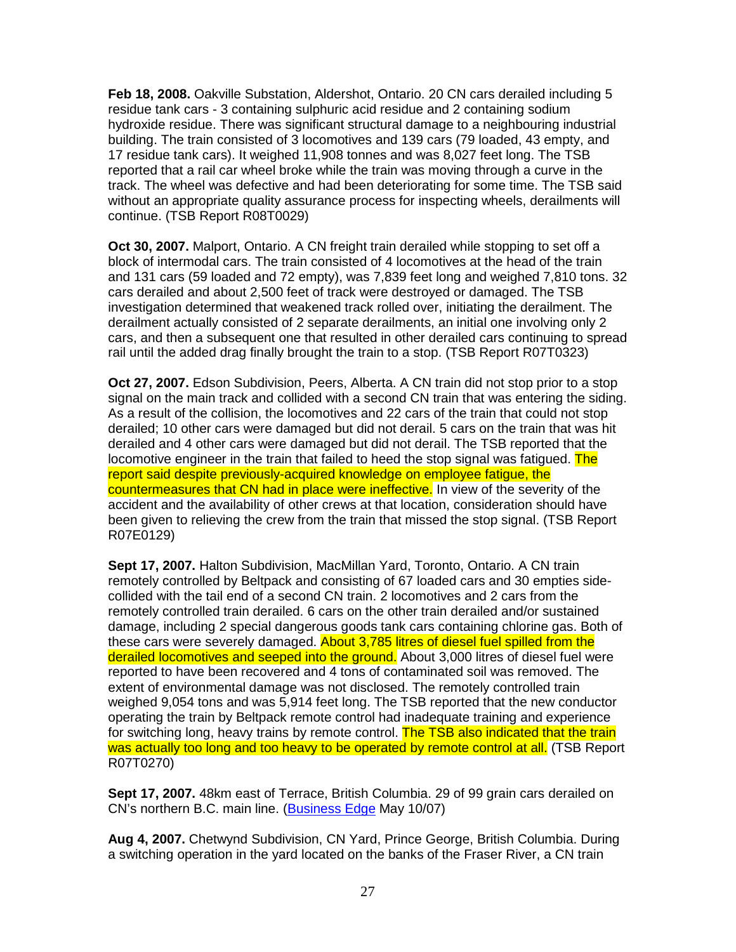**Feb 18, 2008.** Oakville Substation, Aldershot, Ontario. 20 CN cars derailed including 5 residue tank cars - 3 containing sulphuric acid residue and 2 containing sodium hydroxide residue. There was significant structural damage to a neighbouring industrial building. The train consisted of 3 locomotives and 139 cars (79 loaded, 43 empty, and 17 residue tank cars). It weighed 11,908 tonnes and was 8,027 feet long. The TSB reported that a rail car wheel broke while the train was moving through a curve in the track. The wheel was defective and had been deteriorating for some time. The TSB said without an appropriate quality assurance process for inspecting wheels, derailments will continue. (TSB Report R08T0029)

**Oct 30, 2007.** Malport, Ontario. A CN freight train derailed while stopping to set off a block of intermodal cars. The train consisted of 4 locomotives at the head of the train and 131 cars (59 loaded and 72 empty), was 7,839 feet long and weighed 7,810 tons. 32 cars derailed and about 2,500 feet of track were destroyed or damaged. The TSB investigation determined that weakened track rolled over, initiating the derailment. The derailment actually consisted of 2 separate derailments, an initial one involving only 2 cars, and then a subsequent one that resulted in other derailed cars continuing to spread rail until the added drag finally brought the train to a stop. (TSB Report R07T0323)

**Oct 27, 2007.** Edson Subdivision, Peers, Alberta. A CN train did not stop prior to a stop signal on the main track and collided with a second CN train that was entering the siding. As a result of the collision, the locomotives and 22 cars of the train that could not stop derailed; 10 other cars were damaged but did not derail. 5 cars on the train that was hit derailed and 4 other cars were damaged but did not derail. The TSB reported that the locomotive engineer in the train that failed to heed the stop signal was fatigued. The report said despite previously-acquired knowledge on employee fatigue, the countermeasures that CN had in place were ineffective. In view of the severity of the accident and the availability of other crews at that location, consideration should have been given to relieving the crew from the train that missed the stop signal. (TSB Report R07E0129)

**Sept 17, 2007.** Halton Subdivision, MacMillan Yard, Toronto, Ontario. A CN train remotely controlled by Beltpack and consisting of 67 loaded cars and 30 empties sidecollided with the tail end of a second CN train. 2 locomotives and 2 cars from the remotely controlled train derailed. 6 cars on the other train derailed and/or sustained damage, including 2 special dangerous goods tank cars containing chlorine gas. Both of these cars were severely damaged. About 3,785 litres of diesel fuel spilled from the derailed locomotives and seeped into the ground. About 3,000 litres of diesel fuel were reported to have been recovered and 4 tons of contaminated soil was removed. The extent of environmental damage was not disclosed. The remotely controlled train weighed 9,054 tons and was 5,914 feet long. The TSB reported that the new conductor operating the train by Beltpack remote control had inadequate training and experience for switching long, heavy trains by remote control. The TSB also indicated that the train was actually too long and too heavy to be operated by remote control at all. (TSB Report R07T0270)

**Sept 17, 2007.** 48km east of Terrace, British Columbia. 29 of 99 grain cars derailed on CN's northern B.C. main line. (Business Edge May 10/07)

**Aug 4, 2007.** Chetwynd Subdivision, CN Yard, Prince George, British Columbia. During a switching operation in the yard located on the banks of the Fraser River, a CN train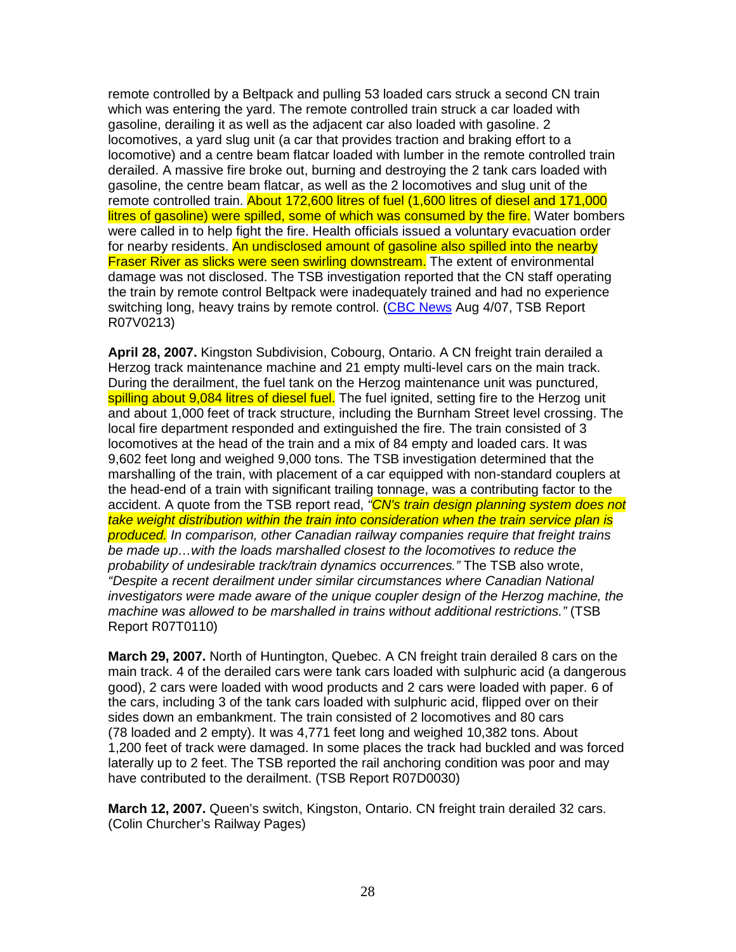remote controlled by a Beltpack and pulling 53 loaded cars struck a second CN train which was entering the yard. The remote controlled train struck a car loaded with gasoline, derailing it as well as the adjacent car also loaded with gasoline. 2 locomotives, a yard slug unit (a car that provides traction and braking effort to a locomotive) and a centre beam flatcar loaded with lumber in the remote controlled train derailed. A massive fire broke out, burning and destroying the 2 tank cars loaded with gasoline, the centre beam flatcar, as well as the 2 locomotives and slug unit of the remote controlled train. About 172,600 litres of fuel (1,600 litres of diesel and 171,000 litres of gasoline) were spilled, some of which was consumed by the fire. Water bombers were called in to help fight the fire. Health officials issued a voluntary evacuation order for nearby residents. An undisclosed amount of gasoline also spilled into the nearby **Fraser River as slicks were seen swirling downstream.** The extent of environmental damage was not disclosed. The TSB investigation reported that the CN staff operating the train by remote control Beltpack were inadequately trained and had no experience switching long, heavy trains by remote control. (CBC News Aug 4/07, TSB Report R07V0213)

**April 28, 2007.** Kingston Subdivision, Cobourg, Ontario. A CN freight train derailed a Herzog track maintenance machine and 21 empty multi-level cars on the main track. During the derailment, the fuel tank on the Herzog maintenance unit was punctured, spilling about 9,084 litres of diesel fuel. The fuel ignited, setting fire to the Herzog unit and about 1,000 feet of track structure, including the Burnham Street level crossing. The local fire department responded and extinguished the fire. The train consisted of 3 locomotives at the head of the train and a mix of 84 empty and loaded cars. It was 9,602 feet long and weighed 9,000 tons. The TSB investigation determined that the marshalling of the train, with placement of a car equipped with non-standard couplers at the head-end of a train with significant trailing tonnage, was a contributing factor to the accident. A quote from the TSB report read, "CN's train design planning system does not take weight distribution within the train into consideration when the train service plan is produced. In comparison, other Canadian railway companies require that freight trains be made up…with the loads marshalled closest to the locomotives to reduce the probability of undesirable track/train dynamics occurrences." The TSB also wrote, "Despite a recent derailment under similar circumstances where Canadian National investigators were made aware of the unique coupler design of the Herzog machine, the machine was allowed to be marshalled in trains without additional restrictions." (TSB Report R07T0110)

**March 29, 2007.** North of Huntington, Quebec. A CN freight train derailed 8 cars on the main track. 4 of the derailed cars were tank cars loaded with sulphuric acid (a dangerous good), 2 cars were loaded with wood products and 2 cars were loaded with paper. 6 of the cars, including 3 of the tank cars loaded with sulphuric acid, flipped over on their sides down an embankment. The train consisted of 2 locomotives and 80 cars (78 loaded and 2 empty). It was 4,771 feet long and weighed 10,382 tons. About 1,200 feet of track were damaged. In some places the track had buckled and was forced laterally up to 2 feet. The TSB reported the rail anchoring condition was poor and may have contributed to the derailment. (TSB Report R07D0030)

**March 12, 2007.** Queen's switch, Kingston, Ontario. CN freight train derailed 32 cars. (Colin Churcher's Railway Pages)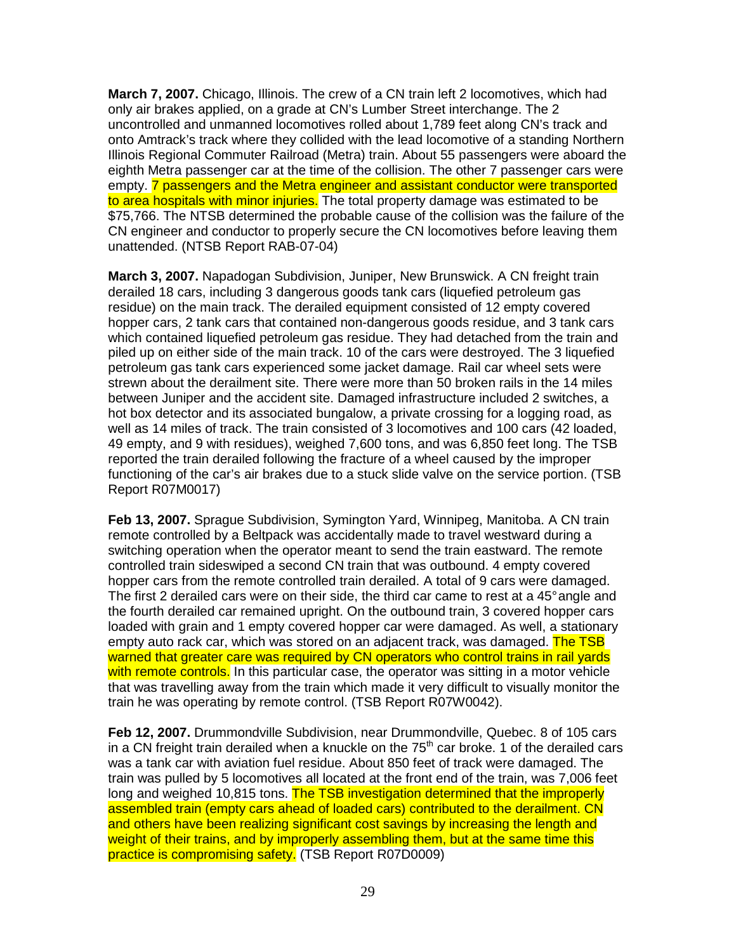**March 7, 2007.** Chicago, Illinois. The crew of a CN train left 2 locomotives, which had only air brakes applied, on a grade at CN's Lumber Street interchange. The 2 uncontrolled and unmanned locomotives rolled about 1,789 feet along CN's track and onto Amtrack's track where they collided with the lead locomotive of a standing Northern Illinois Regional Commuter Railroad (Metra) train. About 55 passengers were aboard the eighth Metra passenger car at the time of the collision. The other 7 passenger cars were empty. **7 passengers and the Metra engineer and assistant conductor were transported** to area hospitals with minor injuries. The total property damage was estimated to be \$75,766. The NTSB determined the probable cause of the collision was the failure of the CN engineer and conductor to properly secure the CN locomotives before leaving them unattended. (NTSB Report RAB-07-04)

**March 3, 2007.** Napadogan Subdivision, Juniper, New Brunswick. A CN freight train derailed 18 cars, including 3 dangerous goods tank cars (liquefied petroleum gas residue) on the main track. The derailed equipment consisted of 12 empty covered hopper cars, 2 tank cars that contained non-dangerous goods residue, and 3 tank cars which contained liquefied petroleum gas residue. They had detached from the train and piled up on either side of the main track. 10 of the cars were destroyed. The 3 liquefied petroleum gas tank cars experienced some jacket damage. Rail car wheel sets were strewn about the derailment site. There were more than 50 broken rails in the 14 miles between Juniper and the accident site. Damaged infrastructure included 2 switches, a hot box detector and its associated bungalow, a private crossing for a logging road, as well as 14 miles of track. The train consisted of 3 locomotives and 100 cars (42 loaded, 49 empty, and 9 with residues), weighed 7,600 tons, and was 6,850 feet long. The TSB reported the train derailed following the fracture of a wheel caused by the improper functioning of the car's air brakes due to a stuck slide valve on the service portion. (TSB Report R07M0017)

**Feb 13, 2007.** Sprague Subdivision, Symington Yard, Winnipeg, Manitoba. A CN train remote controlled by a Beltpack was accidentally made to travel westward during a switching operation when the operator meant to send the train eastward. The remote controlled train sideswiped a second CN train that was outbound. 4 empty covered hopper cars from the remote controlled train derailed. A total of 9 cars were damaged. The first 2 derailed cars were on their side, the third car came to rest at a 45° angle and the fourth derailed car remained upright. On the outbound train, 3 covered hopper cars loaded with grain and 1 empty covered hopper car were damaged. As well, a stationary empty auto rack car, which was stored on an adjacent track, was damaged. The TSB warned that greater care was required by CN operators who control trains in rail yards with remote controls. In this particular case, the operator was sitting in a motor vehicle that was travelling away from the train which made it very difficult to visually monitor the train he was operating by remote control. (TSB Report R07W0042).

**Feb 12, 2007.** Drummondville Subdivision, near Drummondville, Quebec. 8 of 105 cars in a CN freight train derailed when a knuckle on the  $75<sup>th</sup>$  car broke. 1 of the derailed cars was a tank car with aviation fuel residue. About 850 feet of track were damaged. The train was pulled by 5 locomotives all located at the front end of the train, was 7,006 feet long and weighed 10,815 tons. The TSB investigation determined that the improperly assembled train (empty cars ahead of loaded cars) contributed to the derailment. CN and others have been realizing significant cost savings by increasing the length and weight of their trains, and by improperly assembling them, but at the same time this practice is compromising safety. (TSB Report R07D0009)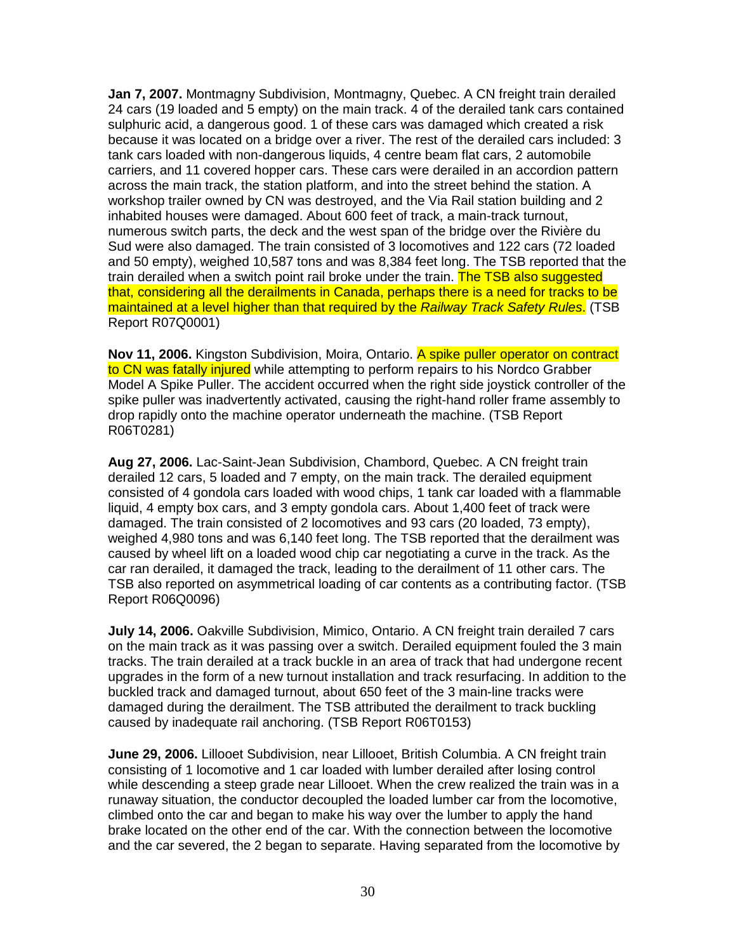**Jan 7, 2007.** Montmagny Subdivision, Montmagny, Quebec. A CN freight train derailed 24 cars (19 loaded and 5 empty) on the main track. 4 of the derailed tank cars contained sulphuric acid, a dangerous good. 1 of these cars was damaged which created a risk because it was located on a bridge over a river. The rest of the derailed cars included: 3 tank cars loaded with non-dangerous liquids, 4 centre beam flat cars, 2 automobile carriers, and 11 covered hopper cars. These cars were derailed in an accordion pattern across the main track, the station platform, and into the street behind the station. A workshop trailer owned by CN was destroyed, and the Via Rail station building and 2 inhabited houses were damaged. About 600 feet of track, a main-track turnout, numerous switch parts, the deck and the west span of the bridge over the Rivière du Sud were also damaged. The train consisted of 3 locomotives and 122 cars (72 loaded and 50 empty), weighed 10,587 tons and was 8,384 feet long. The TSB reported that the train derailed when a switch point rail broke under the train. The TSB also suggested that, considering all the derailments in Canada, perhaps there is a need for tracks to be maintained at a level higher than that required by the Railway Track Safety Rules. (TSB Report R07Q0001)

**Nov 11, 2006.** Kingston Subdivision, Moira, Ontario. A spike puller operator on contract to CN was fatally injured while attempting to perform repairs to his Nordco Grabber Model A Spike Puller. The accident occurred when the right side joystick controller of the spike puller was inadvertently activated, causing the right-hand roller frame assembly to drop rapidly onto the machine operator underneath the machine. (TSB Report R06T0281)

**Aug 27, 2006.** Lac-Saint-Jean Subdivision, Chambord, Quebec. A CN freight train derailed 12 cars, 5 loaded and 7 empty, on the main track. The derailed equipment consisted of 4 gondola cars loaded with wood chips, 1 tank car loaded with a flammable liquid, 4 empty box cars, and 3 empty gondola cars. About 1,400 feet of track were damaged. The train consisted of 2 locomotives and 93 cars (20 loaded, 73 empty), weighed 4,980 tons and was 6,140 feet long. The TSB reported that the derailment was caused by wheel lift on a loaded wood chip car negotiating a curve in the track. As the car ran derailed, it damaged the track, leading to the derailment of 11 other cars. The TSB also reported on asymmetrical loading of car contents as a contributing factor. (TSB Report R06Q0096)

**July 14, 2006.** Oakville Subdivision, Mimico, Ontario. A CN freight train derailed 7 cars on the main track as it was passing over a switch. Derailed equipment fouled the 3 main tracks. The train derailed at a track buckle in an area of track that had undergone recent upgrades in the form of a new turnout installation and track resurfacing. In addition to the buckled track and damaged turnout, about 650 feet of the 3 main-line tracks were damaged during the derailment. The TSB attributed the derailment to track buckling caused by inadequate rail anchoring. (TSB Report R06T0153)

**June 29, 2006.** Lillooet Subdivision, near Lillooet, British Columbia. A CN freight train consisting of 1 locomotive and 1 car loaded with lumber derailed after losing control while descending a steep grade near Lillooet. When the crew realized the train was in a runaway situation, the conductor decoupled the loaded lumber car from the locomotive, climbed onto the car and began to make his way over the lumber to apply the hand brake located on the other end of the car. With the connection between the locomotive and the car severed, the 2 began to separate. Having separated from the locomotive by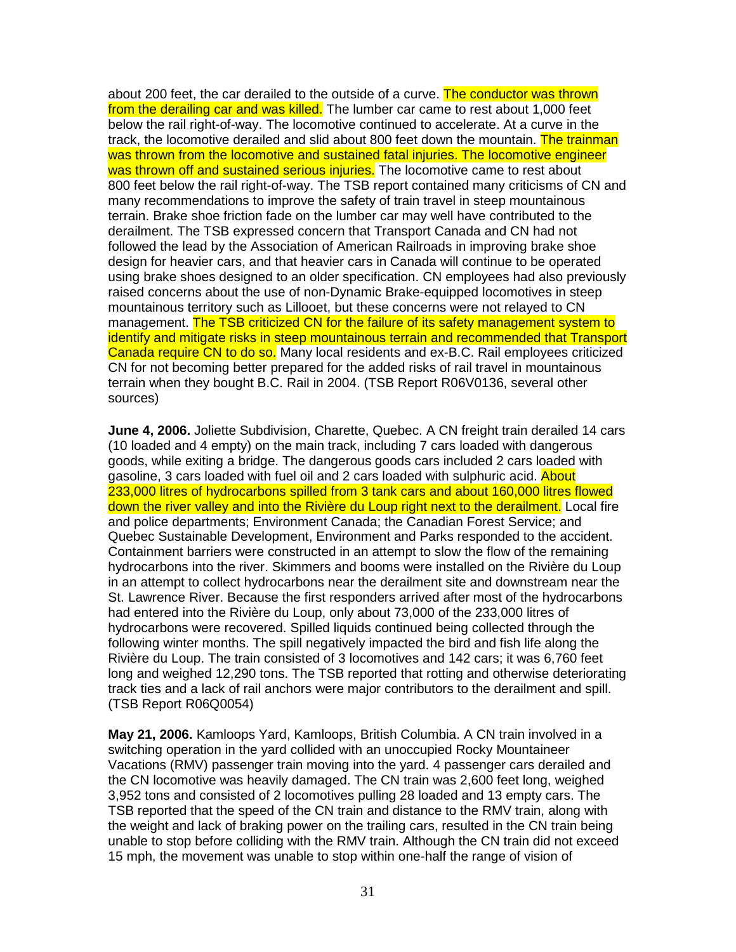about 200 feet, the car derailed to the outside of a curve. The conductor was thrown from the derailing car and was killed. The lumber car came to rest about 1,000 feet below the rail right-of-way. The locomotive continued to accelerate. At a curve in the track, the locomotive derailed and slid about 800 feet down the mountain. The trainman was thrown from the locomotive and sustained fatal injuries. The locomotive engineer was thrown off and sustained serious injuries. The locomotive came to rest about 800 feet below the rail right-of-way. The TSB report contained many criticisms of CN and many recommendations to improve the safety of train travel in steep mountainous terrain. Brake shoe friction fade on the lumber car may well have contributed to the derailment. The TSB expressed concern that Transport Canada and CN had not followed the lead by the Association of American Railroads in improving brake shoe design for heavier cars, and that heavier cars in Canada will continue to be operated using brake shoes designed to an older specification. CN employees had also previously raised concerns about the use of non-Dynamic Brake-equipped locomotives in steep mountainous territory such as Lillooet, but these concerns were not relayed to CN management. The TSB criticized CN for the failure of its safety management system to identify and mitigate risks in steep mountainous terrain and recommended that Transport Canada require CN to do so. Many local residents and ex-B.C. Rail employees criticized CN for not becoming better prepared for the added risks of rail travel in mountainous terrain when they bought B.C. Rail in 2004. (TSB Report R06V0136, several other sources)

**June 4, 2006.** Joliette Subdivision, Charette, Quebec. A CN freight train derailed 14 cars (10 loaded and 4 empty) on the main track, including 7 cars loaded with dangerous goods, while exiting a bridge. The dangerous goods cars included 2 cars loaded with gasoline, 3 cars loaded with fuel oil and 2 cars loaded with sulphuric acid. About 233,000 litres of hydrocarbons spilled from 3 tank cars and about 160,000 litres flowed down the river valley and into the Rivière du Loup right next to the derailment. Local fire and police departments; Environment Canada; the Canadian Forest Service; and Quebec Sustainable Development, Environment and Parks responded to the accident. Containment barriers were constructed in an attempt to slow the flow of the remaining hydrocarbons into the river. Skimmers and booms were installed on the Rivière du Loup in an attempt to collect hydrocarbons near the derailment site and downstream near the St. Lawrence River. Because the first responders arrived after most of the hydrocarbons had entered into the Rivière du Loup, only about 73,000 of the 233,000 litres of hydrocarbons were recovered. Spilled liquids continued being collected through the following winter months. The spill negatively impacted the bird and fish life along the Rivière du Loup. The train consisted of 3 locomotives and 142 cars; it was 6,760 feet long and weighed 12,290 tons. The TSB reported that rotting and otherwise deteriorating track ties and a lack of rail anchors were major contributors to the derailment and spill. (TSB Report R06Q0054)

**May 21, 2006.** Kamloops Yard, Kamloops, British Columbia. A CN train involved in a switching operation in the yard collided with an unoccupied Rocky Mountaineer Vacations (RMV) passenger train moving into the yard. 4 passenger cars derailed and the CN locomotive was heavily damaged. The CN train was 2,600 feet long, weighed 3,952 tons and consisted of 2 locomotives pulling 28 loaded and 13 empty cars. The TSB reported that the speed of the CN train and distance to the RMV train, along with the weight and lack of braking power on the trailing cars, resulted in the CN train being unable to stop before colliding with the RMV train. Although the CN train did not exceed 15 mph, the movement was unable to stop within one-half the range of vision of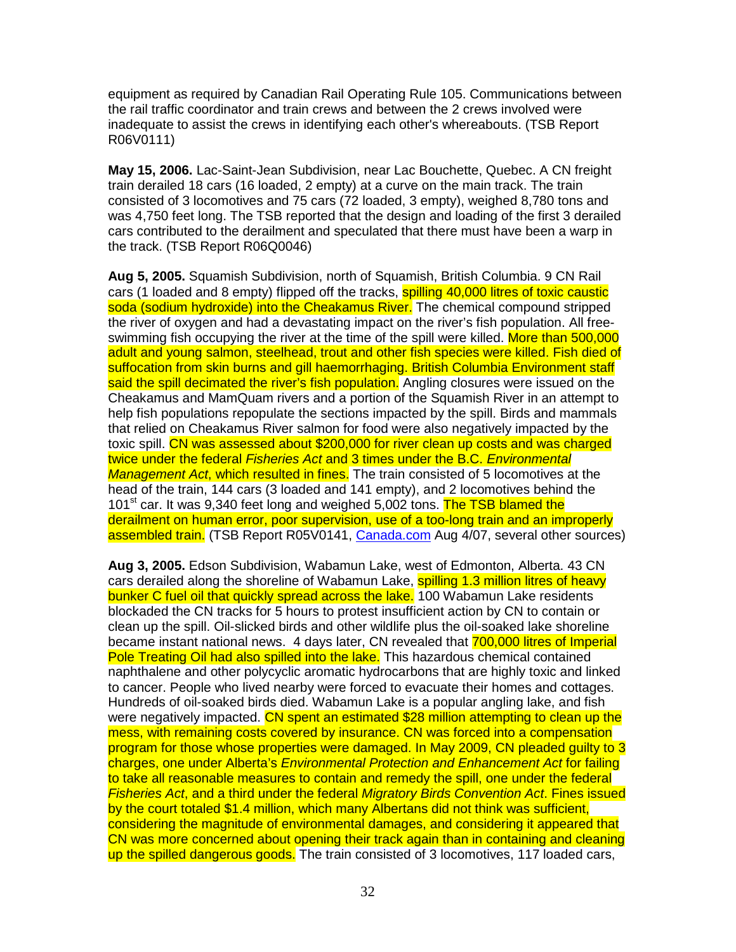equipment as required by Canadian Rail Operating Rule 105. Communications between the rail traffic coordinator and train crews and between the 2 crews involved were inadequate to assist the crews in identifying each other's whereabouts. (TSB Report R06V0111)

**May 15, 2006.** Lac-Saint-Jean Subdivision, near Lac Bouchette, Quebec. A CN freight train derailed 18 cars (16 loaded, 2 empty) at a curve on the main track. The train consisted of 3 locomotives and 75 cars (72 loaded, 3 empty), weighed 8,780 tons and was 4,750 feet long. The TSB reported that the design and loading of the first 3 derailed cars contributed to the derailment and speculated that there must have been a warp in the track. (TSB Report R06Q0046)

**Aug 5, 2005.** Squamish Subdivision, north of Squamish, British Columbia. 9 CN Rail cars (1 loaded and 8 empty) flipped off the tracks, **spilling 40,000 litres of toxic caustic** soda (sodium hydroxide) into the Cheakamus River. The chemical compound stripped the river of oxygen and had a devastating impact on the river's fish population. All freeswimming fish occupying the river at the time of the spill were killed. More than 500,000 adult and young salmon, steelhead, trout and other fish species were killed. Fish died of suffocation from skin burns and gill haemorrhaging. British Columbia Environment staff said the spill decimated the river's fish population. Angling closures were issued on the Cheakamus and MamQuam rivers and a portion of the Squamish River in an attempt to help fish populations repopulate the sections impacted by the spill. Birds and mammals that relied on Cheakamus River salmon for food were also negatively impacted by the toxic spill. CN was assessed about \$200,000 for river clean up costs and was charged twice under the federal Fisheries Act and 3 times under the B.C. Environmental Management Act, which resulted in fines. The train consisted of 5 locomotives at the head of the train, 144 cars (3 loaded and 141 empty), and 2 locomotives behind the 101<sup>st</sup> car. It was 9,340 feet long and weighed 5,002 tons. The TSB blamed the derailment on human error, poor supervision, use of a too-long train and an improperly assembled train. (TSB Report R05V0141, Canada.com Aug 4/07, several other sources)

**Aug 3, 2005.** Edson Subdivision, Wabamun Lake, west of Edmonton, Alberta. 43 CN cars derailed along the shoreline of Wabamun Lake, spilling 1.3 million litres of heavy bunker C fuel oil that quickly spread across the lake. 100 Wabamun Lake residents blockaded the CN tracks for 5 hours to protest insufficient action by CN to contain or clean up the spill. Oil-slicked birds and other wildlife plus the oil-soaked lake shoreline became instant national news. 4 days later, CN revealed that 700,000 litres of Imperial Pole Treating Oil had also spilled into the lake. This hazardous chemical contained naphthalene and other polycyclic aromatic hydrocarbons that are highly toxic and linked to cancer. People who lived nearby were forced to evacuate their homes and cottages. Hundreds of oil-soaked birds died. Wabamun Lake is a popular angling lake, and fish were negatively impacted. CN spent an estimated \$28 million attempting to clean up the mess, with remaining costs covered by insurance. CN was forced into a compensation program for those whose properties were damaged. In May 2009, CN pleaded guilty to 3 charges, one under Alberta's Environmental Protection and Enhancement Act for failing to take all reasonable measures to contain and remedy the spill, one under the federal Fisheries Act, and a third under the federal Migratory Birds Convention Act. Fines issued by the court totaled \$1.4 million, which many Albertans did not think was sufficient, considering the magnitude of environmental damages, and considering it appeared that CN was more concerned about opening their track again than in containing and cleaning up the spilled dangerous goods. The train consisted of 3 locomotives, 117 loaded cars,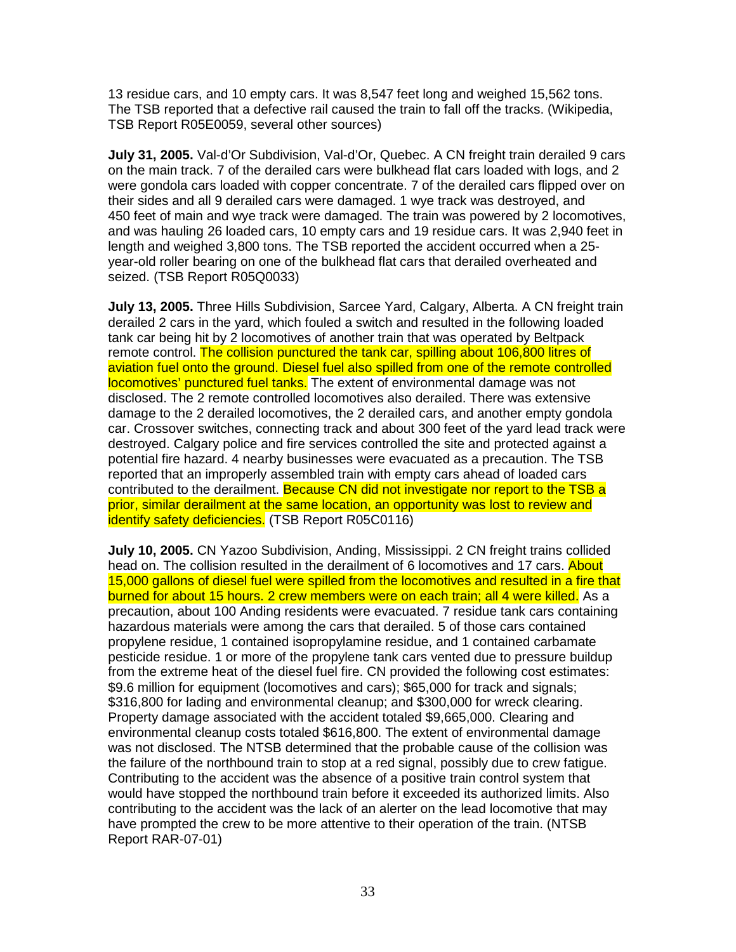13 residue cars, and 10 empty cars. It was 8,547 feet long and weighed 15,562 tons. The TSB reported that a defective rail caused the train to fall off the tracks. (Wikipedia, TSB Report R05E0059, several other sources)

**July 31, 2005.** Val-d'Or Subdivision, Val-d'Or, Quebec. A CN freight train derailed 9 cars on the main track. 7 of the derailed cars were bulkhead flat cars loaded with logs, and 2 were gondola cars loaded with copper concentrate. 7 of the derailed cars flipped over on their sides and all 9 derailed cars were damaged. 1 wye track was destroyed, and 450 feet of main and wye track were damaged. The train was powered by 2 locomotives, and was hauling 26 loaded cars, 10 empty cars and 19 residue cars. It was 2,940 feet in length and weighed 3,800 tons. The TSB reported the accident occurred when a 25 year-old roller bearing on one of the bulkhead flat cars that derailed overheated and seized. (TSB Report R05Q0033)

**July 13, 2005.** Three Hills Subdivision, Sarcee Yard, Calgary, Alberta. A CN freight train derailed 2 cars in the yard, which fouled a switch and resulted in the following loaded tank car being hit by 2 locomotives of another train that was operated by Beltpack remote control. The collision punctured the tank car, spilling about 106,800 litres of aviation fuel onto the ground. Diesel fuel also spilled from one of the remote controlled locomotives' punctured fuel tanks. The extent of environmental damage was not disclosed. The 2 remote controlled locomotives also derailed. There was extensive damage to the 2 derailed locomotives, the 2 derailed cars, and another empty gondola car. Crossover switches, connecting track and about 300 feet of the yard lead track were destroyed. Calgary police and fire services controlled the site and protected against a potential fire hazard. 4 nearby businesses were evacuated as a precaution. The TSB reported that an improperly assembled train with empty cars ahead of loaded cars contributed to the derailment. Because CN did not investigate nor report to the TSB a prior, similar derailment at the same location, an opportunity was lost to review and identify safety deficiencies. (TSB Report R05C0116)

**July 10, 2005.** CN Yazoo Subdivision, Anding, Mississippi. 2 CN freight trains collided head on. The collision resulted in the derailment of 6 locomotives and 17 cars. About 15,000 gallons of diesel fuel were spilled from the locomotives and resulted in a fire that burned for about 15 hours. 2 crew members were on each train; all 4 were killed. As a precaution, about 100 Anding residents were evacuated. 7 residue tank cars containing hazardous materials were among the cars that derailed. 5 of those cars contained propylene residue, 1 contained isopropylamine residue, and 1 contained carbamate pesticide residue. 1 or more of the propylene tank cars vented due to pressure buildup from the extreme heat of the diesel fuel fire. CN provided the following cost estimates: \$9.6 million for equipment (locomotives and cars); \$65,000 for track and signals; \$316,800 for lading and environmental cleanup; and \$300,000 for wreck clearing. Property damage associated with the accident totaled \$9,665,000. Clearing and environmental cleanup costs totaled \$616,800. The extent of environmental damage was not disclosed. The NTSB determined that the probable cause of the collision was the failure of the northbound train to stop at a red signal, possibly due to crew fatigue. Contributing to the accident was the absence of a positive train control system that would have stopped the northbound train before it exceeded its authorized limits. Also contributing to the accident was the lack of an alerter on the lead locomotive that may have prompted the crew to be more attentive to their operation of the train. (NTSB Report RAR-07-01)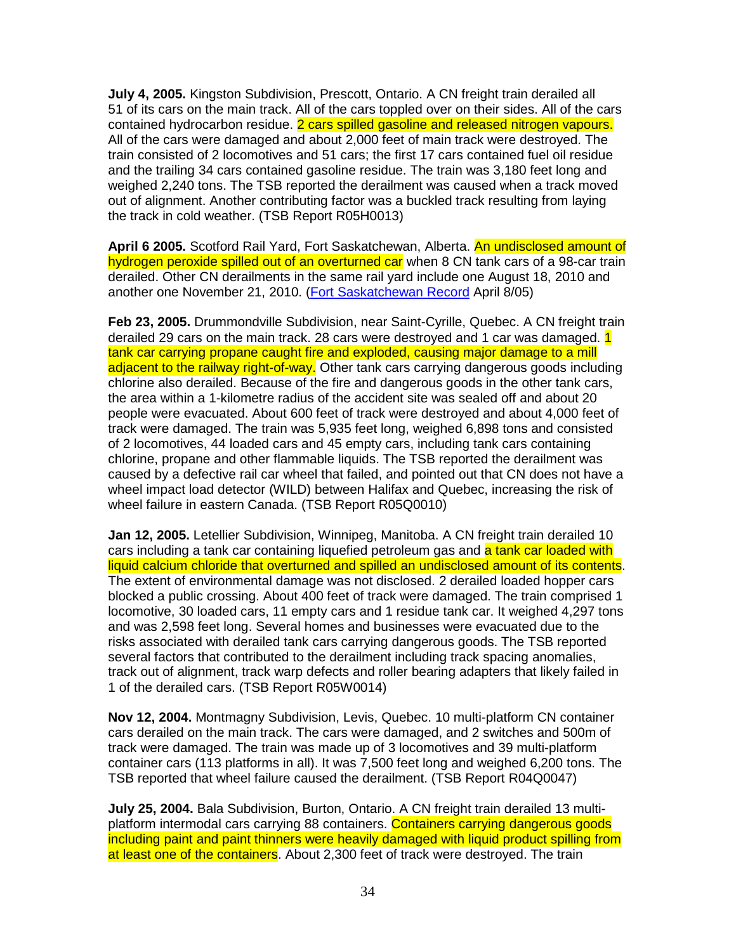**July 4, 2005.** Kingston Subdivision, Prescott, Ontario. A CN freight train derailed all 51 of its cars on the main track. All of the cars toppled over on their sides. All of the cars contained hydrocarbon residue. 2 cars spilled gasoline and released nitrogen vapours. All of the cars were damaged and about 2,000 feet of main track were destroyed. The train consisted of 2 locomotives and 51 cars; the first 17 cars contained fuel oil residue and the trailing 34 cars contained gasoline residue. The train was 3,180 feet long and weighed 2,240 tons. The TSB reported the derailment was caused when a track moved out of alignment. Another contributing factor was a buckled track resulting from laying the track in cold weather. (TSB Report R05H0013)

**April 6 2005.** Scotford Rail Yard, Fort Saskatchewan, Alberta. An undisclosed amount of hydrogen peroxide spilled out of an overturned car when 8 CN tank cars of a 98-car train derailed. Other CN derailments in the same rail yard include one August 18, 2010 and another one November 21, 2010. (Fort Saskatchewan Record April 8/05)

**Feb 23, 2005.** Drummondville Subdivision, near Saint-Cyrille, Quebec. A CN freight train derailed 29 cars on the main track. 28 cars were destroyed and 1 car was damaged. 1 tank car carrying propane caught fire and exploded, causing major damage to a mill adjacent to the railway right-of-way. Other tank cars carrying dangerous goods including chlorine also derailed. Because of the fire and dangerous goods in the other tank cars, the area within a 1-kilometre radius of the accident site was sealed off and about 20 people were evacuated. About 600 feet of track were destroyed and about 4,000 feet of track were damaged. The train was 5,935 feet long, weighed 6,898 tons and consisted of 2 locomotives, 44 loaded cars and 45 empty cars, including tank cars containing chlorine, propane and other flammable liquids. The TSB reported the derailment was caused by a defective rail car wheel that failed, and pointed out that CN does not have a wheel impact load detector (WILD) between Halifax and Quebec, increasing the risk of wheel failure in eastern Canada. (TSB Report R05Q0010)

**Jan 12, 2005.** Letellier Subdivision, Winnipeg, Manitoba. A CN freight train derailed 10 cars including a tank car containing liquefied petroleum gas and a tank car loaded with liquid calcium chloride that overturned and spilled an undisclosed amount of its contents. The extent of environmental damage was not disclosed. 2 derailed loaded hopper cars blocked a public crossing. About 400 feet of track were damaged. The train comprised 1 locomotive, 30 loaded cars, 11 empty cars and 1 residue tank car. It weighed 4,297 tons and was 2,598 feet long. Several homes and businesses were evacuated due to the risks associated with derailed tank cars carrying dangerous goods. The TSB reported several factors that contributed to the derailment including track spacing anomalies, track out of alignment, track warp defects and roller bearing adapters that likely failed in 1 of the derailed cars. (TSB Report R05W0014)

**Nov 12, 2004.** Montmagny Subdivision, Levis, Quebec. 10 multi-platform CN container cars derailed on the main track. The cars were damaged, and 2 switches and 500m of track were damaged. The train was made up of 3 locomotives and 39 multi-platform container cars (113 platforms in all). It was 7,500 feet long and weighed 6,200 tons. The TSB reported that wheel failure caused the derailment. (TSB Report R04Q0047)

**July 25, 2004.** Bala Subdivision, Burton, Ontario. A CN freight train derailed 13 multiplatform intermodal cars carrying 88 containers. Containers carrying dangerous goods including paint and paint thinners were heavily damaged with liquid product spilling from at least one of the containers. About 2,300 feet of track were destroyed. The train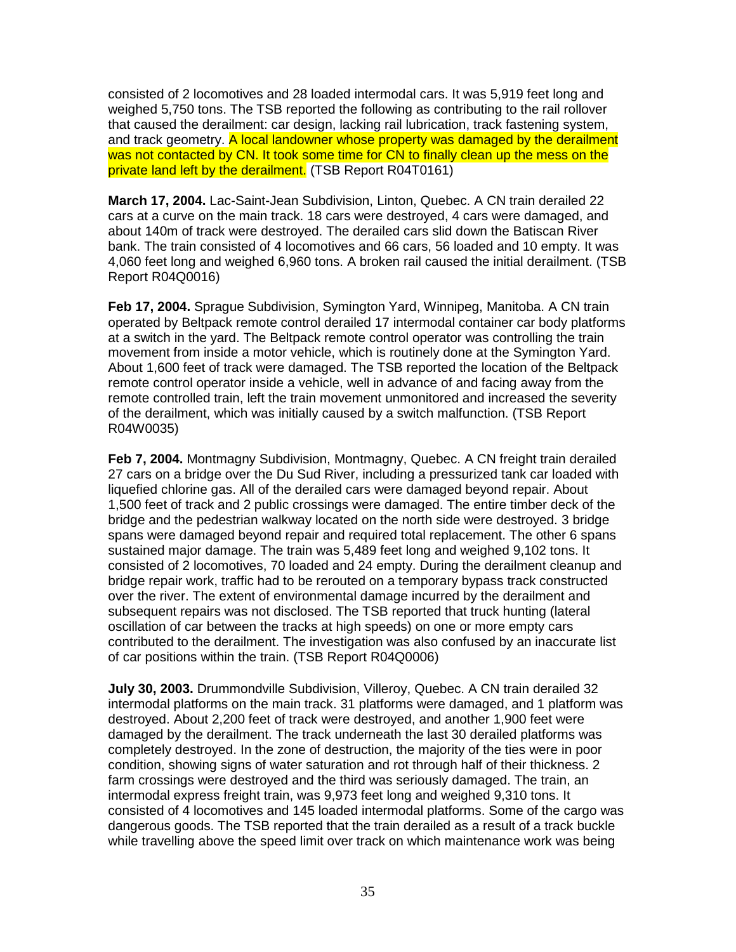consisted of 2 locomotives and 28 loaded intermodal cars. It was 5,919 feet long and weighed 5,750 tons. The TSB reported the following as contributing to the rail rollover that caused the derailment: car design, lacking rail lubrication, track fastening system, and track geometry. A local landowner whose property was damaged by the derailment was not contacted by CN. It took some time for CN to finally clean up the mess on the private land left by the derailment. (TSB Report R04T0161)

**March 17, 2004.** Lac-Saint-Jean Subdivision, Linton, Quebec. A CN train derailed 22 cars at a curve on the main track. 18 cars were destroyed, 4 cars were damaged, and about 140m of track were destroyed. The derailed cars slid down the Batiscan River bank. The train consisted of 4 locomotives and 66 cars, 56 loaded and 10 empty. It was 4,060 feet long and weighed 6,960 tons. A broken rail caused the initial derailment. (TSB Report R04Q0016)

**Feb 17, 2004.** Sprague Subdivision, Symington Yard, Winnipeg, Manitoba. A CN train operated by Beltpack remote control derailed 17 intermodal container car body platforms at a switch in the yard. The Beltpack remote control operator was controlling the train movement from inside a motor vehicle, which is routinely done at the Symington Yard. About 1,600 feet of track were damaged. The TSB reported the location of the Beltpack remote control operator inside a vehicle, well in advance of and facing away from the remote controlled train, left the train movement unmonitored and increased the severity of the derailment, which was initially caused by a switch malfunction. (TSB Report R04W0035)

**Feb 7, 2004.** Montmagny Subdivision, Montmagny, Quebec. A CN freight train derailed 27 cars on a bridge over the Du Sud River, including a pressurized tank car loaded with liquefied chlorine gas. All of the derailed cars were damaged beyond repair. About 1,500 feet of track and 2 public crossings were damaged. The entire timber deck of the bridge and the pedestrian walkway located on the north side were destroyed. 3 bridge spans were damaged beyond repair and required total replacement. The other 6 spans sustained major damage. The train was 5,489 feet long and weighed 9,102 tons. It consisted of 2 locomotives, 70 loaded and 24 empty. During the derailment cleanup and bridge repair work, traffic had to be rerouted on a temporary bypass track constructed over the river. The extent of environmental damage incurred by the derailment and subsequent repairs was not disclosed. The TSB reported that truck hunting (lateral oscillation of car between the tracks at high speeds) on one or more empty cars contributed to the derailment. The investigation was also confused by an inaccurate list of car positions within the train. (TSB Report R04Q0006)

**July 30, 2003.** Drummondville Subdivision, Villeroy, Quebec. A CN train derailed 32 intermodal platforms on the main track. 31 platforms were damaged, and 1 platform was destroyed. About 2,200 feet of track were destroyed, and another 1,900 feet were damaged by the derailment. The track underneath the last 30 derailed platforms was completely destroyed. In the zone of destruction, the majority of the ties were in poor condition, showing signs of water saturation and rot through half of their thickness. 2 farm crossings were destroyed and the third was seriously damaged. The train, an intermodal express freight train, was 9,973 feet long and weighed 9,310 tons. It consisted of 4 locomotives and 145 loaded intermodal platforms. Some of the cargo was dangerous goods. The TSB reported that the train derailed as a result of a track buckle while travelling above the speed limit over track on which maintenance work was being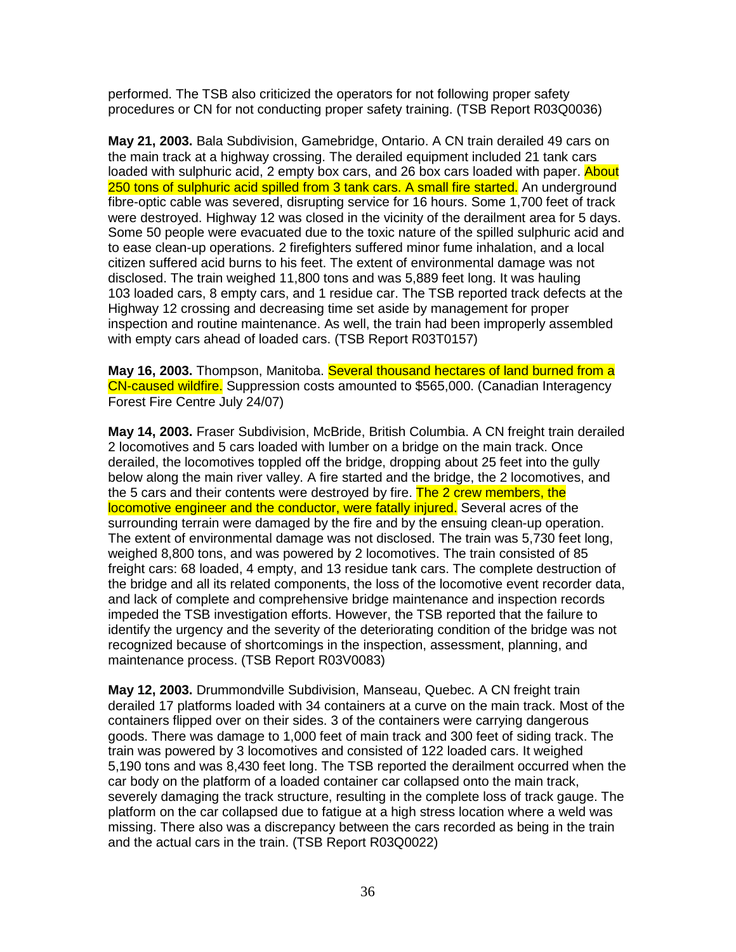performed. The TSB also criticized the operators for not following proper safety procedures or CN for not conducting proper safety training. (TSB Report R03Q0036)

**May 21, 2003.** Bala Subdivision, Gamebridge, Ontario. A CN train derailed 49 cars on the main track at a highway crossing. The derailed equipment included 21 tank cars loaded with sulphuric acid, 2 empty box cars, and 26 box cars loaded with paper. About 250 tons of sulphuric acid spilled from 3 tank cars. A small fire started. An underground fibre-optic cable was severed, disrupting service for 16 hours. Some 1,700 feet of track were destroyed. Highway 12 was closed in the vicinity of the derailment area for 5 days. Some 50 people were evacuated due to the toxic nature of the spilled sulphuric acid and to ease clean-up operations. 2 firefighters suffered minor fume inhalation, and a local citizen suffered acid burns to his feet. The extent of environmental damage was not disclosed. The train weighed 11,800 tons and was 5,889 feet long. It was hauling 103 loaded cars, 8 empty cars, and 1 residue car. The TSB reported track defects at the Highway 12 crossing and decreasing time set aside by management for proper inspection and routine maintenance. As well, the train had been improperly assembled with empty cars ahead of loaded cars. (TSB Report R03T0157)

**May 16, 2003.** Thompson, Manitoba. Several thousand hectares of land burned from a CN-caused wildfire. Suppression costs amounted to \$565,000. (Canadian Interagency Forest Fire Centre July 24/07)

**May 14, 2003.** Fraser Subdivision, McBride, British Columbia. A CN freight train derailed 2 locomotives and 5 cars loaded with lumber on a bridge on the main track. Once derailed, the locomotives toppled off the bridge, dropping about 25 feet into the gully below along the main river valley. A fire started and the bridge, the 2 locomotives, and the 5 cars and their contents were destroyed by fire. The 2 crew members, the locomotive engineer and the conductor, were fatally injured. Several acres of the surrounding terrain were damaged by the fire and by the ensuing clean-up operation. The extent of environmental damage was not disclosed. The train was 5,730 feet long, weighed 8,800 tons, and was powered by 2 locomotives. The train consisted of 85 freight cars: 68 loaded, 4 empty, and 13 residue tank cars. The complete destruction of the bridge and all its related components, the loss of the locomotive event recorder data, and lack of complete and comprehensive bridge maintenance and inspection records impeded the TSB investigation efforts. However, the TSB reported that the failure to identify the urgency and the severity of the deteriorating condition of the bridge was not recognized because of shortcomings in the inspection, assessment, planning, and maintenance process. (TSB Report R03V0083)

**May 12, 2003.** Drummondville Subdivision, Manseau, Quebec. A CN freight train derailed 17 platforms loaded with 34 containers at a curve on the main track. Most of the containers flipped over on their sides. 3 of the containers were carrying dangerous goods. There was damage to 1,000 feet of main track and 300 feet of siding track. The train was powered by 3 locomotives and consisted of 122 loaded cars. It weighed 5,190 tons and was 8,430 feet long. The TSB reported the derailment occurred when the car body on the platform of a loaded container car collapsed onto the main track, severely damaging the track structure, resulting in the complete loss of track gauge. The platform on the car collapsed due to fatigue at a high stress location where a weld was missing. There also was a discrepancy between the cars recorded as being in the train and the actual cars in the train. (TSB Report R03Q0022)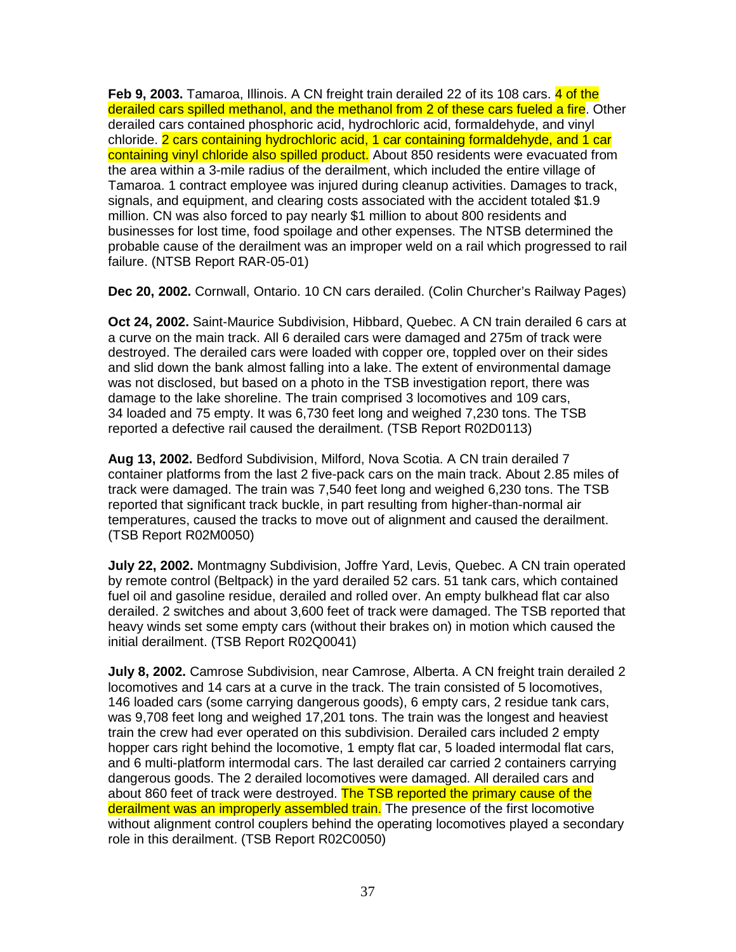**Feb 9, 2003.** Tamaroa, Illinois. A CN freight train derailed 22 of its 108 cars. 4 of the derailed cars spilled methanol, and the methanol from 2 of these cars fueled a fire. Other derailed cars contained phosphoric acid, hydrochloric acid, formaldehyde, and vinyl chloride. 2 cars containing hydrochloric acid, 1 car containing formaldehyde, and 1 car containing vinyl chloride also spilled product. About 850 residents were evacuated from the area within a 3-mile radius of the derailment, which included the entire village of Tamaroa. 1 contract employee was injured during cleanup activities. Damages to track, signals, and equipment, and clearing costs associated with the accident totaled \$1.9 million. CN was also forced to pay nearly \$1 million to about 800 residents and businesses for lost time, food spoilage and other expenses. The NTSB determined the probable cause of the derailment was an improper weld on a rail which progressed to rail failure. (NTSB Report RAR-05-01)

**Dec 20, 2002.** Cornwall, Ontario. 10 CN cars derailed. (Colin Churcher's Railway Pages)

**Oct 24, 2002.** Saint-Maurice Subdivision, Hibbard, Quebec. A CN train derailed 6 cars at a curve on the main track. All 6 derailed cars were damaged and 275m of track were destroyed. The derailed cars were loaded with copper ore, toppled over on their sides and slid down the bank almost falling into a lake. The extent of environmental damage was not disclosed, but based on a photo in the TSB investigation report, there was damage to the lake shoreline. The train comprised 3 locomotives and 109 cars, 34 loaded and 75 empty. It was 6,730 feet long and weighed 7,230 tons. The TSB reported a defective rail caused the derailment. (TSB Report R02D0113)

**Aug 13, 2002.** Bedford Subdivision, Milford, Nova Scotia. A CN train derailed 7 container platforms from the last 2 five-pack cars on the main track. About 2.85 miles of track were damaged. The train was 7,540 feet long and weighed 6,230 tons. The TSB reported that significant track buckle, in part resulting from higher-than-normal air temperatures, caused the tracks to move out of alignment and caused the derailment. (TSB Report R02M0050)

**July 22, 2002.** Montmagny Subdivision, Joffre Yard, Levis, Quebec. A CN train operated by remote control (Beltpack) in the yard derailed 52 cars. 51 tank cars, which contained fuel oil and gasoline residue, derailed and rolled over. An empty bulkhead flat car also derailed. 2 switches and about 3,600 feet of track were damaged. The TSB reported that heavy winds set some empty cars (without their brakes on) in motion which caused the initial derailment. (TSB Report R02Q0041)

**July 8, 2002.** Camrose Subdivision, near Camrose, Alberta. A CN freight train derailed 2 locomotives and 14 cars at a curve in the track. The train consisted of 5 locomotives, 146 loaded cars (some carrying dangerous goods), 6 empty cars, 2 residue tank cars, was 9,708 feet long and weighed 17,201 tons. The train was the longest and heaviest train the crew had ever operated on this subdivision. Derailed cars included 2 empty hopper cars right behind the locomotive, 1 empty flat car, 5 loaded intermodal flat cars, and 6 multi-platform intermodal cars. The last derailed car carried 2 containers carrying dangerous goods. The 2 derailed locomotives were damaged. All derailed cars and about 860 feet of track were destroyed. The TSB reported the primary cause of the derailment was an improperly assembled train. The presence of the first locomotive without alignment control couplers behind the operating locomotives played a secondary role in this derailment. (TSB Report R02C0050)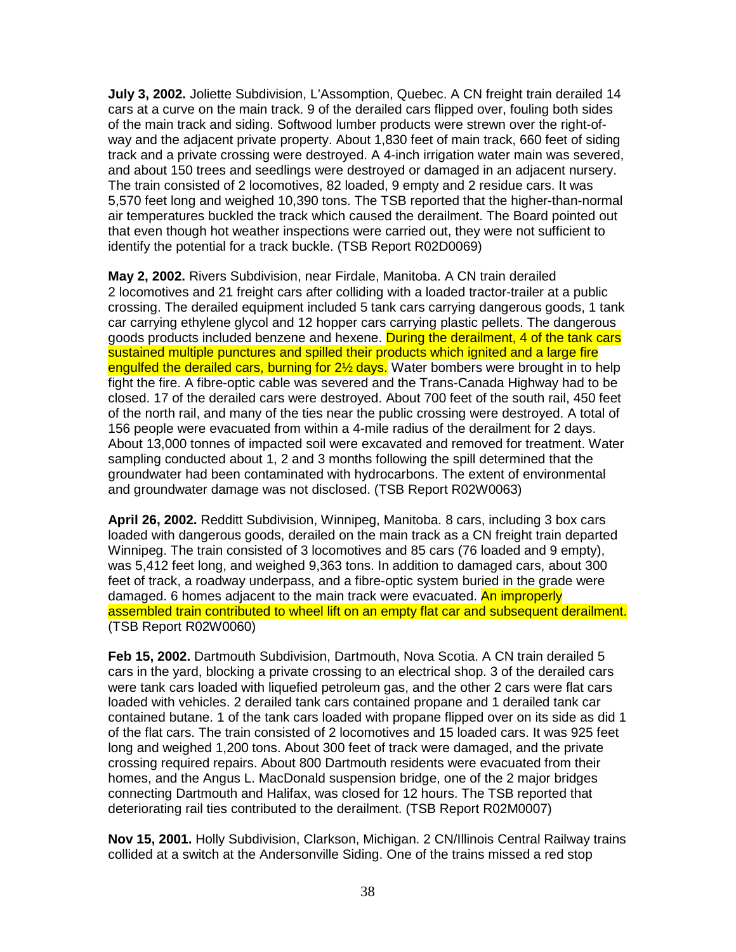**July 3, 2002.** Joliette Subdivision, L'Assomption, Quebec. A CN freight train derailed 14 cars at a curve on the main track. 9 of the derailed cars flipped over, fouling both sides of the main track and siding. Softwood lumber products were strewn over the right-ofway and the adjacent private property. About 1,830 feet of main track, 660 feet of siding track and a private crossing were destroyed. A 4-inch irrigation water main was severed, and about 150 trees and seedlings were destroyed or damaged in an adjacent nursery. The train consisted of 2 locomotives, 82 loaded, 9 empty and 2 residue cars. It was 5,570 feet long and weighed 10,390 tons. The TSB reported that the higher-than-normal air temperatures buckled the track which caused the derailment. The Board pointed out that even though hot weather inspections were carried out, they were not sufficient to identify the potential for a track buckle. (TSB Report R02D0069)

**May 2, 2002.** Rivers Subdivision, near Firdale, Manitoba. A CN train derailed 2 locomotives and 21 freight cars after colliding with a loaded tractor-trailer at a public crossing. The derailed equipment included 5 tank cars carrying dangerous goods, 1 tank car carrying ethylene glycol and 12 hopper cars carrying plastic pellets. The dangerous goods products included benzene and hexene. During the derailment, 4 of the tank cars sustained multiple punctures and spilled their products which ignited and a large fire engulfed the derailed cars, burning for 2<sup>1/2</sup> days. Water bombers were brought in to help fight the fire. A fibre-optic cable was severed and the Trans-Canada Highway had to be closed. 17 of the derailed cars were destroyed. About 700 feet of the south rail, 450 feet of the north rail, and many of the ties near the public crossing were destroyed. A total of 156 people were evacuated from within a 4-mile radius of the derailment for 2 days. About 13,000 tonnes of impacted soil were excavated and removed for treatment. Water sampling conducted about 1, 2 and 3 months following the spill determined that the groundwater had been contaminated with hydrocarbons. The extent of environmental and groundwater damage was not disclosed. (TSB Report R02W0063)

**April 26, 2002.** Redditt Subdivision, Winnipeg, Manitoba. 8 cars, including 3 box cars loaded with dangerous goods, derailed on the main track as a CN freight train departed Winnipeg. The train consisted of 3 locomotives and 85 cars (76 loaded and 9 empty), was 5,412 feet long, and weighed 9,363 tons. In addition to damaged cars, about 300 feet of track, a roadway underpass, and a fibre-optic system buried in the grade were damaged. 6 homes adjacent to the main track were evacuated. An improperly assembled train contributed to wheel lift on an empty flat car and subsequent derailment. (TSB Report R02W0060)

**Feb 15, 2002.** Dartmouth Subdivision, Dartmouth, Nova Scotia. A CN train derailed 5 cars in the yard, blocking a private crossing to an electrical shop. 3 of the derailed cars were tank cars loaded with liquefied petroleum gas, and the other 2 cars were flat cars loaded with vehicles. 2 derailed tank cars contained propane and 1 derailed tank car contained butane. 1 of the tank cars loaded with propane flipped over on its side as did 1 of the flat cars. The train consisted of 2 locomotives and 15 loaded cars. It was 925 feet long and weighed 1,200 tons. About 300 feet of track were damaged, and the private crossing required repairs. About 800 Dartmouth residents were evacuated from their homes, and the Angus L. MacDonald suspension bridge, one of the 2 major bridges connecting Dartmouth and Halifax, was closed for 12 hours. The TSB reported that deteriorating rail ties contributed to the derailment. (TSB Report R02M0007)

**Nov 15, 2001.** Holly Subdivision, Clarkson, Michigan. 2 CN/Illinois Central Railway trains collided at a switch at the Andersonville Siding. One of the trains missed a red stop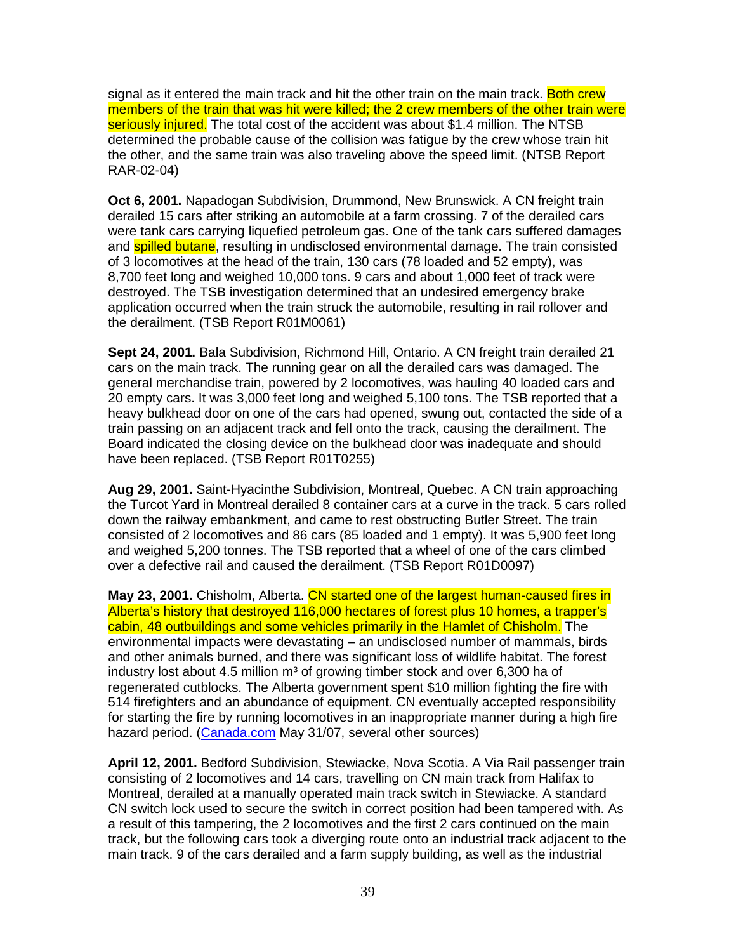signal as it entered the main track and hit the other train on the main track. Both crew members of the train that was hit were killed; the 2 crew members of the other train were seriously injured. The total cost of the accident was about \$1.4 million. The NTSB determined the probable cause of the collision was fatigue by the crew whose train hit the other, and the same train was also traveling above the speed limit. (NTSB Report RAR-02-04)

**Oct 6, 2001.** Napadogan Subdivision, Drummond, New Brunswick. A CN freight train derailed 15 cars after striking an automobile at a farm crossing. 7 of the derailed cars were tank cars carrying liquefied petroleum gas. One of the tank cars suffered damages and **spilled butane**, resulting in undisclosed environmental damage. The train consisted of 3 locomotives at the head of the train, 130 cars (78 loaded and 52 empty), was 8,700 feet long and weighed 10,000 tons. 9 cars and about 1,000 feet of track were destroyed. The TSB investigation determined that an undesired emergency brake application occurred when the train struck the automobile, resulting in rail rollover and the derailment. (TSB Report R01M0061)

**Sept 24, 2001.** Bala Subdivision, Richmond Hill, Ontario. A CN freight train derailed 21 cars on the main track. The running gear on all the derailed cars was damaged. The general merchandise train, powered by 2 locomotives, was hauling 40 loaded cars and 20 empty cars. It was 3,000 feet long and weighed 5,100 tons. The TSB reported that a heavy bulkhead door on one of the cars had opened, swung out, contacted the side of a train passing on an adjacent track and fell onto the track, causing the derailment. The Board indicated the closing device on the bulkhead door was inadequate and should have been replaced. (TSB Report R01T0255)

**Aug 29, 2001.** Saint-Hyacinthe Subdivision, Montreal, Quebec. A CN train approaching the Turcot Yard in Montreal derailed 8 container cars at a curve in the track. 5 cars rolled down the railway embankment, and came to rest obstructing Butler Street. The train consisted of 2 locomotives and 86 cars (85 loaded and 1 empty). It was 5,900 feet long and weighed 5,200 tonnes. The TSB reported that a wheel of one of the cars climbed over a defective rail and caused the derailment. (TSB Report R01D0097)

**May 23, 2001.** Chisholm, Alberta. CN started one of the largest human-caused fires in Alberta's history that destroyed 116,000 hectares of forest plus 10 homes, a trapper's cabin, 48 outbuildings and some vehicles primarily in the Hamlet of Chisholm. The environmental impacts were devastating – an undisclosed number of mammals, birds and other animals burned, and there was significant loss of wildlife habitat. The forest industry lost about 4.5 million  $m<sup>3</sup>$  of growing timber stock and over 6,300 ha of regenerated cutblocks. The Alberta government spent \$10 million fighting the fire with 514 firefighters and an abundance of equipment. CN eventually accepted responsibility for starting the fire by running locomotives in an inappropriate manner during a high fire hazard period. (Canada.com May 31/07, several other sources)

**April 12, 2001.** Bedford Subdivision, Stewiacke, Nova Scotia. A Via Rail passenger train consisting of 2 locomotives and 14 cars, travelling on CN main track from Halifax to Montreal, derailed at a manually operated main track switch in Stewiacke. A standard CN switch lock used to secure the switch in correct position had been tampered with. As a result of this tampering, the 2 locomotives and the first 2 cars continued on the main track, but the following cars took a diverging route onto an industrial track adjacent to the main track. 9 of the cars derailed and a farm supply building, as well as the industrial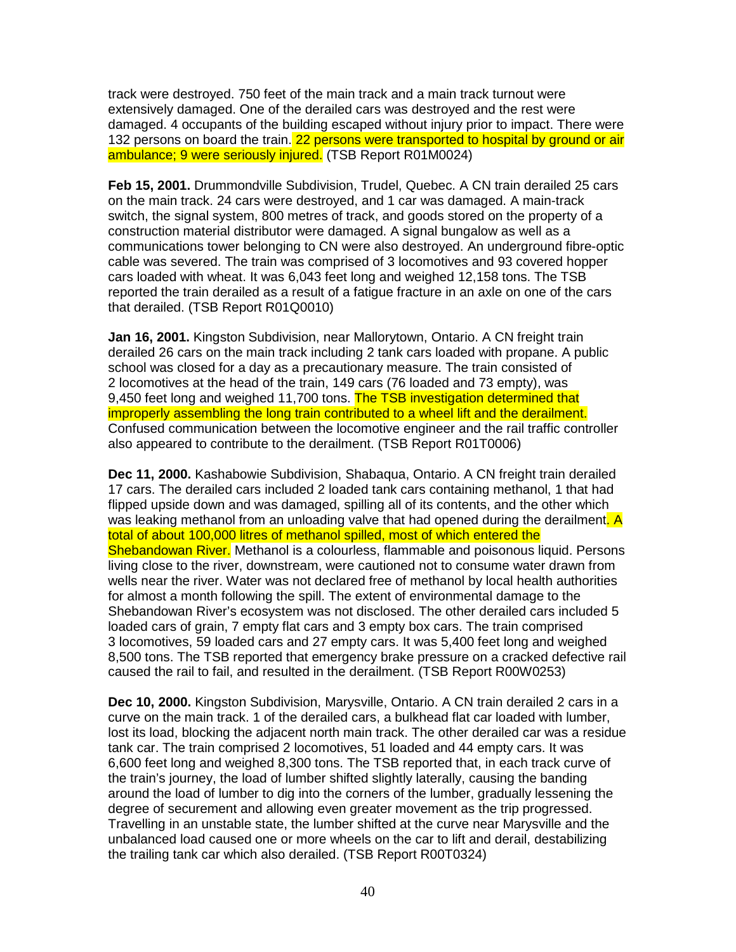track were destroyed. 750 feet of the main track and a main track turnout were extensively damaged. One of the derailed cars was destroyed and the rest were damaged. 4 occupants of the building escaped without injury prior to impact. There were 132 persons on board the train. 22 persons were transported to hospital by ground or air ambulance; 9 were seriously injured. (TSB Report R01M0024)

**Feb 15, 2001.** Drummondville Subdivision, Trudel, Quebec. A CN train derailed 25 cars on the main track. 24 cars were destroyed, and 1 car was damaged. A main-track switch, the signal system, 800 metres of track, and goods stored on the property of a construction material distributor were damaged. A signal bungalow as well as a communications tower belonging to CN were also destroyed. An underground fibre-optic cable was severed. The train was comprised of 3 locomotives and 93 covered hopper cars loaded with wheat. It was 6,043 feet long and weighed 12,158 tons. The TSB reported the train derailed as a result of a fatigue fracture in an axle on one of the cars that derailed. (TSB Report R01Q0010)

**Jan 16, 2001.** Kingston Subdivision, near Mallorytown, Ontario. A CN freight train derailed 26 cars on the main track including 2 tank cars loaded with propane. A public school was closed for a day as a precautionary measure. The train consisted of 2 locomotives at the head of the train, 149 cars (76 loaded and 73 empty), was 9.450 feet long and weighed 11,700 tons. The TSB investigation determined that improperly assembling the long train contributed to a wheel lift and the derailment. Confused communication between the locomotive engineer and the rail traffic controller also appeared to contribute to the derailment. (TSB Report R01T0006)

**Dec 11, 2000.** Kashabowie Subdivision, Shabaqua, Ontario. A CN freight train derailed 17 cars. The derailed cars included 2 loaded tank cars containing methanol, 1 that had flipped upside down and was damaged, spilling all of its contents, and the other which was leaking methanol from an unloading valve that had opened during the derailment. A total of about 100,000 litres of methanol spilled, most of which entered the Shebandowan River. Methanol is a colourless, flammable and poisonous liquid. Persons living close to the river, downstream, were cautioned not to consume water drawn from wells near the river. Water was not declared free of methanol by local health authorities for almost a month following the spill. The extent of environmental damage to the Shebandowan River's ecosystem was not disclosed. The other derailed cars included 5 loaded cars of grain, 7 empty flat cars and 3 empty box cars. The train comprised 3 locomotives, 59 loaded cars and 27 empty cars. It was 5,400 feet long and weighed 8,500 tons. The TSB reported that emergency brake pressure on a cracked defective rail caused the rail to fail, and resulted in the derailment. (TSB Report R00W0253)

**Dec 10, 2000.** Kingston Subdivision, Marysville, Ontario. A CN train derailed 2 cars in a curve on the main track. 1 of the derailed cars, a bulkhead flat car loaded with lumber, lost its load, blocking the adjacent north main track. The other derailed car was a residue tank car. The train comprised 2 locomotives, 51 loaded and 44 empty cars. It was 6,600 feet long and weighed 8,300 tons. The TSB reported that, in each track curve of the train's journey, the load of lumber shifted slightly laterally, causing the banding around the load of lumber to dig into the corners of the lumber, gradually lessening the degree of securement and allowing even greater movement as the trip progressed. Travelling in an unstable state, the lumber shifted at the curve near Marysville and the unbalanced load caused one or more wheels on the car to lift and derail, destabilizing the trailing tank car which also derailed. (TSB Report R00T0324)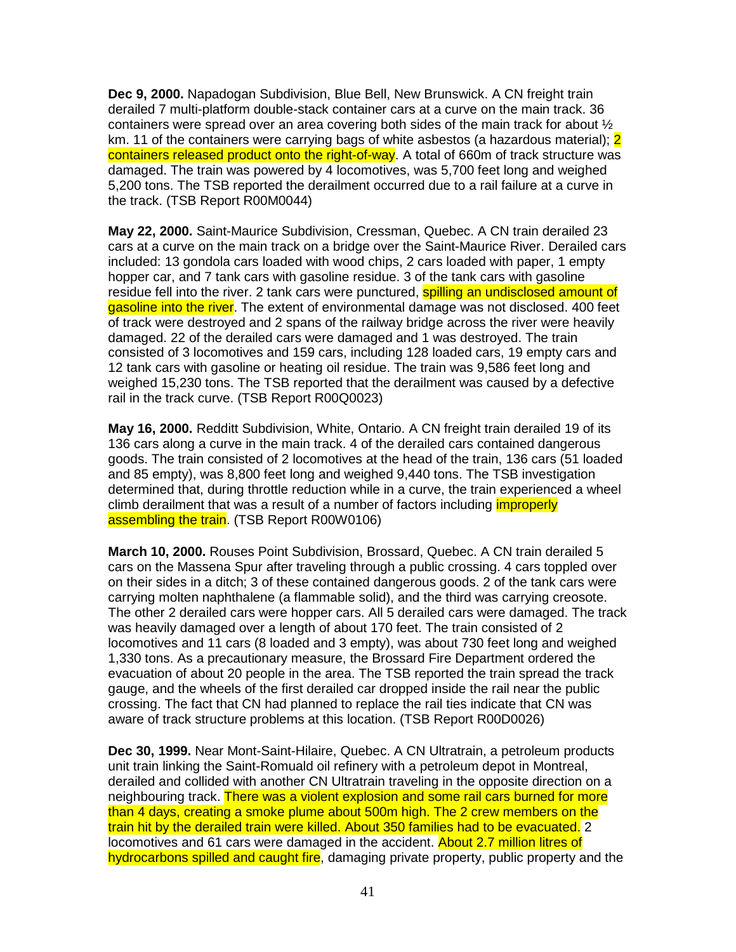**Dec 9, 2000.** Napadogan Subdivision, Blue Bell, New Brunswick. A CN freight train derailed 7 multi-platform double-stack container cars at a curve on the main track. 36 containers were spread over an area covering both sides of the main track for about  $\frac{1}{2}$ km. 11 of the containers were carrying bags of white asbestos (a hazardous material); 2 containers released product onto the right-of-way. A total of 660m of track structure was damaged. The train was powered by 4 locomotives, was 5,700 feet long and weighed 5,200 tons. The TSB reported the derailment occurred due to a rail failure at a curve in the track. (TSB Report R00M0044)

**May 22, 2000.** Saint-Maurice Subdivision, Cressman, Quebec. A CN train derailed 23 cars at a curve on the main track on a bridge over the Saint-Maurice River. Derailed cars included: 13 gondola cars loaded with wood chips, 2 cars loaded with paper, 1 empty hopper car, and 7 tank cars with gasoline residue. 3 of the tank cars with gasoline residue fell into the river. 2 tank cars were punctured, **spilling an undisclosed amount of** gasoline into the river. The extent of environmental damage was not disclosed. 400 feet of track were destroyed and 2 spans of the railway bridge across the river were heavily damaged. 22 of the derailed cars were damaged and 1 was destroyed. The train consisted of 3 locomotives and 159 cars, including 128 loaded cars, 19 empty cars and 12 tank cars with gasoline or heating oil residue. The train was 9,586 feet long and weighed 15,230 tons. The TSB reported that the derailment was caused by a defective rail in the track curve. (TSB Report R00Q0023)

**May 16, 2000.** Redditt Subdivision, White, Ontario. A CN freight train derailed 19 of its 136 cars along a curve in the main track. 4 of the derailed cars contained dangerous goods. The train consisted of 2 locomotives at the head of the train, 136 cars (51 loaded and 85 empty), was 8,800 feet long and weighed 9,440 tons. The TSB investigation determined that, during throttle reduction while in a curve, the train experienced a wheel climb derailment that was a result of a number of factors including *improperly* assembling the train. (TSB Report R00W0106)

**March 10, 2000.** Rouses Point Subdivision, Brossard, Quebec. A CN train derailed 5 cars on the Massena Spur after traveling through a public crossing. 4 cars toppled over on their sides in a ditch; 3 of these contained dangerous goods. 2 of the tank cars were carrying molten naphthalene (a flammable solid), and the third was carrying creosote. The other 2 derailed cars were hopper cars. All 5 derailed cars were damaged. The track was heavily damaged over a length of about 170 feet. The train consisted of 2 locomotives and 11 cars (8 loaded and 3 empty), was about 730 feet long and weighed 1,330 tons. As a precautionary measure, the Brossard Fire Department ordered the evacuation of about 20 people in the area. The TSB reported the train spread the track gauge, and the wheels of the first derailed car dropped inside the rail near the public crossing. The fact that CN had planned to replace the rail ties indicate that CN was aware of track structure problems at this location. (TSB Report R00D0026)

**Dec 30, 1999.** Near Mont-Saint-Hilaire, Quebec. A CN Ultratrain, a petroleum products unit train linking the Saint-Romuald oil refinery with a petroleum depot in Montreal, derailed and collided with another CN Ultratrain traveling in the opposite direction on a neighbouring track. There was a violent explosion and some rail cars burned for more than 4 days, creating a smoke plume about 500m high. The 2 crew members on the train hit by the derailed train were killed. About 350 families had to be evacuated. 2 locomotives and 61 cars were damaged in the accident. About 2.7 million litres of hydrocarbons spilled and caught fire, damaging private property, public property and the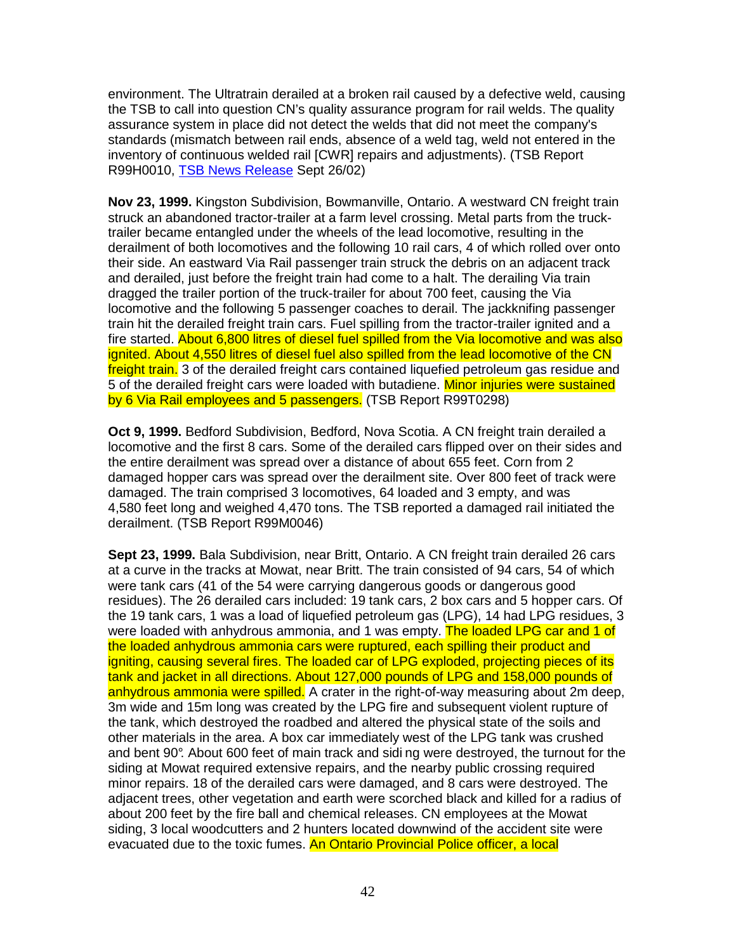environment. The Ultratrain derailed at a broken rail caused by a defective weld, causing the TSB to call into question CN's quality assurance program for rail welds. The quality assurance system in place did not detect the welds that did not meet the company's standards (mismatch between rail ends, absence of a weld tag, weld not entered in the inventory of continuous welded rail [CWR] repairs and adjustments). (TSB Report R99H0010, TSB News Release Sept 26/02)

**Nov 23, 1999.** Kingston Subdivision, Bowmanville, Ontario. A westward CN freight train struck an abandoned tractor-trailer at a farm level crossing. Metal parts from the trucktrailer became entangled under the wheels of the lead locomotive, resulting in the derailment of both locomotives and the following 10 rail cars, 4 of which rolled over onto their side. An eastward Via Rail passenger train struck the debris on an adjacent track and derailed, just before the freight train had come to a halt. The derailing Via train dragged the trailer portion of the truck-trailer for about 700 feet, causing the Via locomotive and the following 5 passenger coaches to derail. The jackknifing passenger train hit the derailed freight train cars. Fuel spilling from the tractor-trailer ignited and a fire started. About 6,800 litres of diesel fuel spilled from the Via locomotive and was also ignited. About 4,550 litres of diesel fuel also spilled from the lead locomotive of the CN freight train. 3 of the derailed freight cars contained liquefied petroleum gas residue and 5 of the derailed freight cars were loaded with butadiene. Minor injuries were sustained by 6 Via Rail employees and 5 passengers. (TSB Report R99T0298)

**Oct 9, 1999.** Bedford Subdivision, Bedford, Nova Scotia. A CN freight train derailed a locomotive and the first 8 cars. Some of the derailed cars flipped over on their sides and the entire derailment was spread over a distance of about 655 feet. Corn from 2 damaged hopper cars was spread over the derailment site. Over 800 feet of track were damaged. The train comprised 3 locomotives, 64 loaded and 3 empty, and was 4,580 feet long and weighed 4,470 tons. The TSB reported a damaged rail initiated the derailment. (TSB Report R99M0046)

**Sept 23, 1999.** Bala Subdivision, near Britt, Ontario. A CN freight train derailed 26 cars at a curve in the tracks at Mowat, near Britt. The train consisted of 94 cars, 54 of which were tank cars (41 of the 54 were carrying dangerous goods or dangerous good residues). The 26 derailed cars included: 19 tank cars, 2 box cars and 5 hopper cars. Of the 19 tank cars, 1 was a load of liquefied petroleum gas (LPG), 14 had LPG residues, 3 were loaded with anhydrous ammonia, and 1 was empty. The loaded LPG car and 1 of the loaded anhydrous ammonia cars were ruptured, each spilling their product and igniting, causing several fires. The loaded car of LPG exploded, projecting pieces of its tank and jacket in all directions. About 127,000 pounds of LPG and 158,000 pounds of anhydrous ammonia were spilled. A crater in the right-of-way measuring about 2m deep. 3m wide and 15m long was created by the LPG fire and subsequent violent rupture of the tank, which destroyed the roadbed and altered the physical state of the soils and other materials in the area. A box car immediately west of the LPG tank was crushed and bent 90°. About 600 feet of main track and sidi ng were destroyed, the turnout for the siding at Mowat required extensive repairs, and the nearby public crossing required minor repairs. 18 of the derailed cars were damaged, and 8 cars were destroyed. The adjacent trees, other vegetation and earth were scorched black and killed for a radius of about 200 feet by the fire ball and chemical releases. CN employees at the Mowat siding, 3 local woodcutters and 2 hunters located downwind of the accident site were evacuated due to the toxic fumes. An Ontario Provincial Police officer, a local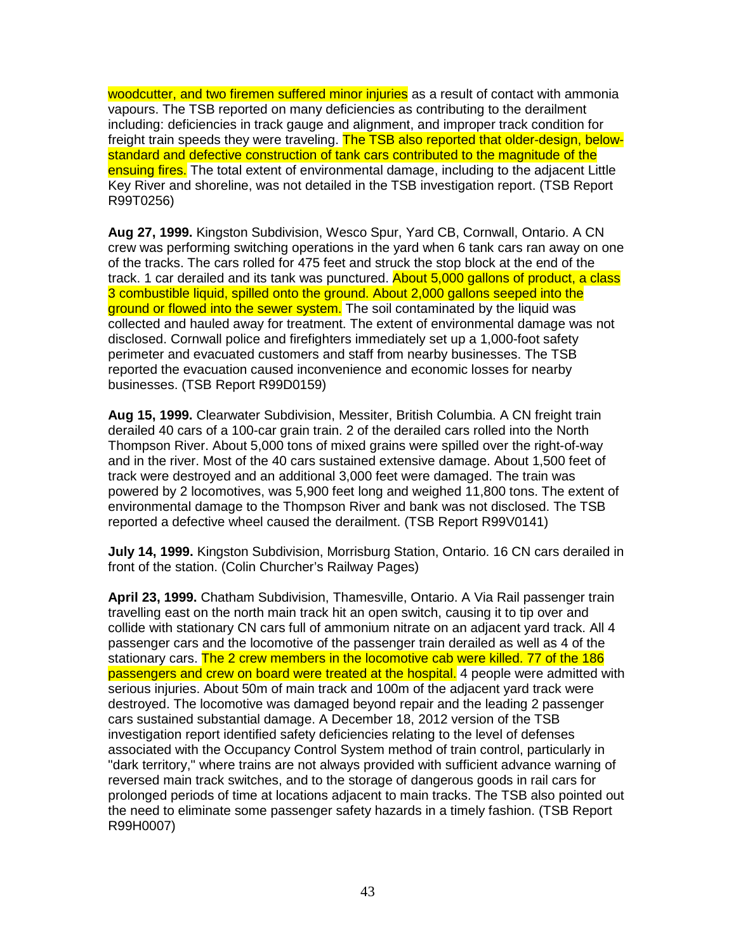woodcutter, and two firemen suffered minor injuries as a result of contact with ammonia vapours. The TSB reported on many deficiencies as contributing to the derailment including: deficiencies in track gauge and alignment, and improper track condition for freight train speeds they were traveling. The TSB also reported that older-design, belowstandard and defective construction of tank cars contributed to the magnitude of the ensuing fires. The total extent of environmental damage, including to the adjacent Little Key River and shoreline, was not detailed in the TSB investigation report. (TSB Report R99T0256)

**Aug 27, 1999.** Kingston Subdivision, Wesco Spur, Yard CB, Cornwall, Ontario. A CN crew was performing switching operations in the yard when 6 tank cars ran away on one of the tracks. The cars rolled for 475 feet and struck the stop block at the end of the track. 1 car derailed and its tank was punctured. About 5,000 gallons of product, a class 3 combustible liquid, spilled onto the ground. About 2,000 gallons seeped into the ground or flowed into the sewer system. The soil contaminated by the liquid was collected and hauled away for treatment. The extent of environmental damage was not disclosed. Cornwall police and firefighters immediately set up a 1,000-foot safety perimeter and evacuated customers and staff from nearby businesses. The TSB reported the evacuation caused inconvenience and economic losses for nearby businesses. (TSB Report R99D0159)

**Aug 15, 1999.** Clearwater Subdivision, Messiter, British Columbia. A CN freight train derailed 40 cars of a 100-car grain train. 2 of the derailed cars rolled into the North Thompson River. About 5,000 tons of mixed grains were spilled over the right-of-way and in the river. Most of the 40 cars sustained extensive damage. About 1,500 feet of track were destroyed and an additional 3,000 feet were damaged. The train was powered by 2 locomotives, was 5,900 feet long and weighed 11,800 tons. The extent of environmental damage to the Thompson River and bank was not disclosed. The TSB reported a defective wheel caused the derailment. (TSB Report R99V0141)

**July 14, 1999.** Kingston Subdivision, Morrisburg Station, Ontario. 16 CN cars derailed in front of the station. (Colin Churcher's Railway Pages)

**April 23, 1999.** Chatham Subdivision, Thamesville, Ontario. A Via Rail passenger train travelling east on the north main track hit an open switch, causing it to tip over and collide with stationary CN cars full of ammonium nitrate on an adjacent yard track. All 4 passenger cars and the locomotive of the passenger train derailed as well as 4 of the stationary cars. The 2 crew members in the locomotive cab were killed. 77 of the 186 passengers and crew on board were treated at the hospital. 4 people were admitted with serious injuries. About 50m of main track and 100m of the adjacent yard track were destroyed. The locomotive was damaged beyond repair and the leading 2 passenger cars sustained substantial damage. A December 18, 2012 version of the TSB investigation report identified safety deficiencies relating to the level of defenses associated with the Occupancy Control System method of train control, particularly in "dark territory," where trains are not always provided with sufficient advance warning of reversed main track switches, and to the storage of dangerous goods in rail cars for prolonged periods of time at locations adjacent to main tracks. The TSB also pointed out the need to eliminate some passenger safety hazards in a timely fashion. (TSB Report R99H0007)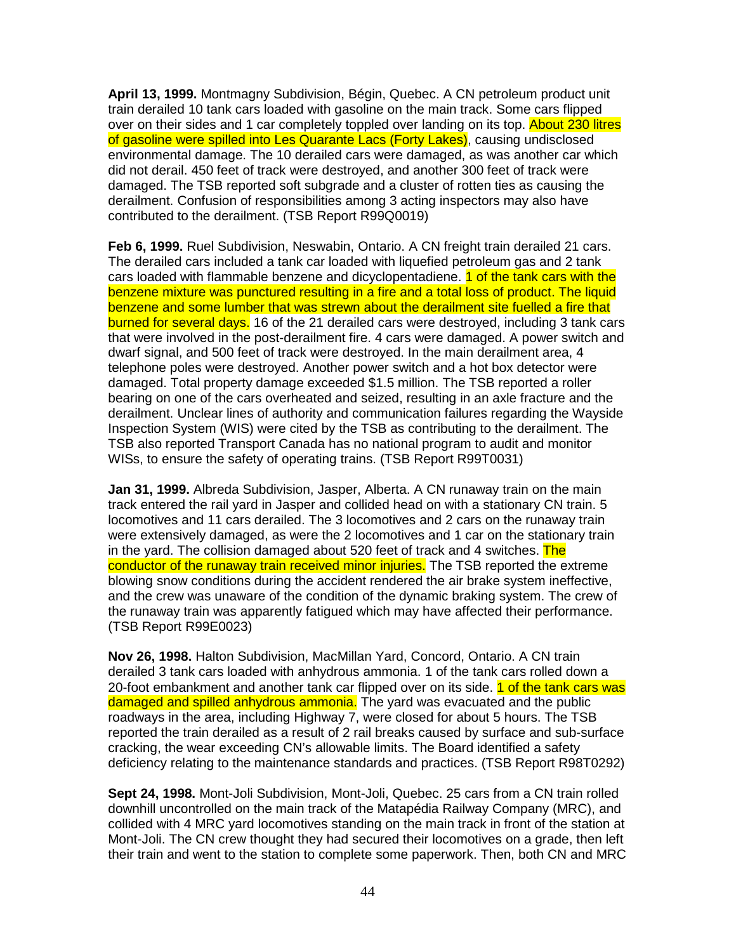**April 13, 1999.** Montmagny Subdivision, Bégin, Quebec. A CN petroleum product unit train derailed 10 tank cars loaded with gasoline on the main track. Some cars flipped over on their sides and 1 car completely toppled over landing on its top. About 230 litres of gasoline were spilled into Les Quarante Lacs (Forty Lakes), causing undisclosed environmental damage. The 10 derailed cars were damaged, as was another car which did not derail. 450 feet of track were destroyed, and another 300 feet of track were damaged. The TSB reported soft subgrade and a cluster of rotten ties as causing the derailment. Confusion of responsibilities among 3 acting inspectors may also have contributed to the derailment. (TSB Report R99Q0019)

**Feb 6, 1999.** Ruel Subdivision, Neswabin, Ontario. A CN freight train derailed 21 cars. The derailed cars included a tank car loaded with liquefied petroleum gas and 2 tank cars loaded with flammable benzene and dicyclopentadiene. **1 of the tank cars with the** benzene mixture was punctured resulting in a fire and a total loss of product. The liquid benzene and some lumber that was strewn about the derailment site fuelled a fire that burned for several days. 16 of the 21 derailed cars were destroyed, including 3 tank cars that were involved in the post-derailment fire. 4 cars were damaged. A power switch and dwarf signal, and 500 feet of track were destroyed. In the main derailment area, 4 telephone poles were destroyed. Another power switch and a hot box detector were damaged. Total property damage exceeded \$1.5 million. The TSB reported a roller bearing on one of the cars overheated and seized, resulting in an axle fracture and the derailment. Unclear lines of authority and communication failures regarding the Wayside Inspection System (WIS) were cited by the TSB as contributing to the derailment. The TSB also reported Transport Canada has no national program to audit and monitor WISs, to ensure the safety of operating trains. (TSB Report R99T0031)

**Jan 31, 1999.** Albreda Subdivision, Jasper, Alberta. A CN runaway train on the main track entered the rail yard in Jasper and collided head on with a stationary CN train. 5 locomotives and 11 cars derailed. The 3 locomotives and 2 cars on the runaway train were extensively damaged, as were the 2 locomotives and 1 car on the stationary train in the yard. The collision damaged about 520 feet of track and 4 switches. The conductor of the runaway train received minor injuries. The TSB reported the extreme blowing snow conditions during the accident rendered the air brake system ineffective, and the crew was unaware of the condition of the dynamic braking system. The crew of the runaway train was apparently fatigued which may have affected their performance. (TSB Report R99E0023)

**Nov 26, 1998.** Halton Subdivision, MacMillan Yard, Concord, Ontario. A CN train derailed 3 tank cars loaded with anhydrous ammonia. 1 of the tank cars rolled down a 20-foot embankment and another tank car flipped over on its side. 1 of the tank cars was damaged and spilled anhydrous ammonia. The yard was evacuated and the public roadways in the area, including Highway 7, were closed for about 5 hours. The TSB reported the train derailed as a result of 2 rail breaks caused by surface and sub-surface cracking, the wear exceeding CN's allowable limits. The Board identified a safety deficiency relating to the maintenance standards and practices. (TSB Report R98T0292)

**Sept 24, 1998.** Mont-Joli Subdivision, Mont-Joli, Quebec. 25 cars from a CN train rolled downhill uncontrolled on the main track of the Matapédia Railway Company (MRC), and collided with 4 MRC yard locomotives standing on the main track in front of the station at Mont-Joli. The CN crew thought they had secured their locomotives on a grade, then left their train and went to the station to complete some paperwork. Then, both CN and MRC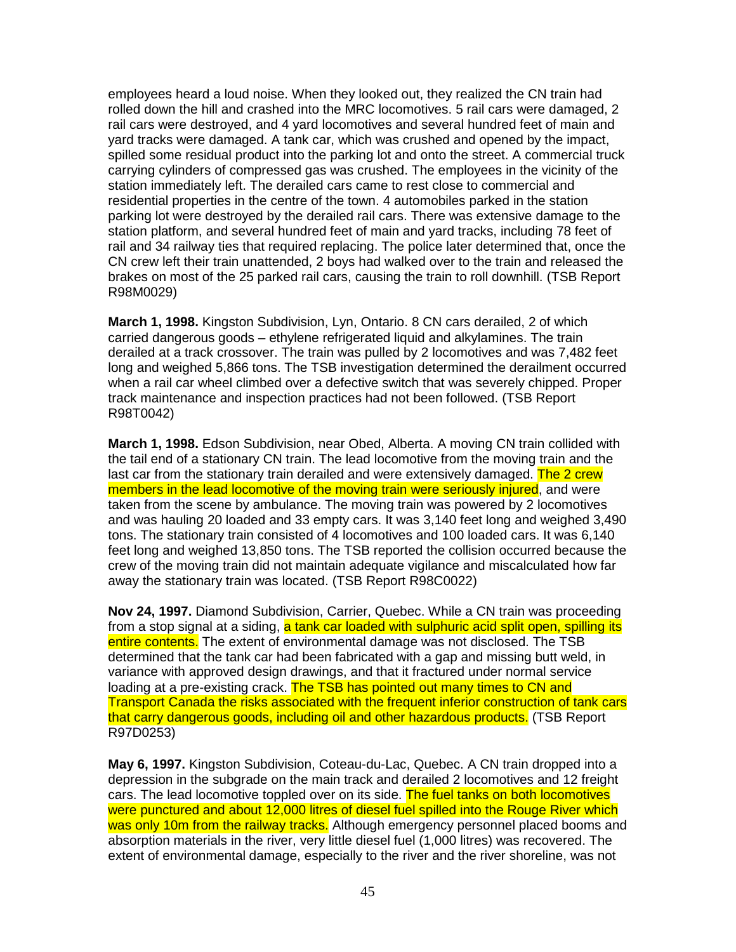employees heard a loud noise. When they looked out, they realized the CN train had rolled down the hill and crashed into the MRC locomotives. 5 rail cars were damaged, 2 rail cars were destroyed, and 4 yard locomotives and several hundred feet of main and yard tracks were damaged. A tank car, which was crushed and opened by the impact, spilled some residual product into the parking lot and onto the street. A commercial truck carrying cylinders of compressed gas was crushed. The employees in the vicinity of the station immediately left. The derailed cars came to rest close to commercial and residential properties in the centre of the town. 4 automobiles parked in the station parking lot were destroyed by the derailed rail cars. There was extensive damage to the station platform, and several hundred feet of main and yard tracks, including 78 feet of rail and 34 railway ties that required replacing. The police later determined that, once the CN crew left their train unattended, 2 boys had walked over to the train and released the brakes on most of the 25 parked rail cars, causing the train to roll downhill. (TSB Report R98M0029)

**March 1, 1998.** Kingston Subdivision, Lyn, Ontario. 8 CN cars derailed, 2 of which carried dangerous goods – ethylene refrigerated liquid and alkylamines. The train derailed at a track crossover. The train was pulled by 2 locomotives and was 7,482 feet long and weighed 5,866 tons. The TSB investigation determined the derailment occurred when a rail car wheel climbed over a defective switch that was severely chipped. Proper track maintenance and inspection practices had not been followed. (TSB Report R98T0042)

**March 1, 1998.** Edson Subdivision, near Obed, Alberta. A moving CN train collided with the tail end of a stationary CN train. The lead locomotive from the moving train and the last car from the stationary train derailed and were extensively damaged. The 2 crew members in the lead locomotive of the moving train were seriously injured, and were taken from the scene by ambulance. The moving train was powered by 2 locomotives and was hauling 20 loaded and 33 empty cars. It was 3,140 feet long and weighed 3,490 tons. The stationary train consisted of 4 locomotives and 100 loaded cars. It was 6,140 feet long and weighed 13,850 tons. The TSB reported the collision occurred because the crew of the moving train did not maintain adequate vigilance and miscalculated how far away the stationary train was located. (TSB Report R98C0022)

**Nov 24, 1997.** Diamond Subdivision, Carrier, Quebec. While a CN train was proceeding from a stop signal at a siding, a tank car loaded with sulphuric acid split open, spilling its entire contents. The extent of environmental damage was not disclosed. The TSB determined that the tank car had been fabricated with a gap and missing butt weld, in variance with approved design drawings, and that it fractured under normal service loading at a pre-existing crack. The TSB has pointed out many times to CN and Transport Canada the risks associated with the frequent inferior construction of tank cars that carry dangerous goods, including oil and other hazardous products. (TSB Report R97D0253)

**May 6, 1997.** Kingston Subdivision, Coteau-du-Lac, Quebec. A CN train dropped into a depression in the subgrade on the main track and derailed 2 locomotives and 12 freight cars. The lead locomotive toppled over on its side. The fuel tanks on both locomotives were punctured and about 12,000 litres of diesel fuel spilled into the Rouge River which was only 10m from the railway tracks. Although emergency personnel placed booms and absorption materials in the river, very little diesel fuel (1,000 litres) was recovered. The extent of environmental damage, especially to the river and the river shoreline, was not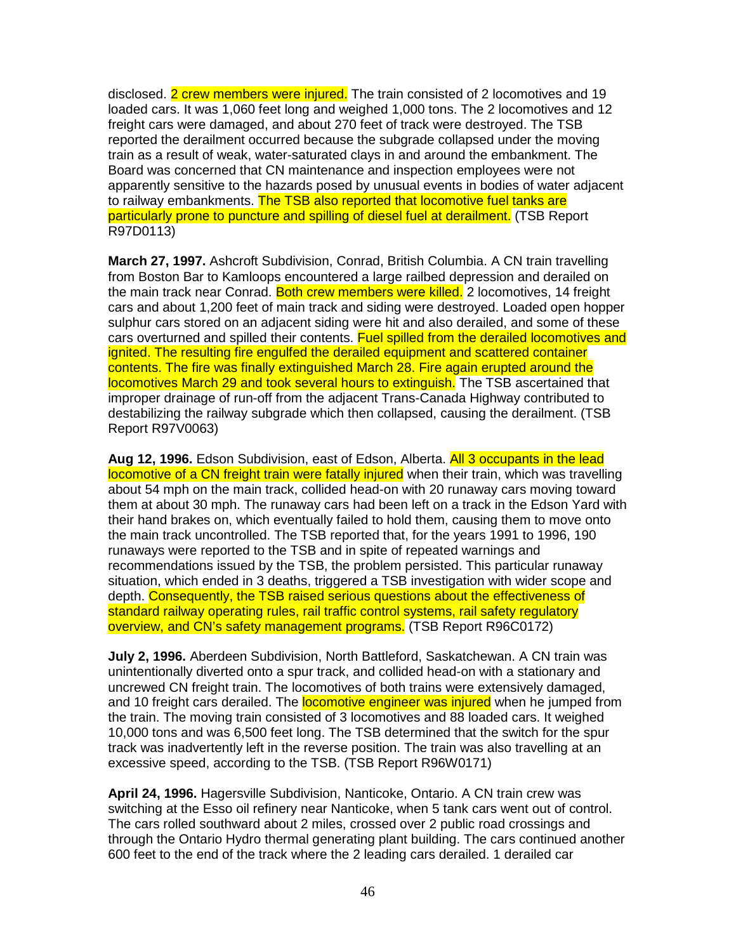disclosed. 2 crew members were injured. The train consisted of 2 locomotives and 19 loaded cars. It was 1,060 feet long and weighed 1,000 tons. The 2 locomotives and 12 freight cars were damaged, and about 270 feet of track were destroyed. The TSB reported the derailment occurred because the subgrade collapsed under the moving train as a result of weak, water-saturated clays in and around the embankment. The Board was concerned that CN maintenance and inspection employees were not apparently sensitive to the hazards posed by unusual events in bodies of water adjacent to railway embankments. The TSB also reported that locomotive fuel tanks are particularly prone to puncture and spilling of diesel fuel at derailment. (TSB Report R97D0113)

**March 27, 1997.** Ashcroft Subdivision, Conrad, British Columbia. A CN train travelling from Boston Bar to Kamloops encountered a large railbed depression and derailed on the main track near Conrad. Both crew members were killed. 2 locomotives, 14 freight cars and about 1,200 feet of main track and siding were destroyed. Loaded open hopper sulphur cars stored on an adjacent siding were hit and also derailed, and some of these cars overturned and spilled their contents. Fuel spilled from the derailed locomotives and ignited. The resulting fire engulfed the derailed equipment and scattered container contents. The fire was finally extinguished March 28. Fire again erupted around the locomotives March 29 and took several hours to extinguish. The TSB ascertained that improper drainage of run-off from the adjacent Trans-Canada Highway contributed to destabilizing the railway subgrade which then collapsed, causing the derailment. (TSB Report R97V0063)

**Aug 12, 1996.** Edson Subdivision, east of Edson, Alberta. All 3 occupants in the lead locomotive of a CN freight train were fatally injured when their train, which was travelling about 54 mph on the main track, collided head-on with 20 runaway cars moving toward them at about 30 mph. The runaway cars had been left on a track in the Edson Yard with their hand brakes on, which eventually failed to hold them, causing them to move onto the main track uncontrolled. The TSB reported that, for the years 1991 to 1996, 190 runaways were reported to the TSB and in spite of repeated warnings and recommendations issued by the TSB, the problem persisted. This particular runaway situation, which ended in 3 deaths, triggered a TSB investigation with wider scope and depth. Consequently, the TSB raised serious questions about the effectiveness of standard railway operating rules, rail traffic control systems, rail safety regulatory overview, and CN's safety management programs. (TSB Report R96C0172)

**July 2, 1996.** Aberdeen Subdivision, North Battleford, Saskatchewan. A CN train was unintentionally diverted onto a spur track, and collided head-on with a stationary and uncrewed CN freight train. The locomotives of both trains were extensively damaged, and 10 freight cars derailed. The **locomotive engineer was injured** when he jumped from the train. The moving train consisted of 3 locomotives and 88 loaded cars. It weighed 10,000 tons and was 6,500 feet long. The TSB determined that the switch for the spur track was inadvertently left in the reverse position. The train was also travelling at an excessive speed, according to the TSB. (TSB Report R96W0171)

**April 24, 1996.** Hagersville Subdivision, Nanticoke, Ontario. A CN train crew was switching at the Esso oil refinery near Nanticoke, when 5 tank cars went out of control. The cars rolled southward about 2 miles, crossed over 2 public road crossings and through the Ontario Hydro thermal generating plant building. The cars continued another 600 feet to the end of the track where the 2 leading cars derailed. 1 derailed car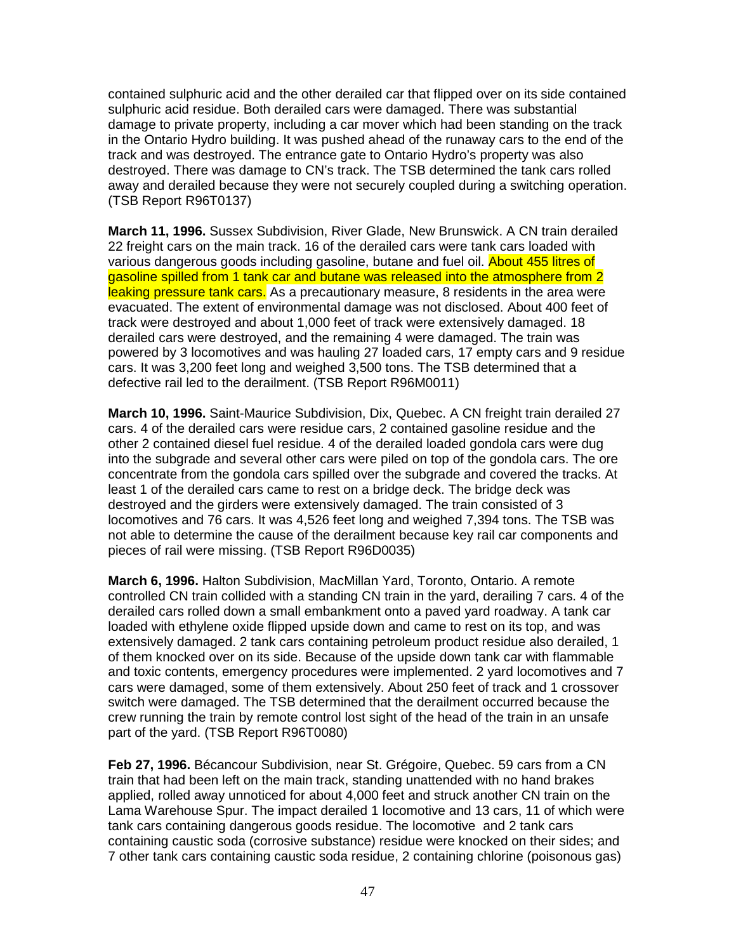contained sulphuric acid and the other derailed car that flipped over on its side contained sulphuric acid residue. Both derailed cars were damaged. There was substantial damage to private property, including a car mover which had been standing on the track in the Ontario Hydro building. It was pushed ahead of the runaway cars to the end of the track and was destroyed. The entrance gate to Ontario Hydro's property was also destroyed. There was damage to CN's track. The TSB determined the tank cars rolled away and derailed because they were not securely coupled during a switching operation. (TSB Report R96T0137)

**March 11, 1996.** Sussex Subdivision, River Glade, New Brunswick. A CN train derailed 22 freight cars on the main track. 16 of the derailed cars were tank cars loaded with various dangerous goods including gasoline, butane and fuel oil. About 455 litres of gasoline spilled from 1 tank car and butane was released into the atmosphere from 2 leaking pressure tank cars. As a precautionary measure, 8 residents in the area were evacuated. The extent of environmental damage was not disclosed. About 400 feet of track were destroyed and about 1,000 feet of track were extensively damaged. 18 derailed cars were destroyed, and the remaining 4 were damaged. The train was powered by 3 locomotives and was hauling 27 loaded cars, 17 empty cars and 9 residue cars. It was 3,200 feet long and weighed 3,500 tons. The TSB determined that a defective rail led to the derailment. (TSB Report R96M0011)

**March 10, 1996.** Saint-Maurice Subdivision, Dix, Quebec. A CN freight train derailed 27 cars. 4 of the derailed cars were residue cars, 2 contained gasoline residue and the other 2 contained diesel fuel residue. 4 of the derailed loaded gondola cars were dug into the subgrade and several other cars were piled on top of the gondola cars. The ore concentrate from the gondola cars spilled over the subgrade and covered the tracks. At least 1 of the derailed cars came to rest on a bridge deck. The bridge deck was destroyed and the girders were extensively damaged. The train consisted of 3 locomotives and 76 cars. It was 4,526 feet long and weighed 7,394 tons. The TSB was not able to determine the cause of the derailment because key rail car components and pieces of rail were missing. (TSB Report R96D0035)

**March 6, 1996.** Halton Subdivision, MacMillan Yard, Toronto, Ontario. A remote controlled CN train collided with a standing CN train in the yard, derailing 7 cars. 4 of the derailed cars rolled down a small embankment onto a paved yard roadway. A tank car loaded with ethylene oxide flipped upside down and came to rest on its top, and was extensively damaged. 2 tank cars containing petroleum product residue also derailed, 1 of them knocked over on its side. Because of the upside down tank car with flammable and toxic contents, emergency procedures were implemented. 2 yard locomotives and 7 cars were damaged, some of them extensively. About 250 feet of track and 1 crossover switch were damaged. The TSB determined that the derailment occurred because the crew running the train by remote control lost sight of the head of the train in an unsafe part of the yard. (TSB Report R96T0080)

**Feb 27, 1996.** Bécancour Subdivision, near St. Grégoire, Quebec. 59 cars from a CN train that had been left on the main track, standing unattended with no hand brakes applied, rolled away unnoticed for about 4,000 feet and struck another CN train on the Lama Warehouse Spur. The impact derailed 1 locomotive and 13 cars, 11 of which were tank cars containing dangerous goods residue. The locomotive and 2 tank cars containing caustic soda (corrosive substance) residue were knocked on their sides; and 7 other tank cars containing caustic soda residue, 2 containing chlorine (poisonous gas)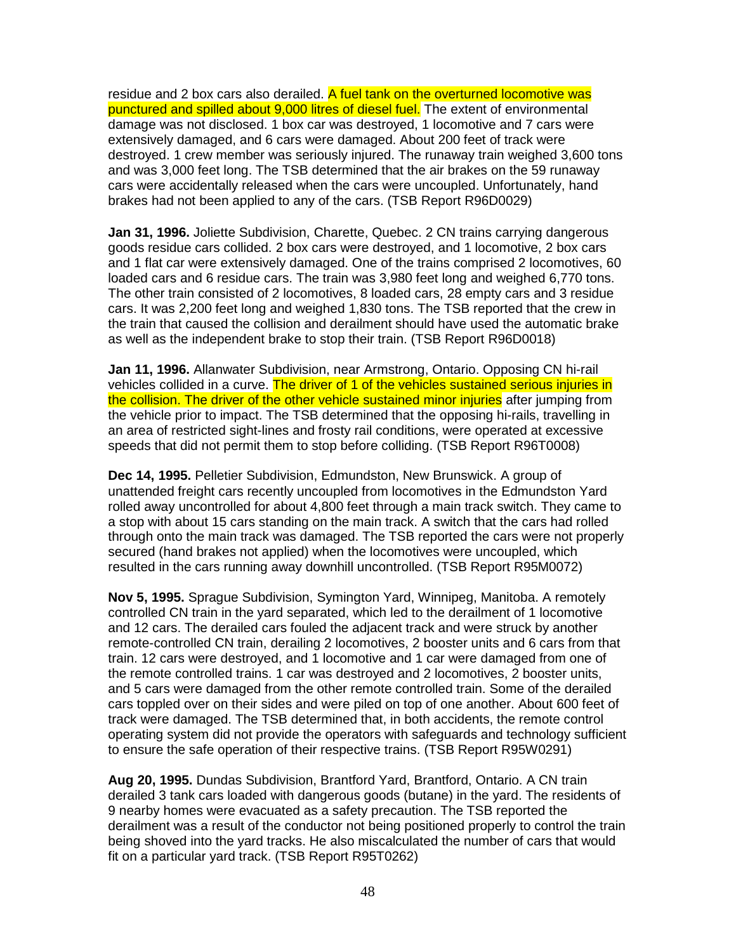residue and 2 box cars also derailed. A fuel tank on the overturned locomotive was punctured and spilled about 9,000 litres of diesel fuel. The extent of environmental damage was not disclosed. 1 box car was destroyed, 1 locomotive and 7 cars were extensively damaged, and 6 cars were damaged. About 200 feet of track were destroyed. 1 crew member was seriously injured. The runaway train weighed 3,600 tons and was 3,000 feet long. The TSB determined that the air brakes on the 59 runaway cars were accidentally released when the cars were uncoupled. Unfortunately, hand brakes had not been applied to any of the cars. (TSB Report R96D0029)

**Jan 31, 1996.** Joliette Subdivision, Charette, Quebec. 2 CN trains carrying dangerous goods residue cars collided. 2 box cars were destroyed, and 1 locomotive, 2 box cars and 1 flat car were extensively damaged. One of the trains comprised 2 locomotives, 60 loaded cars and 6 residue cars. The train was 3,980 feet long and weighed 6,770 tons. The other train consisted of 2 locomotives, 8 loaded cars, 28 empty cars and 3 residue cars. It was 2,200 feet long and weighed 1,830 tons. The TSB reported that the crew in the train that caused the collision and derailment should have used the automatic brake as well as the independent brake to stop their train. (TSB Report R96D0018)

**Jan 11, 1996.** Allanwater Subdivision, near Armstrong, Ontario. Opposing CN hi-rail vehicles collided in a curve. The driver of 1 of the vehicles sustained serious injuries in the collision. The driver of the other vehicle sustained minor injuries after jumping from the vehicle prior to impact. The TSB determined that the opposing hi-rails, travelling in an area of restricted sight-lines and frosty rail conditions, were operated at excessive speeds that did not permit them to stop before colliding. (TSB Report R96T0008)

**Dec 14, 1995.** Pelletier Subdivision, Edmundston, New Brunswick. A group of unattended freight cars recently uncoupled from locomotives in the Edmundston Yard rolled away uncontrolled for about 4,800 feet through a main track switch. They came to a stop with about 15 cars standing on the main track. A switch that the cars had rolled through onto the main track was damaged. The TSB reported the cars were not properly secured (hand brakes not applied) when the locomotives were uncoupled, which resulted in the cars running away downhill uncontrolled. (TSB Report R95M0072)

**Nov 5, 1995.** Sprague Subdivision, Symington Yard, Winnipeg, Manitoba. A remotely controlled CN train in the yard separated, which led to the derailment of 1 locomotive and 12 cars. The derailed cars fouled the adjacent track and were struck by another remote-controlled CN train, derailing 2 locomotives, 2 booster units and 6 cars from that train. 12 cars were destroyed, and 1 locomotive and 1 car were damaged from one of the remote controlled trains. 1 car was destroyed and 2 locomotives, 2 booster units, and 5 cars were damaged from the other remote controlled train. Some of the derailed cars toppled over on their sides and were piled on top of one another. About 600 feet of track were damaged. The TSB determined that, in both accidents, the remote control operating system did not provide the operators with safeguards and technology sufficient to ensure the safe operation of their respective trains. (TSB Report R95W0291)

**Aug 20, 1995.** Dundas Subdivision, Brantford Yard, Brantford, Ontario. A CN train derailed 3 tank cars loaded with dangerous goods (butane) in the yard. The residents of 9 nearby homes were evacuated as a safety precaution. The TSB reported the derailment was a result of the conductor not being positioned properly to control the train being shoved into the yard tracks. He also miscalculated the number of cars that would fit on a particular yard track. (TSB Report R95T0262)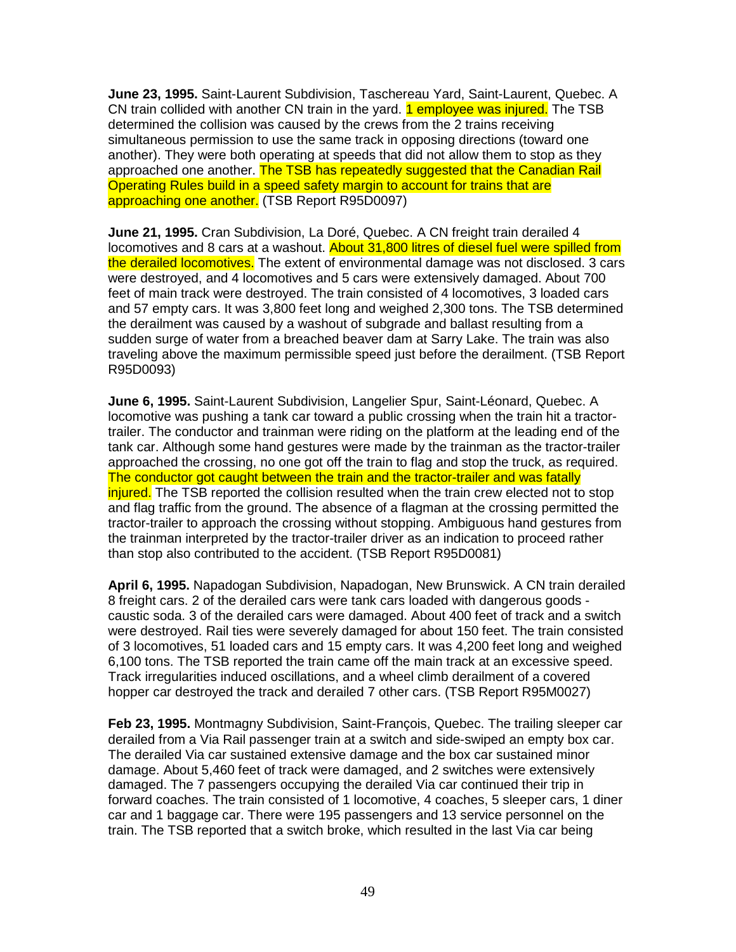**June 23, 1995.** Saint-Laurent Subdivision, Taschereau Yard, Saint-Laurent, Quebec. A CN train collided with another CN train in the yard. **1 employee was injured.** The TSB determined the collision was caused by the crews from the 2 trains receiving simultaneous permission to use the same track in opposing directions (toward one another). They were both operating at speeds that did not allow them to stop as they approached one another. The TSB has repeatedly suggested that the Canadian Rail Operating Rules build in a speed safety margin to account for trains that are approaching one another. (TSB Report R95D0097)

**June 21, 1995.** Cran Subdivision, La Doré, Quebec. A CN freight train derailed 4 locomotives and 8 cars at a washout. About 31,800 litres of diesel fuel were spilled from the derailed locomotives. The extent of environmental damage was not disclosed. 3 cars were destroyed, and 4 locomotives and 5 cars were extensively damaged. About 700 feet of main track were destroyed. The train consisted of 4 locomotives, 3 loaded cars and 57 empty cars. It was 3,800 feet long and weighed 2,300 tons. The TSB determined the derailment was caused by a washout of subgrade and ballast resulting from a sudden surge of water from a breached beaver dam at Sarry Lake. The train was also traveling above the maximum permissible speed just before the derailment. (TSB Report R95D0093)

**June 6, 1995.** Saint-Laurent Subdivision, Langelier Spur, Saint-Léonard, Quebec. A locomotive was pushing a tank car toward a public crossing when the train hit a tractortrailer. The conductor and trainman were riding on the platform at the leading end of the tank car. Although some hand gestures were made by the trainman as the tractor-trailer approached the crossing, no one got off the train to flag and stop the truck, as required. The conductor got caught between the train and the tractor-trailer and was fatally injured. The TSB reported the collision resulted when the train crew elected not to stop and flag traffic from the ground. The absence of a flagman at the crossing permitted the tractor-trailer to approach the crossing without stopping. Ambiguous hand gestures from the trainman interpreted by the tractor-trailer driver as an indication to proceed rather than stop also contributed to the accident. (TSB Report R95D0081)

**April 6, 1995.** Napadogan Subdivision, Napadogan, New Brunswick. A CN train derailed 8 freight cars. 2 of the derailed cars were tank cars loaded with dangerous goods caustic soda. 3 of the derailed cars were damaged. About 400 feet of track and a switch were destroyed. Rail ties were severely damaged for about 150 feet. The train consisted of 3 locomotives, 51 loaded cars and 15 empty cars. It was 4,200 feet long and weighed 6,100 tons. The TSB reported the train came off the main track at an excessive speed. Track irregularities induced oscillations, and a wheel climb derailment of a covered hopper car destroyed the track and derailed 7 other cars. (TSB Report R95M0027)

**Feb 23, 1995.** Montmagny Subdivision, Saint-François, Quebec. The trailing sleeper car derailed from a Via Rail passenger train at a switch and side-swiped an empty box car. The derailed Via car sustained extensive damage and the box car sustained minor damage. About 5,460 feet of track were damaged, and 2 switches were extensively damaged. The 7 passengers occupying the derailed Via car continued their trip in forward coaches. The train consisted of 1 locomotive, 4 coaches, 5 sleeper cars, 1 diner car and 1 baggage car. There were 195 passengers and 13 service personnel on the train. The TSB reported that a switch broke, which resulted in the last Via car being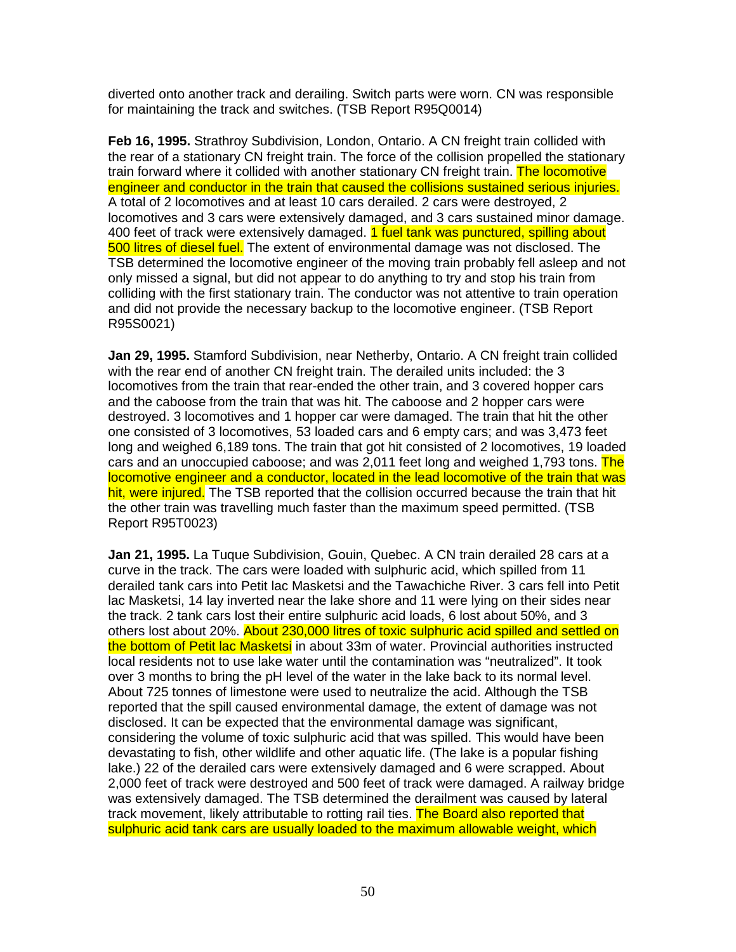diverted onto another track and derailing. Switch parts were worn. CN was responsible for maintaining the track and switches. (TSB Report R95Q0014)

**Feb 16, 1995.** Strathroy Subdivision, London, Ontario. A CN freight train collided with the rear of a stationary CN freight train. The force of the collision propelled the stationary train forward where it collided with another stationary CN freight train. The locomotive engineer and conductor in the train that caused the collisions sustained serious injuries. A total of 2 locomotives and at least 10 cars derailed. 2 cars were destroyed, 2 locomotives and 3 cars were extensively damaged, and 3 cars sustained minor damage. 400 feet of track were extensively damaged. 1 fuel tank was punctured, spilling about 500 litres of diesel fuel. The extent of environmental damage was not disclosed. The TSB determined the locomotive engineer of the moving train probably fell asleep and not only missed a signal, but did not appear to do anything to try and stop his train from colliding with the first stationary train. The conductor was not attentive to train operation and did not provide the necessary backup to the locomotive engineer. (TSB Report R95S0021)

**Jan 29, 1995.** Stamford Subdivision, near Netherby, Ontario. A CN freight train collided with the rear end of another CN freight train. The derailed units included: the 3 locomotives from the train that rear-ended the other train, and 3 covered hopper cars and the caboose from the train that was hit. The caboose and 2 hopper cars were destroyed. 3 locomotives and 1 hopper car were damaged. The train that hit the other one consisted of 3 locomotives, 53 loaded cars and 6 empty cars; and was 3,473 feet long and weighed 6,189 tons. The train that got hit consisted of 2 locomotives, 19 loaded cars and an unoccupied caboose; and was 2,011 feet long and weighed 1,793 tons. The locomotive engineer and a conductor, located in the lead locomotive of the train that was hit, were injured. The TSB reported that the collision occurred because the train that hit the other train was travelling much faster than the maximum speed permitted. (TSB Report R95T0023)

**Jan 21, 1995.** La Tuque Subdivision, Gouin, Quebec. A CN train derailed 28 cars at a curve in the track. The cars were loaded with sulphuric acid, which spilled from 11 derailed tank cars into Petit lac Masketsi and the Tawachiche River. 3 cars fell into Petit lac Masketsi, 14 lay inverted near the lake shore and 11 were lying on their sides near the track. 2 tank cars lost their entire sulphuric acid loads, 6 lost about 50%, and 3 others lost about 20%. About 230,000 litres of toxic sulphuric acid spilled and settled on the bottom of Petit lac Masketsi in about 33m of water. Provincial authorities instructed local residents not to use lake water until the contamination was "neutralized". It took over 3 months to bring the pH level of the water in the lake back to its normal level. About 725 tonnes of limestone were used to neutralize the acid. Although the TSB reported that the spill caused environmental damage, the extent of damage was not disclosed. It can be expected that the environmental damage was significant, considering the volume of toxic sulphuric acid that was spilled. This would have been devastating to fish, other wildlife and other aquatic life. (The lake is a popular fishing lake.) 22 of the derailed cars were extensively damaged and 6 were scrapped. About 2,000 feet of track were destroyed and 500 feet of track were damaged. A railway bridge was extensively damaged. The TSB determined the derailment was caused by lateral track movement, likely attributable to rotting rail ties. The Board also reported that sulphuric acid tank cars are usually loaded to the maximum allowable weight, which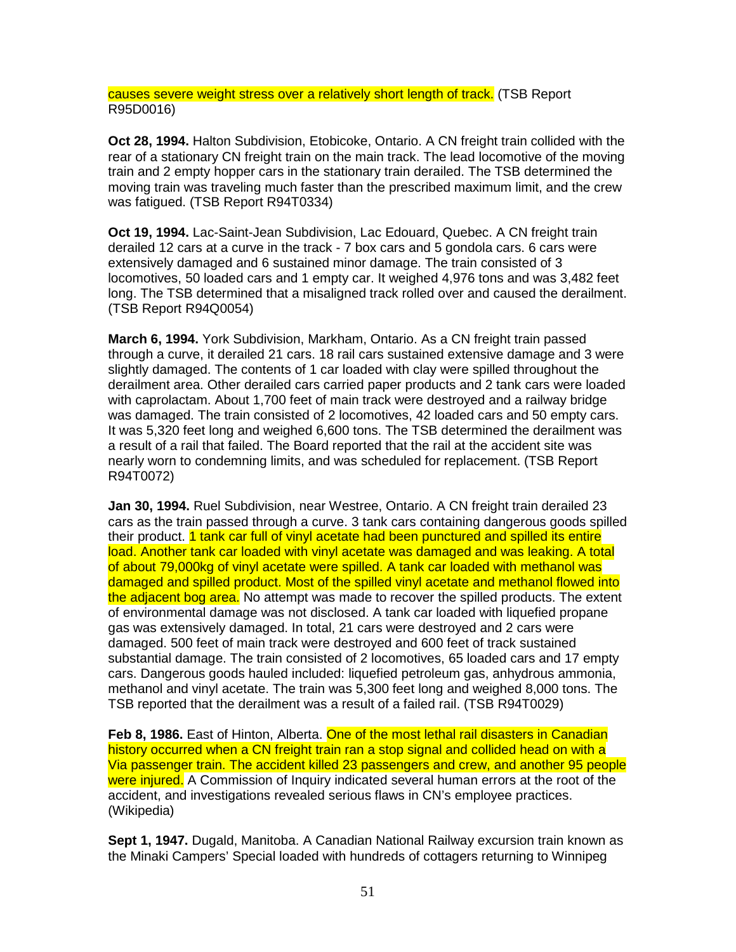causes severe weight stress over a relatively short length of track. (TSB Report R95D0016)

**Oct 28, 1994.** Halton Subdivision, Etobicoke, Ontario. A CN freight train collided with the rear of a stationary CN freight train on the main track. The lead locomotive of the moving train and 2 empty hopper cars in the stationary train derailed. The TSB determined the moving train was traveling much faster than the prescribed maximum limit, and the crew was fatigued. (TSB Report R94T0334)

**Oct 19, 1994.** Lac-Saint-Jean Subdivision, Lac Edouard, Quebec. A CN freight train derailed 12 cars at a curve in the track - 7 box cars and 5 gondola cars. 6 cars were extensively damaged and 6 sustained minor damage. The train consisted of 3 locomotives, 50 loaded cars and 1 empty car. It weighed 4,976 tons and was 3,482 feet long. The TSB determined that a misaligned track rolled over and caused the derailment. (TSB Report R94Q0054)

**March 6, 1994.** York Subdivision, Markham, Ontario. As a CN freight train passed through a curve, it derailed 21 cars. 18 rail cars sustained extensive damage and 3 were slightly damaged. The contents of 1 car loaded with clay were spilled throughout the derailment area. Other derailed cars carried paper products and 2 tank cars were loaded with caprolactam. About 1,700 feet of main track were destroyed and a railway bridge was damaged. The train consisted of 2 locomotives, 42 loaded cars and 50 empty cars. It was 5,320 feet long and weighed 6,600 tons. The TSB determined the derailment was a result of a rail that failed. The Board reported that the rail at the accident site was nearly worn to condemning limits, and was scheduled for replacement. (TSB Report R94T0072)

**Jan 30, 1994.** Ruel Subdivision, near Westree, Ontario. A CN freight train derailed 23 cars as the train passed through a curve. 3 tank cars containing dangerous goods spilled their product. 1 tank car full of vinyl acetate had been punctured and spilled its entire load. Another tank car loaded with vinyl acetate was damaged and was leaking. A total of about 79,000kg of vinyl acetate were spilled. A tank car loaded with methanol was damaged and spilled product. Most of the spilled vinyl acetate and methanol flowed into the adjacent bog area. No attempt was made to recover the spilled products. The extent of environmental damage was not disclosed. A tank car loaded with liquefied propane gas was extensively damaged. In total, 21 cars were destroyed and 2 cars were damaged. 500 feet of main track were destroyed and 600 feet of track sustained substantial damage. The train consisted of 2 locomotives, 65 loaded cars and 17 empty cars. Dangerous goods hauled included: liquefied petroleum gas, anhydrous ammonia, methanol and vinyl acetate. The train was 5,300 feet long and weighed 8,000 tons. The TSB reported that the derailment was a result of a failed rail. (TSB R94T0029)

Feb 8, 1986. East of Hinton, Alberta. One of the most lethal rail disasters in Canadian history occurred when a CN freight train ran a stop signal and collided head on with a Via passenger train. The accident killed 23 passengers and crew, and another 95 people were injured. A Commission of Inquiry indicated several human errors at the root of the accident, and investigations revealed serious flaws in CN's employee practices. (Wikipedia)

**Sept 1, 1947.** Dugald, Manitoba. A Canadian National Railway excursion train known as the Minaki Campers' Special loaded with hundreds of cottagers returning to Winnipeg